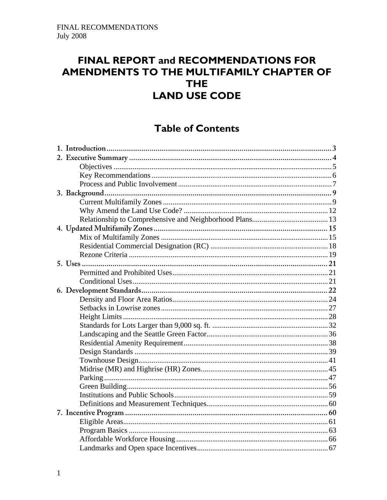# FINAL REPORT and RECOMMENDATIONS FOR AMENDMENTS TO THE MULTIFAMILY CHAPTER OF **THE LAND USE CODE**

# **Table of Contents**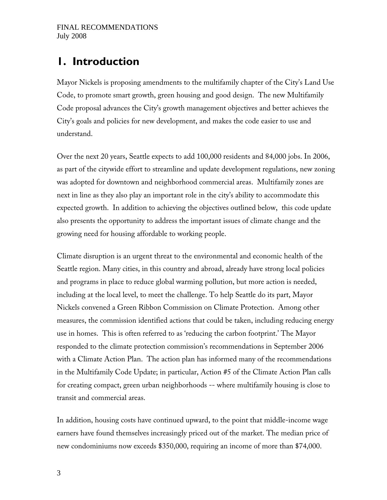# **1. Introduction**

Mayor Nickels is proposing amendments to the multifamily chapter of the City's Land Use Code, to promote smart growth, green housing and good design. The new Multifamily Code proposal advances the City's growth management objectives and better achieves the City's goals and policies for new development, and makes the code easier to use and understand.

Over the next 20 years, Seattle expects to add 100,000 residents and 84,000 jobs. In 2006, as part of the citywide effort to streamline and update development regulations, new zoning was adopted for downtown and neighborhood commercial areas. Multifamily zones are next in line as they also play an important role in the city's ability to accommodate this expected growth. In addition to achieving the objectives outlined below, this code update also presents the opportunity to address the important issues of climate change and the growing need for housing affordable to working people.

Climate disruption is an urgent threat to the environmental and economic health of the Seattle region. Many cities, in this country and abroad, already have strong local policies and programs in place to reduce global warming pollution, but more action is needed, including at the local level, to meet the challenge. To help Seattle do its part, Mayor Nickels convened a Green Ribbon Commission on Climate Protection. Among other measures, the commission identified actions that could be taken, including reducing energy use in homes. This is often referred to as 'reducing the carbon footprint.' The Mayor responded to the climate protection commission's recommendations in September 2006 with a Climate Action Plan. The action plan has informed many of the recommendations in the Multifamily Code Update; in particular, Action #5 of the Climate Action Plan calls for creating compact, green urban neighborhoods -- where multifamily housing is close to transit and commercial areas.

In addition, housing costs have continued upward, to the point that middle-income wage earners have found themselves increasingly priced out of the market. The median price of new condominiums now exceeds \$350,000, requiring an income of more than \$74,000.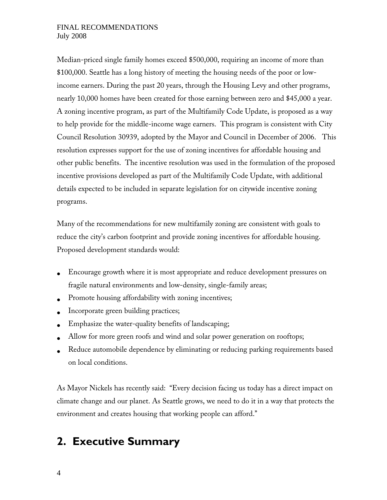Median-priced single family homes exceed \$500,000, requiring an income of more than \$100,000. Seattle has a long history of meeting the housing needs of the poor or lowincome earners. During the past 20 years, through the Housing Levy and other programs, nearly 10,000 homes have been created for those earning between zero and \$45,000 a year. A zoning incentive program, as part of the Multifamily Code Update, is proposed as a way to help provide for the middle-income wage earners. This program is consistent with City Council Resolution 30939, adopted by the Mayor and Council in December of 2006. This resolution expresses support for the use of zoning incentives for affordable housing and other public benefits. The incentive resolution was used in the formulation of the proposed incentive provisions developed as part of the Multifamily Code Update, with additional details expected to be included in separate legislation for on citywide incentive zoning programs.

Many of the recommendations for new multifamily zoning are consistent with goals to reduce the city's carbon footprint and provide zoning incentives for affordable housing. Proposed development standards would:

- Encourage growth where it is most appropriate and reduce development pressures on fragile natural environments and low-density, single-family areas;
- Promote housing affordability with zoning incentives;
- Incorporate green building practices;
- Emphasize the water-quality benefits of landscaping;
- Allow for more green roofs and wind and solar power generation on rooftops;
- Reduce automobile dependence by eliminating or reducing parking requirements based on local conditions.

As Mayor Nickels has recently said: ''Every decision facing us today has a direct impact on climate change and our planet. As Seattle grows, we need to do it in a way that protects the environment and creates housing that working people can afford.''

# **2. Executive Summary**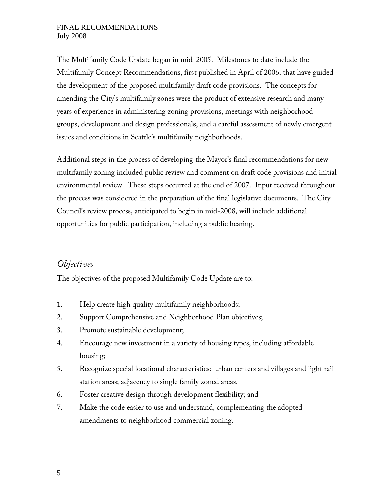The Multifamily Code Update began in mid-2005. Milestones to date include the Multifamily Concept Recommendations, first published in April of 2006, that have guided the development of the proposed multifamily draft code provisions. The concepts for amending the City's multifamily zones were the product of extensive research and many years of experience in administering zoning provisions, meetings with neighborhood groups, development and design professionals, and a careful assessment of newly emergent issues and conditions in Seattle's multifamily neighborhoods.

Additional steps in the process of developing the Mayor's final recommendations for new multifamily zoning included public review and comment on draft code provisions and initial environmental review. These steps occurred at the end of 2007. Input received throughout the process was considered in the preparation of the final legislative documents. The City Council's review process, anticipated to begin in mid-2008, will include additional opportunities for public participation, including a public hearing.

### *Objectives*

The objectives of the proposed Multifamily Code Update are to:

- 1. Help create high quality multifamily neighborhoods;
- 2. Support Comprehensive and Neighborhood Plan objectives;
- 3. Promote sustainable development;
- 4. Encourage new investment in a variety of housing types, including affordable housing;
- 5. Recognize special locational characteristics: urban centers and villages and light rail station areas; adjacency to single family zoned areas.
- 6. Foster creative design through development flexibility; and
- 7. Make the code easier to use and understand, complementing the adopted amendments to neighborhood commercial zoning.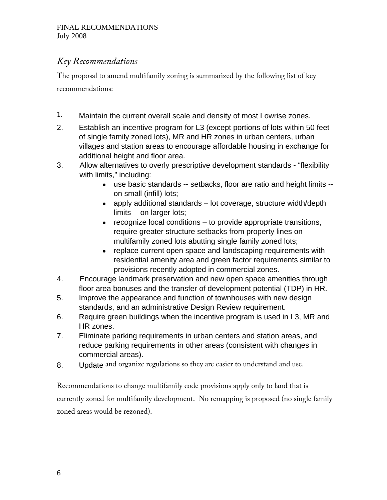# *Key Recommendations*

The proposal to amend multifamily zoning is summarized by the following list of key recommendations:

- 1. Maintain the current overall scale and density of most Lowrise zones.
- 2. Establish an incentive program for L3 (except portions of lots within 50 feet of single family zoned lots), MR and HR zones in urban centers, urban villages and station areas to encourage affordable housing in exchange for additional height and floor area.
- 3. Allow alternatives to overly prescriptive development standards "flexibility with limits," including:
	- use basic standards -- setbacks, floor are ratio and height limits on small (infill) lots;
	- apply additional standards lot coverage, structure width/depth limits -- on larger lots;
	- recognize local conditions to provide appropriate transitions, require greater structure setbacks from property lines on multifamily zoned lots abutting single family zoned lots;
	- replace current open space and landscaping requirements with residential amenity area and green factor requirements similar to provisions recently adopted in commercial zones.
- 4. Encourage landmark preservation and new open space amenities through floor area bonuses and the transfer of development potential (TDP) in HR.
- 5. Improve the appearance and function of townhouses with new design standards, and an administrative Design Review requirement.
- 6. Require green buildings when the incentive program is used in L3, MR and HR zones.
- 7. Eliminate parking requirements in urban centers and station areas, and reduce parking requirements in other areas (consistent with changes in commercial areas).
- 8. Update and organize regulations so they are easier to understand and use.

Recommendations to change multifamily code provisions apply only to land that is currently zoned for multifamily development. No remapping is proposed (no single family zoned areas would be rezoned).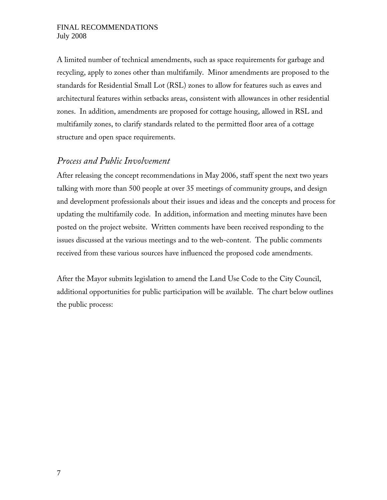A limited number of technical amendments, such as space requirements for garbage and recycling, apply to zones other than multifamily. Minor amendments are proposed to the standards for Residential Small Lot (RSL) zones to allow for features such as eaves and architectural features within setbacks areas, consistent with allowances in other residential zones. In addition, amendments are proposed for cottage housing, allowed in RSL and multifamily zones, to clarify standards related to the permitted floor area of a cottage structure and open space requirements.

### *Process and Public Involvement*

After releasing the concept recommendations in May 2006, staff spent the next two years talking with more than 500 people at over 35 meetings of community groups, and design and development professionals about their issues and ideas and the concepts and process for updating the multifamily code. In addition, information and meeting minutes have been posted on the project website. Written comments have been received responding to the issues discussed at the various meetings and to the web-content. The public comments received from these various sources have influenced the proposed code amendments.

After the Mayor submits legislation to amend the Land Use Code to the City Council, additional opportunities for public participation will be available. The chart below outlines the public process: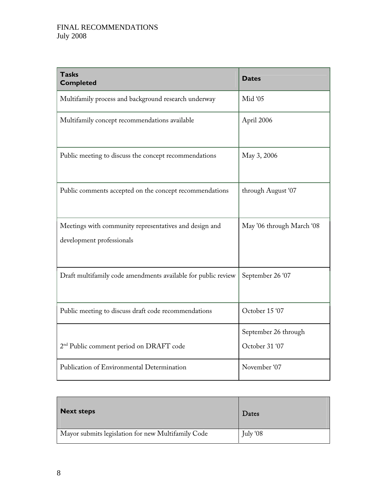| <b>Tasks</b><br><b>Completed</b>                                                    | <b>Dates</b>                           |
|-------------------------------------------------------------------------------------|----------------------------------------|
| Multifamily process and background research underway                                | Mid '05                                |
| Multifamily concept recommendations available                                       | April 2006                             |
| Public meeting to discuss the concept recommendations                               | May 3, 2006                            |
| Public comments accepted on the concept recommendations                             | through August '07                     |
| Meetings with community representatives and design and<br>development professionals | May '06 through March '08              |
| Draft multifamily code amendments available for public review                       | September 26 '07                       |
| Public meeting to discuss draft code recommendations                                | October 15 '07                         |
| 2 <sup>nd</sup> Public comment period on DRAFT code                                 | September 26 through<br>October 31 '07 |
| Publication of Environmental Determination                                          | November '07                           |

| <b>Next steps</b>                                  | Dates    |
|----------------------------------------------------|----------|
| Mayor submits legislation for new Multifamily Code | July '08 |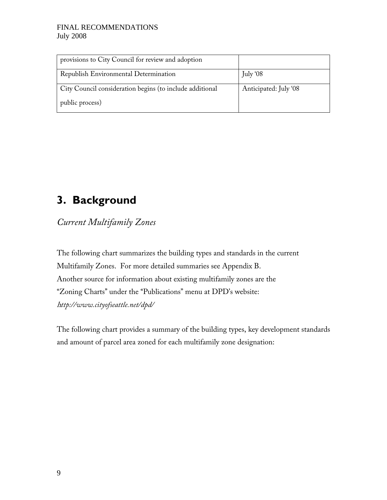| provisions to City Council for review and adoption       |                       |
|----------------------------------------------------------|-----------------------|
| Republish Environmental Determination                    | July '08              |
| City Council consideration begins (to include additional | Anticipated: July '08 |
| public process)                                          |                       |

# **3. Background**

*Current Multifamily Zones* 

The following chart summarizes the building types and standards in the current Multifamily Zones. For more detailed summaries see Appendix B. Another source for information about existing multifamily zones are the ''Zoning Charts'' under the ''Publications'' menu at DPD's website: h*ttp://www.cityofseattle.net/dpd/* 

The following chart provides a summary of the building types, key development standards and amount of parcel area zoned for each multifamily zone designation: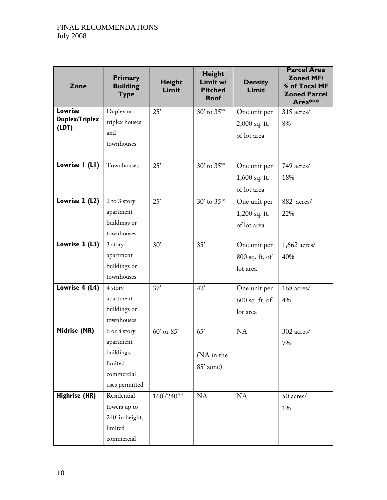| Zone                           | Primary<br><b>Building</b><br><b>Type</b> | <b>Height</b><br>Limit | Height<br>Limit w/<br><b>Pitched</b><br><b>Roof</b> | <b>Density</b><br>Limit | <b>Parcel Area</b><br><b>Zoned MF/</b><br>% of Total MF<br><b>Zoned Parcel</b><br>Area*** |
|--------------------------------|-------------------------------------------|------------------------|-----------------------------------------------------|-------------------------|-------------------------------------------------------------------------------------------|
| <b>Lowrise</b>                 | Duplex or                                 | 25'                    | $30'$ to $35''$                                     | One unit per            | 318 acres/                                                                                |
| <b>Duplex/Triplex</b><br>(LDT) | triplex houses                            |                        |                                                     | 2,000 sq. ft.           | 8%                                                                                        |
|                                | and                                       |                        |                                                     | of lot area             |                                                                                           |
|                                | townhouses                                |                        |                                                     |                         |                                                                                           |
|                                |                                           |                        |                                                     |                         |                                                                                           |
| Lowrise I (LI)                 | Townhouses                                | 25'                    | 30' to 35"*                                         | One unit per            | 749 acres/                                                                                |
|                                |                                           |                        |                                                     | 1,600 sq. ft.           | 18%                                                                                       |
|                                |                                           |                        |                                                     | of lot area             |                                                                                           |
| Lowrise 2 (L2)                 | 2 to 3 story                              | 25'                    | 30' to 35"*                                         | One unit per            | 882 acres/                                                                                |
|                                | apartment                                 |                        |                                                     | 1,200 sq. ft.           | 22%                                                                                       |
|                                | buildings or                              |                        |                                                     | of lot area             |                                                                                           |
|                                | townhouses                                |                        |                                                     |                         |                                                                                           |
| Lowrise 3 (L3)                 | 3 story                                   | 30'                    | 35'                                                 | One unit per            | $1,662$ acres/                                                                            |
|                                | apartment                                 |                        |                                                     | 800 sq. ft. of          | 40%                                                                                       |
|                                | buildings or                              |                        |                                                     | lot area                |                                                                                           |
|                                | townhouses                                |                        |                                                     |                         |                                                                                           |
| Lowrise 4 (L4)                 | 4 story                                   | 37'                    | 42'                                                 | One unit per            | 168 acres/                                                                                |
|                                | apartment                                 |                        |                                                     | $600$ sq. ft. of        | 4%                                                                                        |
|                                | buildings or                              |                        |                                                     | lot area                |                                                                                           |
|                                | townhouses                                |                        |                                                     |                         |                                                                                           |
| Midrise (MR)                   | 6 or 8 story                              | 60' or 85'             | 65'                                                 | <b>NA</b>               | 302 acres/                                                                                |
|                                | apartment                                 |                        |                                                     |                         | 7%                                                                                        |
|                                | buildings,                                |                        | (NA in the                                          |                         |                                                                                           |
|                                | limited                                   |                        | 85' zone)                                           |                         |                                                                                           |
|                                | commercial                                |                        |                                                     |                         |                                                                                           |
|                                | uses permitted                            |                        |                                                     |                         |                                                                                           |
| <b>Highrise (HR)</b>           | Residential                               | 160'/240"**            | NA                                                  | <b>NA</b>               | 50 acres/                                                                                 |
|                                | towers up to                              |                        |                                                     |                         | 1%                                                                                        |
|                                | 240' in height,                           |                        |                                                     |                         |                                                                                           |
|                                | limited                                   |                        |                                                     |                         |                                                                                           |
|                                | commercial                                |                        |                                                     |                         |                                                                                           |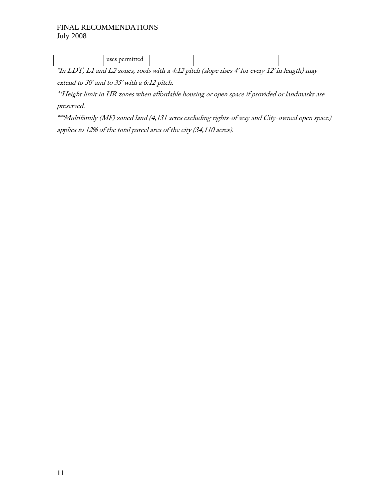| . | ______             | $-$ | . . | .<br>______ | $\sim$ |  |
|---|--------------------|-----|-----|-------------|--------|--|
|   | uses<br>l 16<br>wu |     |     |             |        |  |

\*In LDT, L1 and L2 zones, roofs with a 4:12 pitch (slope rises 4' for every 12' in length) may extend to 30' and to 35' with a 6:12 pitch.

\*\*Height limit in HR zones when affordable housing or open space if provided or landmarks are preserved.

\*\*\*Multifamily (MF) zoned land (4,131 acres excluding rights-of way and City-owned open space) applies to 12% of the total parcel area of the city (34,110 acres).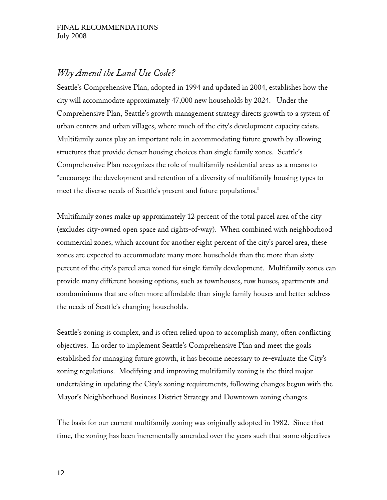### *Why Amend the Land Use Code?*

Seattle's Comprehensive Plan, adopted in 1994 and updated in 2004, establishes how the city will accommodate approximately 47,000 new households by 2024. Under the Comprehensive Plan, Seattle's growth management strategy directs growth to a system of urban centers and urban villages, where much of the city's development capacity exists. Multifamily zones play an important role in accommodating future growth by allowing structures that provide denser housing choices than single family zones. Seattle's Comprehensive Plan recognizes the role of multifamily residential areas as a means to ''encourage the development and retention of a diversity of multifamily housing types to meet the diverse needs of Seattle's present and future populations.''

Multifamily zones make up approximately 12 percent of the total parcel area of the city (excludes city-owned open space and rights-of-way). When combined with neighborhood commercial zones, which account for another eight percent of the city's parcel area, these zones are expected to accommodate many more households than the more than sixty percent of the city's parcel area zoned for single family development. Multifamily zones can provide many different housing options, such as townhouses, row houses, apartments and condominiums that are often more affordable than single family houses and better address the needs of Seattle's changing households.

Seattle's zoning is complex, and is often relied upon to accomplish many, often conflicting objectives. In order to implement Seattle's Comprehensive Plan and meet the goals established for managing future growth, it has become necessary to re-evaluate the City's zoning regulations. Modifying and improving multifamily zoning is the third major undertaking in updating the City's zoning requirements, following changes begun with the Mayor's Neighborhood Business District Strategy and Downtown zoning changes.

The basis for our current multifamily zoning was originally adopted in 1982. Since that time, the zoning has been incrementally amended over the years such that some objectives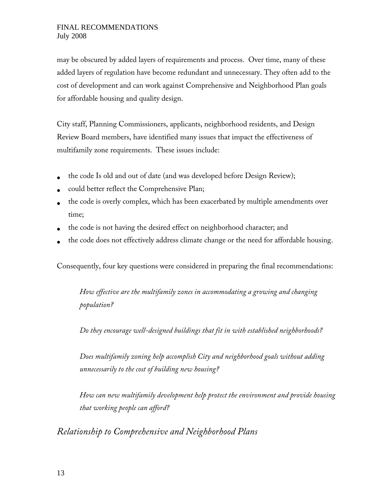may be obscured by added layers of requirements and process. Over time, many of these added layers of regulation have become redundant and unnecessary. They often add to the cost of development and can work against Comprehensive and Neighborhood Plan goals for affordable housing and quality design.

City staff, Planning Commissioners, applicants, neighborhood residents, and Design Review Board members, have identified many issues that impact the effectiveness of multifamily zone requirements. These issues include:

- the code Is old and out of date (and was developed before Design Review);
- could better reflect the Comprehensive Plan;
- the code is overly complex, which has been exacerbated by multiple amendments over time;
- the code is not having the desired effect on neighborhood character; and
- the code does not effectively address climate change or the need for affordable housing.

Consequently, four key questions were considered in preparing the final recommendations:

*How effective are the multifamily zones in accommodating a growing and changing population?* 

*Do they encourage well-designed buildings that fit in with established neighborhoods?* 

*Does multifamily zoning help accomplish City and neighborhood goals without adding unnecessarily to the cost of building new housing?* 

*How can new multifamily development help protect the environment and provide housing that working people can afford?* 

*Relationship to Comprehensive and Neighborhood Plans*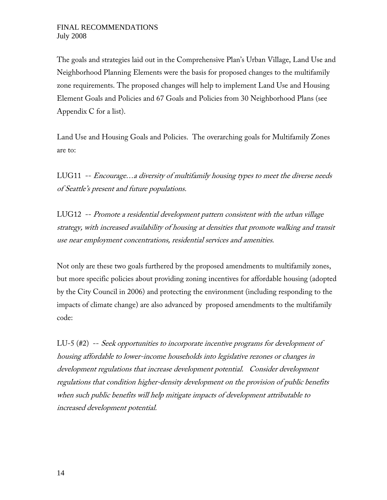The goals and strategies laid out in the Comprehensive Plan's Urban Village, Land Use and Neighborhood Planning Elements were the basis for proposed changes to the multifamily zone requirements. The proposed changes will help to implement Land Use and Housing Element Goals and Policies and 67 Goals and Policies from 30 Neighborhood Plans (see Appendix C for a list).

Land Use and Housing Goals and Policies. The overarching goals for Multifamily Zones are to:

LUG11 -- Encourage…a diversity of multifamily housing types to meet the diverse needs of Seattle's present and future populations.

LUG12 -- Promote a residential development pattern consistent with the urban village strategy, with increased availability of housing at densities that promote walking and transit use near employment concentrations, residential services and amenities.

Not only are these two goals furthered by the proposed amendments to multifamily zones, but more specific policies about providing zoning incentives for affordable housing (adopted by the City Council in 2006) and protecting the environment (including responding to the impacts of climate change) are also advanced by proposed amendments to the multifamily code:

LU-5 (#2) -- Seek opportunities to incorporate incentive programs for development of housing affordable to lower-income households into legislative rezones or changes in development regulations that increase development potential. Consider development regulations that condition higher-density development on the provision of public benefits when such public benefits will help mitigate impacts of development attributable to increased development potential.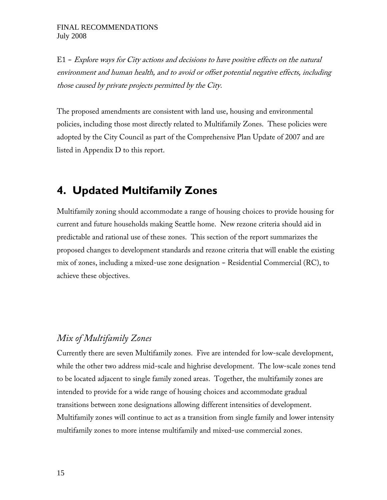$E1$  - Explore ways for City actions and decisions to have positive effects on the natural environment and human health, and to avoid or offset potential negative effects, including those caused by private projects permitted by the City.

The proposed amendments are consistent with land use, housing and environmental policies, including those most directly related to Multifamily Zones. These policies were adopted by the City Council as part of the Comprehensive Plan Update of 2007 and are listed in Appendix D to this report.

# **4. Updated Multifamily Zones**

Multifamily zoning should accommodate a range of housing choices to provide housing for current and future households making Seattle home. New rezone criteria should aid in predictable and rational use of these zones. This section of the report summarizes the proposed changes to development standards and rezone criteria that will enable the existing mix of zones, including a mixed-use zone designation  $-$  Residential Commercial (RC), to achieve these objectives.

## *Mix of Multifamily Zones*

Currently there are seven Multifamily zones. Five are intended for low-scale development, while the other two address mid-scale and highrise development. The low-scale zones tend to be located adjacent to single family zoned areas. Together, the multifamily zones are intended to provide for a wide range of housing choices and accommodate gradual transitions between zone designations allowing different intensities of development. Multifamily zones will continue to act as a transition from single family and lower intensity multifamily zones to more intense multifamily and mixed-use commercial zones.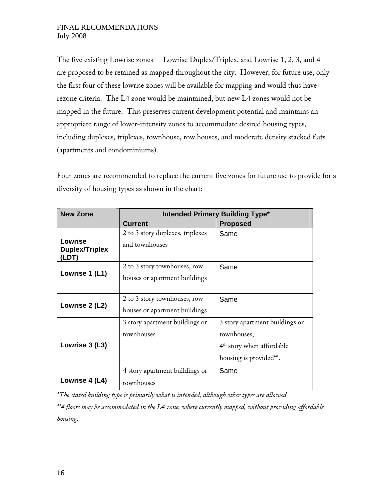The five existing Lowrise zones -- Lowrise Duplex/Triplex, and Lowrise 1, 2, 3, and 4 - are proposed to be retained as mapped throughout the city. However, for future use, only the first four of these lowrise zones will be available for mapping and would thus have rezone criteria. The L4 zone would be maintained, but new L4 zones would not be mapped in the future. This preserves current development potential and maintains an appropriate range of lower-intensity zones to accommodate desired housing types, including duplexes, triplexes, townhouse, row houses, and moderate density stacked flats (apartments and condominiums).

Four zones are recommended to replace the current five zones for future use to provide for a diversity of housing types as shown in the chart:

| <b>New Zone</b>                | <b>Intended Primary Building Type*</b> |                                |  |  |  |  |  |
|--------------------------------|----------------------------------------|--------------------------------|--|--|--|--|--|
|                                | <b>Current</b>                         | <b>Proposed</b>                |  |  |  |  |  |
|                                | 2 to 3 story duplexes, triplexes       | Same                           |  |  |  |  |  |
| Lowrise                        | and townhouses                         |                                |  |  |  |  |  |
| <b>Duplex/Triplex</b><br>(LDT) |                                        |                                |  |  |  |  |  |
|                                | 2 to 3 story townhouses, row           | Same                           |  |  |  |  |  |
| Lowrise 1 (L1)                 | houses or apartment buildings          |                                |  |  |  |  |  |
|                                |                                        |                                |  |  |  |  |  |
|                                | 2 to 3 story townhouses, row           | Same                           |  |  |  |  |  |
| Lowrise 2 (L2)                 | houses or apartment buildings          |                                |  |  |  |  |  |
|                                | 3 story apartment buildings or         | 3 story apartment buildings or |  |  |  |  |  |
|                                | townhouses                             | townhouses;                    |  |  |  |  |  |
| Lowrise 3 (L3)                 |                                        | $4th$ story when affordable    |  |  |  |  |  |
|                                |                                        | housing is provided**.         |  |  |  |  |  |
|                                | 4 story apartment buildings or         | Same                           |  |  |  |  |  |
| Lowrise 4 (L4)                 | townhouses                             |                                |  |  |  |  |  |

*\*The stated building type is primarily what is intended, although other types are allowed.* 

*\*\*4 floors may be accommodated in the L4 zone, where currently mapped, without providing affordable housing.*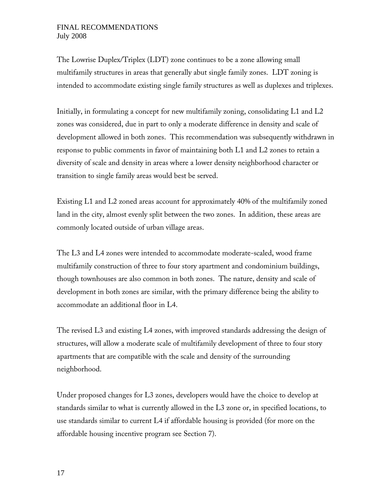The Lowrise Duplex/Triplex (LDT) zone continues to be a zone allowing small multifamily structures in areas that generally abut single family zones. LDT zoning is intended to accommodate existing single family structures as well as duplexes and triplexes.

Initially, in formulating a concept for new multifamily zoning, consolidating L1 and L2 zones was considered, due in part to only a moderate difference in density and scale of development allowed in both zones. This recommendation was subsequently withdrawn in response to public comments in favor of maintaining both L1 and L2 zones to retain a diversity of scale and density in areas where a lower density neighborhood character or transition to single family areas would best be served.

Existing L1 and L2 zoned areas account for approximately 40% of the multifamily zoned land in the city, almost evenly split between the two zones. In addition, these areas are commonly located outside of urban village areas.

The L3 and L4 zones were intended to accommodate moderate-scaled, wood frame multifamily construction of three to four story apartment and condominium buildings, though townhouses are also common in both zones. The nature, density and scale of development in both zones are similar, with the primary difference being the ability to accommodate an additional floor in L4.

The revised L3 and existing L4 zones, with improved standards addressing the design of structures, will allow a moderate scale of multifamily development of three to four story apartments that are compatible with the scale and density of the surrounding neighborhood.

Under proposed changes for L3 zones, developers would have the choice to develop at standards similar to what is currently allowed in the L3 zone or, in specified locations, to use standards similar to current L4 if affordable housing is provided (for more on the affordable housing incentive program see Section 7).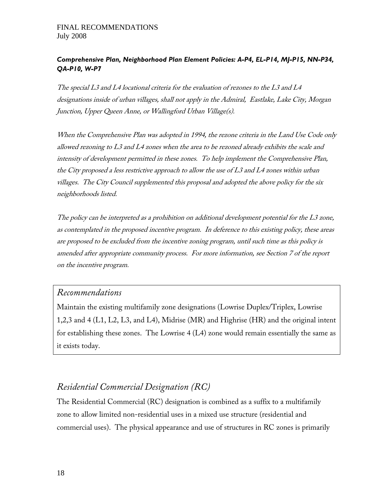### *Comprehensive Plan, Neighborhood Plan Element Policies: A-P4, EL-P14, MJ-P15, NN-P34, QA-P10, W-P7*

The special L3 and L4 locational criteria for the evaluation of rezones to the L3 and L4 designations inside of urban villages, shall not apply in the Admiral, Eastlake, Lake City, Morgan Junction, Upper Queen Anne, or Wallingford Urban Village(s).

When the Comprehensive Plan was adopted in 1994, the rezone criteria in the Land Use Code only allowed rezoning to L3 and L4 zones when the area to be rezoned already exhibits the scale and intensity of development permitted in these zones. To help implement the Comprehensive Plan, the City proposed a less restrictive approach to allow the use of L3 and L4 zones within urban villages. The City Council supplemented this proposal and adopted the above policy for the six neighborhoods listed.

The policy can be interpreted as a prohibition on additional development potential for the L3 zone, as contemplated in the proposed incentive program. In deference to this existing policy, these areas are proposed to be excluded from the incentive zoning program, until such time as this policy is amended after appropriate community process. For more information, see Section 7 of the report on the incentive program.

### *Recommendations*

Maintain the existing multifamily zone designations (Lowrise Duplex/Triplex, Lowrise 1,2,3 and 4 (L1, L2, L3, and L4), Midrise (MR) and Highrise (HR) and the original intent for establishing these zones. The Lowrise 4 (L4) zone would remain essentially the same as it exists today.

## *Residential Commercial Designation (RC)*

The Residential Commercial (RC) designation is combined as a suffix to a multifamily zone to allow limited non-residential uses in a mixed use structure (residential and commercial uses). The physical appearance and use of structures in RC zones is primarily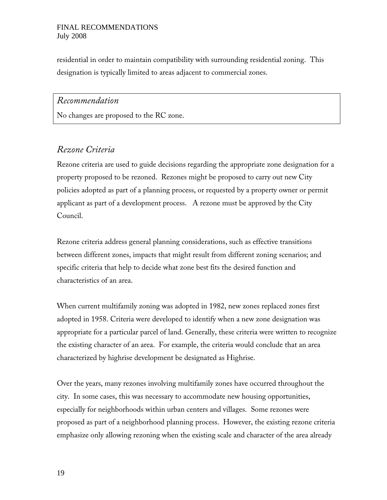residential in order to maintain compatibility with surrounding residential zoning. This designation is typically limited to areas adjacent to commercial zones.

### *Recommendation*

No changes are proposed to the RC zone.

### *Rezone Criteria*

Rezone criteria are used to guide decisions regarding the appropriate zone designation for a property proposed to be rezoned. Rezones might be proposed to carry out new City policies adopted as part of a planning process, or requested by a property owner or permit applicant as part of a development process. A rezone must be approved by the City Council.

Rezone criteria address general planning considerations, such as effective transitions between different zones, impacts that might result from different zoning scenarios; and specific criteria that help to decide what zone best fits the desired function and characteristics of an area.

When current multifamily zoning was adopted in 1982, new zones replaced zones first adopted in 1958. Criteria were developed to identify when a new zone designation was appropriate for a particular parcel of land. Generally, these criteria were written to recognize the existing character of an area. For example, the criteria would conclude that an area characterized by highrise development be designated as Highrise.

Over the years, many rezones involving multifamily zones have occurred throughout the city. In some cases, this was necessary to accommodate new housing opportunities, especially for neighborhoods within urban centers and villages. Some rezones were proposed as part of a neighborhood planning process. However, the existing rezone criteria emphasize only allowing rezoning when the existing scale and character of the area already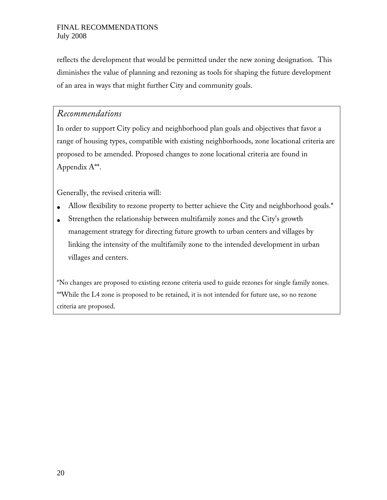reflects the development that would be permitted under the new zoning designation. This diminishes the value of planning and rezoning as tools for shaping the future development of an area in ways that might further City and community goals.

### *Recommendations*

In order to support City policy and neighborhood plan goals and objectives that favor a range of housing types, compatible with existing neighborhoods, zone locational criteria are proposed to be amended. Proposed changes to zone locational criteria are found in Appendix A\*\*.

Generally, the revised criteria will:

- Allow flexibility to rezone property to better achieve the City and neighborhood goals.\*
- Strengthen the relationship between multifamily zones and the City's growth management strategy for directing future growth to urban centers and villages by linking the intensity of the multifamily zone to the intended development in urban villages and centers.

\*No changes are proposed to existing rezone criteria used to guide rezones for single family zones. \*\*While the L4 zone is proposed to be retained, it is not intended for future use, so no rezone criteria are proposed.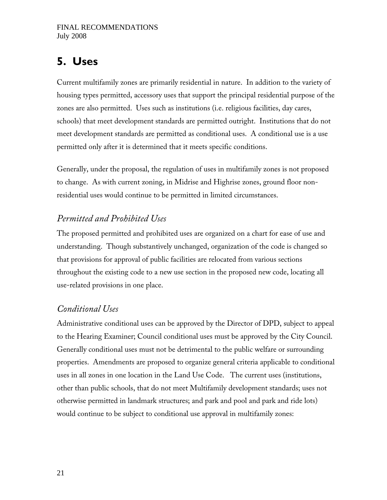# **5. Uses**

Current multifamily zones are primarily residential in nature. In addition to the variety of housing types permitted, accessory uses that support the principal residential purpose of the zones are also permitted. Uses such as institutions (i.e. religious facilities, day cares, schools) that meet development standards are permitted outright. Institutions that do not meet development standards are permitted as conditional uses. A conditional use is a use permitted only after it is determined that it meets specific conditions.

Generally, under the proposal, the regulation of uses in multifamily zones is not proposed to change. As with current zoning, in Midrise and Highrise zones, ground floor nonresidential uses would continue to be permitted in limited circumstances.

# *Permitted and Prohibited Uses*

The proposed permitted and prohibited uses are organized on a chart for ease of use and understanding. Though substantively unchanged, organization of the code is changed so that provisions for approval of public facilities are relocated from various sections throughout the existing code to a new use section in the proposed new code, locating all use-related provisions in one place.

## *Conditional Uses*

Administrative conditional uses can be approved by the Director of DPD, subject to appeal to the Hearing Examiner; Council conditional uses must be approved by the City Council. Generally conditional uses must not be detrimental to the public welfare or surrounding properties. Amendments are proposed to organize general criteria applicable to conditional uses in all zones in one location in the Land Use Code. The current uses (institutions, other than public schools, that do not meet Multifamily development standards; uses not otherwise permitted in landmark structures; and park and pool and park and ride lots) would continue to be subject to conditional use approval in multifamily zones: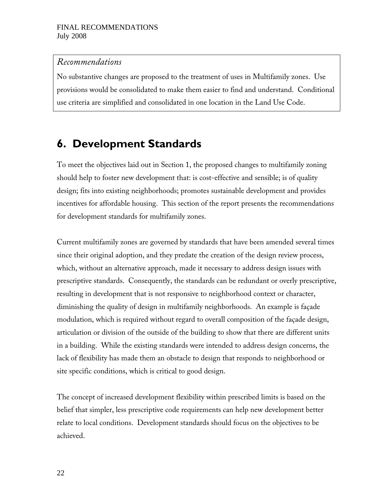### *Recommendations*

No substantive changes are proposed to the treatment of uses in Multifamily zones. Use provisions would be consolidated to make them easier to find and understand. Conditional use criteria are simplified and consolidated in one location in the Land Use Code.

# **6. Development Standards**

To meet the objectives laid out in Section 1, the proposed changes to multifamily zoning should help to foster new development that: is cost-effective and sensible; is of quality design; fits into existing neighborhoods; promotes sustainable development and provides incentives for affordable housing. This section of the report presents the recommendations for development standards for multifamily zones.

Current multifamily zones are governed by standards that have been amended several times since their original adoption, and they predate the creation of the design review process, which, without an alternative approach, made it necessary to address design issues with prescriptive standards. Consequently, the standards can be redundant or overly prescriptive, resulting in development that is not responsive to neighborhood context or character, diminishing the quality of design in multifamily neighborhoods. An example is façade modulation, which is required without regard to overall composition of the façade design, articulation or division of the outside of the building to show that there are different units in a building. While the existing standards were intended to address design concerns, the lack of flexibility has made them an obstacle to design that responds to neighborhood or site specific conditions, which is critical to good design.

The concept of increased development flexibility within prescribed limits is based on the belief that simpler, less prescriptive code requirements can help new development better relate to local conditions. Development standards should focus on the objectives to be achieved.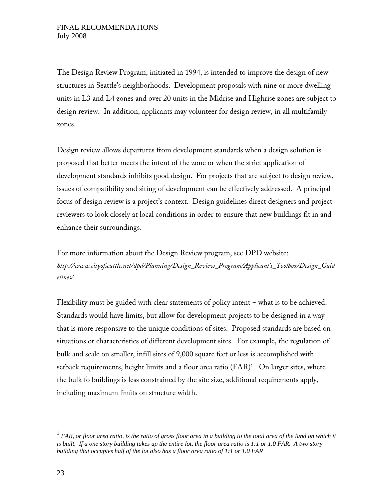The Design Review Program, initiated in 1994, is intended to improve the design of new structures in Seattle's neighborhoods. Development proposals with nine or more dwelling units in L3 and L4 zones and over 20 units in the Midrise and Highrise zones are subject to design review. In addition, applicants may volunteer for design review, in all multifamily zones.

Design review allows departures from development standards when a design solution is proposed that better meets the intent of the zone or when the strict application of development standards inhibits good design. For projects that are subject to design review, issues of compatibility and siting of development can be effectively addressed. A principal focus of design review is a project's context. Design guidelines direct designers and project reviewers to look closely at local conditions in order to ensure that new buildings fit in and enhance their surroundings.

For more information about the Design Review program, see DPD website: *http://www.cityofseattle.net/dpd/Planning/Design\_Review\_Program/Applicant's\_Toolbox/Design\_Guid elines/*

Flexibility must be guided with clear statements of policy intent - what is to be achieved. Standards would have limits, but allow for development projects to be designed in a way that is more responsive to the unique conditions of sites. Proposed standards are based on situations or characteristics of different development sites. For example, the regulation of bulk and scale on smaller, infill sites of 9,000 square feet or less is accomplished with setback requirements, height limits and a floor area ratio (FAR)<sup>1</sup>. On larger sites, where the bulk fo buildings is less constrained by the site size, additional requirements apply, including maximum limits on structure width.

 $\overline{a}$ 

<sup>1</sup> *FAR, or floor area ratio, is the ratio of gross floor area in a building to the total area of the land on which it is built. If a one story building takes up the entire lot, the floor area ratio is 1:1 or 1.0 FAR. A two story building that occupies half of the lot also has a floor area ratio of 1:1 or 1.0 FAR*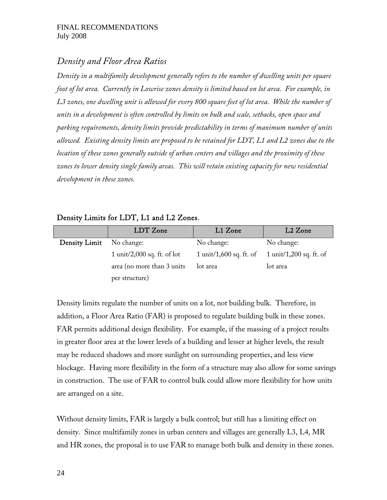## *Density and Floor Area Ratios*

*Density in a multifamily development generally refers to the number of dwelling units per square foot of lot area. Currently in Lowrise zones density is limited based on lot area. For example, in L3 zones, one dwelling unit is allowed for every 800 square feet of lot area. While the number of units in a development is often controlled by limits on bulk and scale, setbacks, open space and parking requirements, density limits provide predictability in terms of maximum number of units allowed. Existing density limits are proposed to be retained for LDT, L1 and L2 zones due to the location of these zones generally outside of urban centers and villages and the proximity of these zones to lower density single family areas. This will retain existing capacity for new residential development in these zones.* 

### Density Limits for LDT, L1 and L2 Zones.

|               | LDT Zone                    | L1 Zone                 | L2 Zone                 |
|---------------|-----------------------------|-------------------------|-------------------------|
| Density Limit | No change:                  | No change:              | No change:              |
|               | 1 unit/2,000 sq. ft. of lot | 1 unit/1,600 sq. ft. of | 1 unit/1,200 sq. ft. of |
|               | area (no more than 3 units) | lot area                | lot area                |
|               | per structure)              |                         |                         |

Density limits regulate the number of units on a lot, not building bulk. Therefore, in addition, a Floor Area Ratio (FAR) is proposed to regulate building bulk in these zones. FAR permits additional design flexibility. For example, if the massing of a project results in greater floor area at the lower levels of a building and lesser at higher levels, the result may be reduced shadows and more sunlight on surrounding properties, and less view blockage. Having more flexibility in the form of a structure may also allow for some savings in construction. The use of FAR to control bulk could allow more flexibility for how units are arranged on a site.

Without density limits, FAR is largely a bulk control; but still has a limiting effect on density. Since multifamily zones in urban centers and villages are generally L3, L4, MR and HR zones, the proposal is to use FAR to manage both bulk and density in these zones.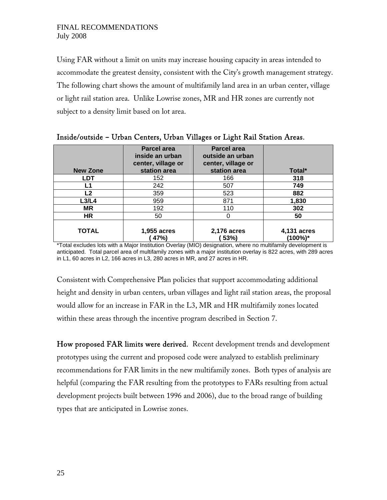Using FAR without a limit on units may increase housing capacity in areas intended to accommodate the greatest density, consistent with the City's growth management strategy. The following chart shows the amount of multifamily land area in an urban center, village or light rail station area. Unlike Lowrise zones, MR and HR zones are currently not subject to a density limit based on lot area.

| <b>New Zone</b> | <b>Parcel area</b><br>inside an urban<br>center, village or<br>station area | <b>Parcel area</b><br>outside an urban<br>center, village or<br>station area | Total*                 |
|-----------------|-----------------------------------------------------------------------------|------------------------------------------------------------------------------|------------------------|
| LDT             | 152                                                                         | 166                                                                          | 318                    |
| L1              | 242                                                                         | 507                                                                          | 749                    |
| L <sub>2</sub>  | 359                                                                         | 523                                                                          | 882                    |
| L3/L4           | 959                                                                         | 871                                                                          | 1,830                  |
| <b>MR</b>       | 192                                                                         | 110                                                                          | 302                    |
| HR              | 50                                                                          |                                                                              | 50                     |
| <b>TOTAL</b>    | 1,955 acres<br>47%)                                                         | 2,176 acres<br>53%)                                                          | 4,131 acres<br>(100%)* |

| Inside/outside - Urban Centers, Urban Villages or Light Rail Station Areas. |  |  |  |  |  |  |  |  |  |  |
|-----------------------------------------------------------------------------|--|--|--|--|--|--|--|--|--|--|
|-----------------------------------------------------------------------------|--|--|--|--|--|--|--|--|--|--|

\*Total excludes lots with a Major Institution Overlay (MIO) designation, where no multifamily development is anticipated. Total parcel area of multifamily zones with a major institution overlay is 822 acres, with 289 acres in L1, 60 acres in L2, 166 acres in L3, 280 acres in MR, and 27 acres in HR.

Consistent with Comprehensive Plan policies that support accommodating additional height and density in urban centers, urban villages and light rail station areas, the proposal would allow for an increase in FAR in the L3, MR and HR multifamily zones located within these areas through the incentive program described in Section 7.

How proposed FAR limits were derived. Recent development trends and development prototypes using the current and proposed code were analyzed to establish preliminary recommendations for FAR limits in the new multifamily zones. Both types of analysis are helpful (comparing the FAR resulting from the prototypes to FARs resulting from actual development projects built between 1996 and 2006), due to the broad range of building types that are anticipated in Lowrise zones.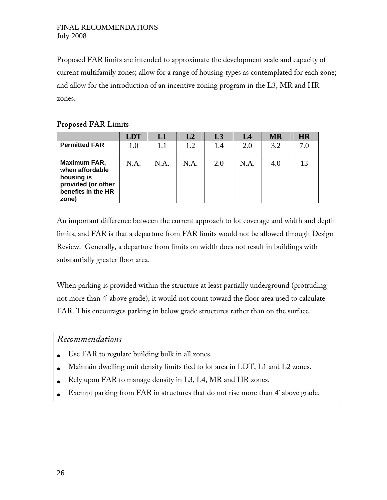Proposed FAR limits are intended to approximate the development scale and capacity of current multifamily zones; allow for a range of housing types as contemplated for each zone; and allow for the introduction of an incentive zoning program in the L3, MR and HR zones.

### Proposed FAR Limits

|                                                                                                    | <b>LDT</b> | L1   | L2   | L <sub>3</sub> | L4   | <b>MR</b> | <b>HR</b> |
|----------------------------------------------------------------------------------------------------|------------|------|------|----------------|------|-----------|-----------|
| <b>Permitted FAR</b>                                                                               | 1.0        | 1.1  | 1.2  | 1.4            | 2.0  | 3.2       | 7.0       |
| Maximum FAR,<br>when affordable<br>housing is<br>provided (or other<br>benefits in the HR<br>zone) | N.A.       | N.A. | N.A. | 2.0            | N.A. | 4.0       |           |

An important difference between the current approach to lot coverage and width and depth limits, and FAR is that a departure from FAR limits would not be allowed through Design Review. Generally, a departure from limits on width does not result in buildings with substantially greater floor area.

When parking is provided within the structure at least partially underground (protruding not more than 4' above grade), it would not count toward the floor area used to calculate FAR. This encourages parking in below grade structures rather than on the surface.

### *Recommendations*

- Use FAR to regulate building bulk in all zones.
- Maintain dwelling unit density limits tied to lot area in LDT, L1 and L2 zones.
- Rely upon FAR to manage density in L3, L4, MR and HR zones.
- Exempt parking from FAR in structures that do not rise more than 4' above grade.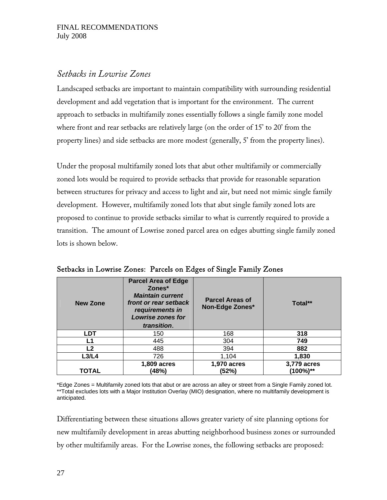## *Setbacks in Lowrise Zones*

Landscaped setbacks are important to maintain compatibility with surrounding residential development and add vegetation that is important for the environment. The current approach to setbacks in multifamily zones essentially follows a single family zone model where front and rear setbacks are relatively large (on the order of 15' to 20' from the property lines) and side setbacks are more modest (generally, 5' from the property lines).

Under the proposal multifamily zoned lots that abut other multifamily or commercially zoned lots would be required to provide setbacks that provide for reasonable separation between structures for privacy and access to light and air, but need not mimic single family development. However, multifamily zoned lots that abut single family zoned lots are proposed to continue to provide setbacks similar to what is currently required to provide a transition. The amount of Lowrise zoned parcel area on edges abutting single family zoned lots is shown below.

| <b>New Zone</b> | <b>Parcel Area of Edge</b><br>Zones*<br><b>Maintain current</b><br>front or rear setback<br>requirements in<br>Lowrise zones for<br>transition. | <b>Parcel Areas of</b><br>Non-Edge Zones* | Total**                 |
|-----------------|-------------------------------------------------------------------------------------------------------------------------------------------------|-------------------------------------------|-------------------------|
| <b>LDT</b>      | 150                                                                                                                                             | 168                                       | 318                     |
| L1              | 445                                                                                                                                             | 304                                       | 749                     |
| L2              | 488                                                                                                                                             | 394                                       | 882                     |
| L3/L4           | 726                                                                                                                                             | 1,104                                     | 1,830                   |
| <b>TOTAL</b>    | 1,809 acres<br>(48%)                                                                                                                            | 1,970 acres<br>(52%)                      | 3,779 acres<br>(100%)** |

Setbacks in Lowrise Zones: Parcels on Edges of Single Family Zones

\*Edge Zones = Multifamily zoned lots that abut or are across an alley or street from a Single Family zoned lot. \*\*Total excludes lots with a Major Institution Overlay (MIO) designation, where no multifamily development is anticipated.

Differentiating between these situations allows greater variety of site planning options for new multifamily development in areas abutting neighborhood business zones or surrounded by other multifamily areas. For the Lowrise zones, the following setbacks are proposed: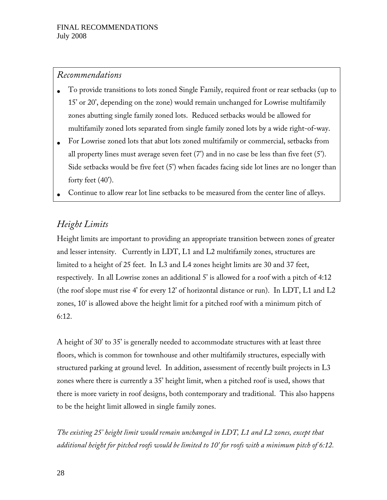### *Recommendations*

- To provide transitions to lots zoned Single Family, required front or rear setbacks (up to 15' or 20', depending on the zone) would remain unchanged for Lowrise multifamily zones abutting single family zoned lots. Reduced setbacks would be allowed for multifamily zoned lots separated from single family zoned lots by a wide right-of-way.
- For Lowrise zoned lots that abut lots zoned multifamily or commercial, setbacks from all property lines must average seven feet  $(7')$  and in no case be less than five feet  $(5')$ . Side setbacks would be five feet (5') when facades facing side lot lines are no longer than forty feet (40').
- Continue to allow rear lot line setbacks to be measured from the center line of alleys.

# *Height Limits*

Height limits are important to providing an appropriate transition between zones of greater and lesser intensity. Currently in LDT, L1 and L2 multifamily zones, structures are limited to a height of 25 feet. In L3 and L4 zones height limits are 30 and 37 feet, respectively. In all Lowrise zones an additional 5' is allowed for a roof with a pitch of 4:12 (the roof slope must rise 4' for every 12' of horizontal distance or run). In LDT, L1 and L2 zones, 10' is allowed above the height limit for a pitched roof with a minimum pitch of 6:12.

A height of 30' to 35' is generally needed to accommodate structures with at least three floors, which is common for townhouse and other multifamily structures, especially with structured parking at ground level. In addition, assessment of recently built projects in L3 zones where there is currently a 35' height limit, when a pitched roof is used, shows that there is more variety in roof designs, both contemporary and traditional. This also happens to be the height limit allowed in single family zones.

*The existing 25' height limit would remain unchanged in LDT, L1 and L2 zones, except that additional height for pitched roofs would be limited to 10' for roofs with a minimum pitch of 6:12.*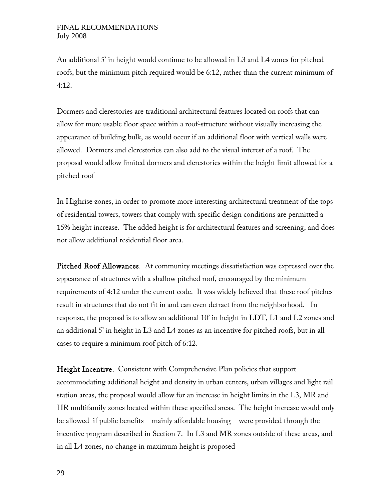An additional 5' in height would continue to be allowed in L3 and L4 zones for pitched roofs, but the minimum pitch required would be 6:12, rather than the current minimum of 4:12.

Dormers and clerestories are traditional architectural features located on roofs that can allow for more usable floor space within a roof-structure without visually increasing the appearance of building bulk, as would occur if an additional floor with vertical walls were allowed. Dormers and clerestories can also add to the visual interest of a roof. The proposal would allow limited dormers and clerestories within the height limit allowed for a pitched roof

In Highrise zones, in order to promote more interesting architectural treatment of the tops of residential towers, towers that comply with specific design conditions are permitted a 15% height increase. The added height is for architectural features and screening, and does not allow additional residential floor area.

Pitched Roof Allowances. At community meetings dissatisfaction was expressed over the appearance of structures with a shallow pitched roof, encouraged by the minimum requirements of 4:12 under the current code. It was widely believed that these roof pitches result in structures that do not fit in and can even detract from the neighborhood. In response, the proposal is to allow an additional 10' in height in LDT, L1 and L2 zones and an additional 5' in height in L3 and L4 zones as an incentive for pitched roofs, but in all cases to require a minimum roof pitch of 6:12.

Height Incentive. Consistent with Comprehensive Plan policies that support accommodating additional height and density in urban centers, urban villages and light rail station areas, the proposal would allow for an increase in height limits in the L3, MR and HR multifamily zones located within these specified areas. The height increase would only be allowed if public benefits—mainly affordable housing—were provided through the incentive program described in Section 7. In L3 and MR zones outside of these areas, and in all L4 zones, no change in maximum height is proposed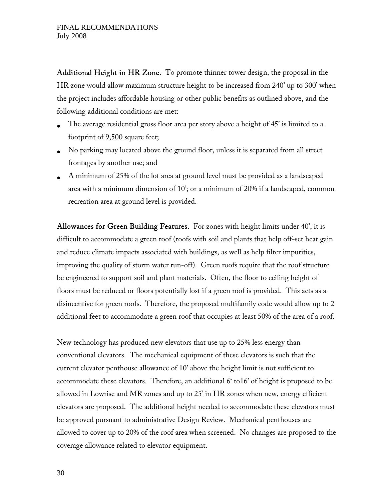Additional Height in HR Zone. To promote thinner tower design, the proposal in the HR zone would allow maximum structure height to be increased from 240' up to 300' when the project includes affordable housing or other public benefits as outlined above, and the following additional conditions are met:

- The average residential gross floor area per story above a height of 45' is limited to a footprint of 9,500 square feet;
- No parking may located above the ground floor, unless it is separated from all street frontages by another use; and
- A minimum of 25% of the lot area at ground level must be provided as a landscaped area with a minimum dimension of 10'; or a minimum of 20% if a landscaped, common recreation area at ground level is provided.

Allowances for Green Building Features. For zones with height limits under 40', it is difficult to accommodate a green roof (roofs with soil and plants that help off-set heat gain and reduce climate impacts associated with buildings, as well as help filter impurities, improving the quality of storm water run-off). Green roofs require that the roof structure be engineered to support soil and plant materials. Often, the floor to ceiling height of floors must be reduced or floors potentially lost if a green roof is provided. This acts as a disincentive for green roofs. Therefore, the proposed multifamily code would allow up to 2 additional feet to accommodate a green roof that occupies at least 50% of the area of a roof.

New technology has produced new elevators that use up to 25% less energy than conventional elevators. The mechanical equipment of these elevators is such that the current elevator penthouse allowance of 10' above the height limit is not sufficient to accommodate these elevators. Therefore, an additional 6' to16' of height is proposed to be allowed in Lowrise and MR zones and up to 25' in HR zones when new, energy efficient elevators are proposed. The additional height needed to accommodate these elevators must be approved pursuant to administrative Design Review. Mechanical penthouses are allowed to cover up to 20% of the roof area when screened. No changes are proposed to the coverage allowance related to elevator equipment.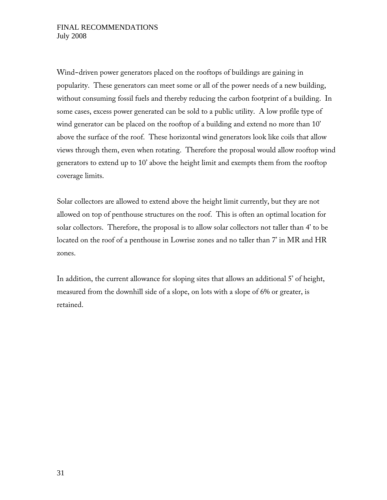Wind-driven power generators placed on the rooftops of buildings are gaining in popularity. These generators can meet some or all of the power needs of a new building, without consuming fossil fuels and thereby reducing the carbon footprint of a building. In some cases, excess power generated can be sold to a public utility. A low profile type of wind generator can be placed on the rooftop of a building and extend no more than 10' above the surface of the roof. These horizontal wind generators look like coils that allow views through them, even when rotating. Therefore the proposal would allow rooftop wind generators to extend up to 10' above the height limit and exempts them from the rooftop coverage limits.

Solar collectors are allowed to extend above the height limit currently, but they are not allowed on top of penthouse structures on the roof. This is often an optimal location for solar collectors. Therefore, the proposal is to allow solar collectors not taller than 4' to be located on the roof of a penthouse in Lowrise zones and no taller than 7' in MR and HR zones.

In addition, the current allowance for sloping sites that allows an additional 5' of height, measured from the downhill side of a slope, on lots with a slope of 6% or greater, is retained.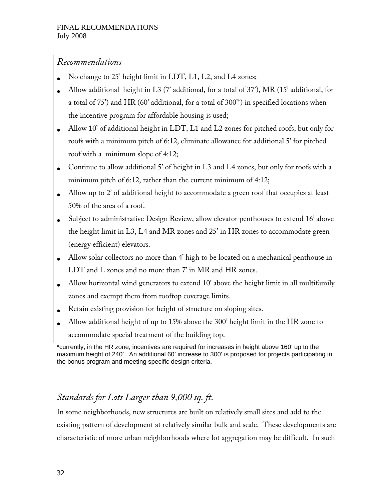## *Recommendations*

- No change to 25' height limit in LDT, L1, L2, and L4 zones;
- Allow additional height in L3 (7' additional, for a total of 37'), MR (15' additional, for a total of 75') and HR (60' additional, for a total of 300'\*) in specified locations when the incentive program for affordable housing is used;
- Allow 10' of additional height in LDT, L1 and L2 zones for pitched roofs, but only for roofs with a minimum pitch of 6:12, eliminate allowance for additional 5' for pitched roof with a minimum slope of 4:12;
- Continue to allow additional 5' of height in L3 and L4 zones, but only for roofs with a minimum pitch of 6:12, rather than the current minimum of 4:12;
- Allow up to 2' of additional height to accommodate a green roof that occupies at least 50% of the area of a roof.
- Subject to administrative Design Review, allow elevator penthouses to extend 16' above the height limit in L3, L4 and MR zones and 25' in HR zones to accommodate green (energy efficient) elevators.
- Allow solar collectors no more than 4' high to be located on a mechanical penthouse in LDT and L zones and no more than 7' in MR and HR zones.
- Allow horizontal wind generators to extend 10' above the height limit in all multifamily zones and exempt them from rooftop coverage limits.
- Retain existing provision for height of structure on sloping sites.
- Allow additional height of up to 15% above the 300' height limit in the HR zone to accommodate special treatment of the building top.

# *Standards for Lots Larger than 9,000 sq. ft.*

In some neighborhoods, new structures are built on relatively small sites and add to the existing pattern of development at relatively similar bulk and scale. These developments are characteristic of more urban neighborhoods where lot aggregation may be difficult. In such

<sup>\*</sup>currently, in the HR zone, incentives are required for increases in height above 160' up to the maximum height of 240'. An additional 60' increase to 300' is proposed for projects participating in the bonus program and meeting specific design criteria.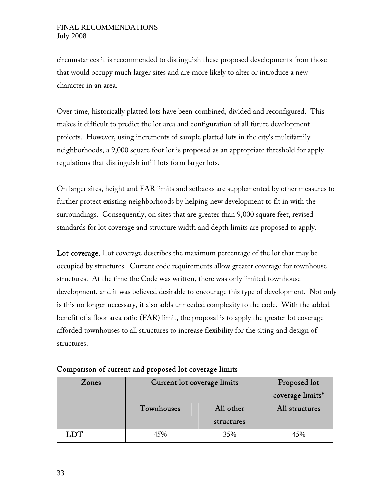circumstances it is recommended to distinguish these proposed developments from those that would occupy much larger sites and are more likely to alter or introduce a new character in an area.

Over time, historically platted lots have been combined, divided and reconfigured. This makes it difficult to predict the lot area and configuration of all future development projects. However, using increments of sample platted lots in the city's multifamily neighborhoods, a 9,000 square foot lot is proposed as an appropriate threshold for apply regulations that distinguish infill lots form larger lots.

On larger sites, height and FAR limits and setbacks are supplemented by other measures to further protect existing neighborhoods by helping new development to fit in with the surroundings. Consequently, on sites that are greater than 9,000 square feet, revised standards for lot coverage and structure width and depth limits are proposed to apply.

Lot coverage. Lot coverage describes the maximum percentage of the lot that may be occupied by structures. Current code requirements allow greater coverage for townhouse structures. At the time the Code was written, there was only limited townhouse development, and it was believed desirable to encourage this type of development. Not only is this no longer necessary, it also adds unneeded complexity to the code. With the added benefit of a floor area ratio (FAR) limit, the proposal is to apply the greater lot coverage afforded townhouses to all structures to increase flexibility for the siting and design of structures.

| Zones      | Current lot coverage limits |            | Proposed lot     |
|------------|-----------------------------|------------|------------------|
|            |                             |            | coverage limits* |
|            | Townhouses                  | All other  | All structures   |
|            |                             | structures |                  |
| <b>LDT</b> | 45%                         | 35%        | 45%              |

|  |  |  | Comparison of current and proposed lot coverage limits |
|--|--|--|--------------------------------------------------------|
|--|--|--|--------------------------------------------------------|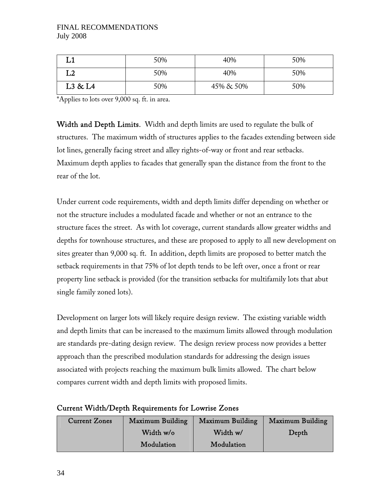|         | 50% | 40%       | 50% |
|---------|-----|-----------|-----|
| L2      | 50% | 40%       | 50% |
| L3 & L4 | 50% | 45% & 50% | 50% |

\*Applies to lots over 9,000 sq. ft. in area.

Width and Depth Limits. Width and depth limits are used to regulate the bulk of structures. The maximum width of structures applies to the facades extending between side lot lines, generally facing street and alley rights-of-way or front and rear setbacks. Maximum depth applies to facades that generally span the distance from the front to the rear of the lot.

Under current code requirements, width and depth limits differ depending on whether or not the structure includes a modulated facade and whether or not an entrance to the structure faces the street. As with lot coverage, current standards allow greater widths and depths for townhouse structures, and these are proposed to apply to all new development on sites greater than 9,000 sq. ft. In addition, depth limits are proposed to better match the setback requirements in that 75% of lot depth tends to be left over, once a front or rear property line setback is provided (for the transition setbacks for multifamily lots that abut single family zoned lots).

Development on larger lots will likely require design review. The existing variable width and depth limits that can be increased to the maximum limits allowed through modulation are standards pre-dating design review. The design review process now provides a better approach than the prescribed modulation standards for addressing the design issues associated with projects reaching the maximum bulk limits allowed. The chart below compares current width and depth limits with proposed limits.

| <b>Current Zones</b> | Maximum Building | Maximum Building | Maximum Building |
|----------------------|------------------|------------------|------------------|
|                      | Width w/o        | Width w/         | Depth            |
|                      | Modulation       | Modulation       |                  |

### Current Width/Depth Requirements for Lowrise Zones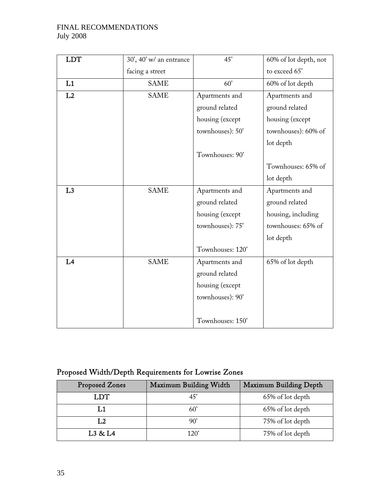| <b>LDT</b> | 30', 40' w/ an entrance | 45'              | 60% of lot depth, not |
|------------|-------------------------|------------------|-----------------------|
|            | facing a street         |                  | to exceed 65'         |
| L1         | <b>SAME</b>             | 60'              | 60% of lot depth      |
| L2         | <b>SAME</b>             | Apartments and   | Apartments and        |
|            |                         | ground related   | ground related        |
|            |                         | housing (except  | housing (except       |
|            |                         | townhouses): 50' | townhouses): 60% of   |
|            |                         |                  | lot depth             |
|            |                         | Townhouses: 90'  |                       |
|            |                         |                  | Townhouses: 65% of    |
|            |                         |                  | lot depth             |
| L3         | <b>SAME</b>             | Apartments and   | Apartments and        |
|            |                         | ground related   | ground related        |
|            |                         | housing (except  | housing, including    |
|            |                         | townhouses): 75' | townhouses: 65% of    |
|            |                         |                  | lot depth             |
|            |                         | Townhouses: 120' |                       |
| L4         | <b>SAME</b>             | Apartments and   | 65% of lot depth      |
|            |                         | ground related   |                       |
|            |                         | housing (except  |                       |
|            |                         | townhouses): 90' |                       |
|            |                         |                  |                       |
|            |                         | Townhouses: 150' |                       |

# Proposed Width/Depth Requirements for Lowrise Zones

| Proposed Zones | Maximum Building Width | Maximum Building Depth |
|----------------|------------------------|------------------------|
| LDT            |                        | 65% of lot depth       |
| 「.1            |                        | 65% of lot depth       |
| L2             | 90'                    | 75% of lot depth       |
| L3 & L4        | 120'                   | 75% of lot depth       |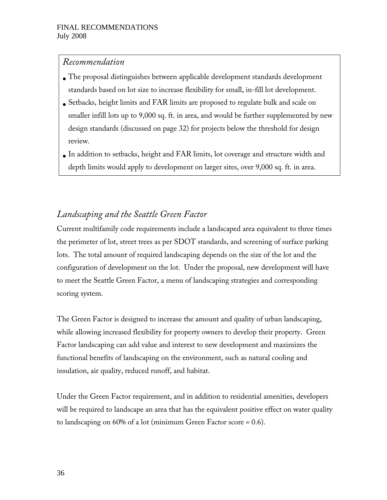## *Recommendation*

- The proposal distinguishes between applicable development standards development standards based on lot size to increase flexibility for small, in-fill lot development.
- Setbacks, height limits and FAR limits are proposed to regulate bulk and scale on smaller infill lots up to 9,000 sq. ft. in area, and would be further supplemented by new design standards (discussed on page 32) for projects below the threshold for design review.
- In addition to setbacks, height and FAR limits, lot coverage and structure width and depth limits would apply to development on larger sites, over 9,000 sq. ft. in area.

# *Landscaping and the Seattle Green Factor*

Current multifamily code requirements include a landscaped area equivalent to three times the perimeter of lot, street trees as per SDOT standards, and screening of surface parking lots. The total amount of required landscaping depends on the size of the lot and the configuration of development on the lot. Under the proposal, new development will have to meet the Seattle Green Factor, a menu of landscaping strategies and corresponding scoring system.

The Green Factor is designed to increase the amount and quality of urban landscaping, while allowing increased flexibility for property owners to develop their property. Green Factor landscaping can add value and interest to new development and maximizes the functional benefits of landscaping on the environment, such as natural cooling and insulation, air quality, reduced runoff, and habitat.

Under the Green Factor requirement, and in addition to residential amenities, developers will be required to landscape an area that has the equivalent positive effect on water quality to landscaping on 60% of a lot (minimum Green Factor score = 0.6).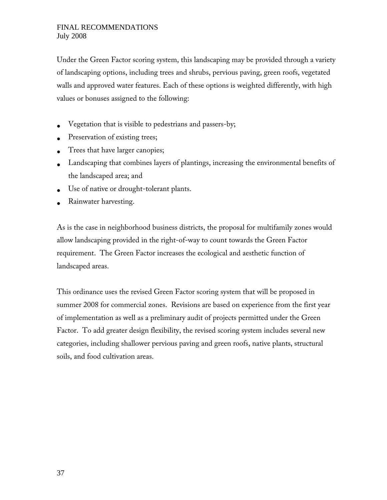Under the Green Factor scoring system, this landscaping may be provided through a variety of landscaping options, including trees and shrubs, pervious paving, green roofs, vegetated walls and approved water features. Each of these options is weighted differently, with high values or bonuses assigned to the following:

- Vegetation that is visible to pedestrians and passers-by;
- Preservation of existing trees;
- Trees that have larger canopies;
- Landscaping that combines layers of plantings, increasing the environmental benefits of the landscaped area; and
- Use of native or drought-tolerant plants.
- Rainwater harvesting.

As is the case in neighborhood business districts, the proposal for multifamily zones would allow landscaping provided in the right-of-way to count towards the Green Factor requirement. The Green Factor increases the ecological and aesthetic function of landscaped areas.

This ordinance uses the revised Green Factor scoring system that will be proposed in summer 2008 for commercial zones. Revisions are based on experience from the first year of implementation as well as a preliminary audit of projects permitted under the Green Factor. To add greater design flexibility, the revised scoring system includes several new categories, including shallower pervious paving and green roofs, native plants, structural soils, and food cultivation areas.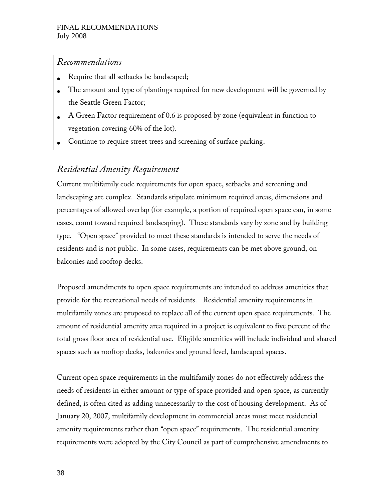## *Recommendations*

- Require that all setbacks be landscaped;
- The amount and type of plantings required for new development will be governed by the Seattle Green Factor;
- A Green Factor requirement of 0.6 is proposed by zone (equivalent in function to vegetation covering 60% of the lot).
- Continue to require street trees and screening of surface parking.

## *Residential Amenity Requirement*

Current multifamily code requirements for open space, setbacks and screening and landscaping are complex. Standards stipulate minimum required areas, dimensions and percentages of allowed overlap (for example, a portion of required open space can, in some cases, count toward required landscaping). These standards vary by zone and by building type. ''Open space'' provided to meet these standards is intended to serve the needs of residents and is not public. In some cases, requirements can be met above ground, on balconies and rooftop decks.

Proposed amendments to open space requirements are intended to address amenities that provide for the recreational needs of residents. Residential amenity requirements in multifamily zones are proposed to replace all of the current open space requirements. The amount of residential amenity area required in a project is equivalent to five percent of the total gross floor area of residential use. Eligible amenities will include individual and shared spaces such as rooftop decks, balconies and ground level, landscaped spaces.

Current open space requirements in the multifamily zones do not effectively address the needs of residents in either amount or type of space provided and open space, as currently defined, is often cited as adding unnecessarily to the cost of housing development. As of January 20, 2007, multifamily development in commercial areas must meet residential amenity requirements rather than ''open space'' requirements. The residential amenity requirements were adopted by the City Council as part of comprehensive amendments to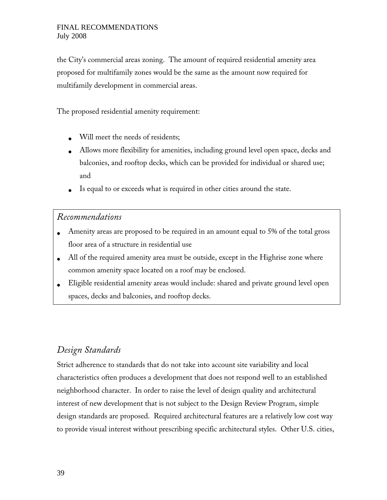the City's commercial areas zoning. The amount of required residential amenity area proposed for multifamily zones would be the same as the amount now required for multifamily development in commercial areas.

The proposed residential amenity requirement:

- Will meet the needs of residents;
- Allows more flexibility for amenities, including ground level open space, decks and balconies, and rooftop decks, which can be provided for individual or shared use; and
- Is equal to or exceeds what is required in other cities around the state.

### *Recommendations*

- Amenity areas are proposed to be required in an amount equal to 5% of the total gross floor area of a structure in residential use
- All of the required amenity area must be outside, except in the Highrise zone where common amenity space located on a roof may be enclosed.
- Eligible residential amenity areas would include: shared and private ground level open spaces, decks and balconies, and rooftop decks.

## *Design Standards*

Strict adherence to standards that do not take into account site variability and local characteristics often produces a development that does not respond well to an established neighborhood character. In order to raise the level of design quality and architectural interest of new development that is not subject to the Design Review Program, simple design standards are proposed. Required architectural features are a relatively low cost way to provide visual interest without prescribing specific architectural styles. Other U.S. cities,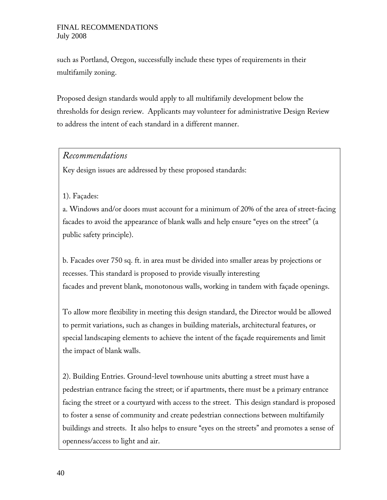such as Portland, Oregon, successfully include these types of requirements in their multifamily zoning.

Proposed design standards would apply to all multifamily development below the thresholds for design review. Applicants may volunteer for administrative Design Review to address the intent of each standard in a different manner.

### *Recommendations*

Key design issues are addressed by these proposed standards:

#### 1). Façades:

a. Windows and/or doors must account for a minimum of 20% of the area of street-facing facades to avoid the appearance of blank walls and help ensure "eyes on the street" (a public safety principle).

b. Facades over 750 sq. ft. in area must be divided into smaller areas by projections or recesses. This standard is proposed to provide visually interesting facades and prevent blank, monotonous walls, working in tandem with façade openings.

To allow more flexibility in meeting this design standard, the Director would be allowed to permit variations, such as changes in building materials, architectural features, or special landscaping elements to achieve the intent of the façade requirements and limit the impact of blank walls.

2). Building Entries. Ground-level townhouse units abutting a street must have a pedestrian entrance facing the street; or if apartments, there must be a primary entrance facing the street or a courtyard with access to the street. This design standard is proposed to foster a sense of community and create pedestrian connections between multifamily buildings and streets. It also helps to ensure "eyes on the streets" and promotes a sense of openness/access to light and air.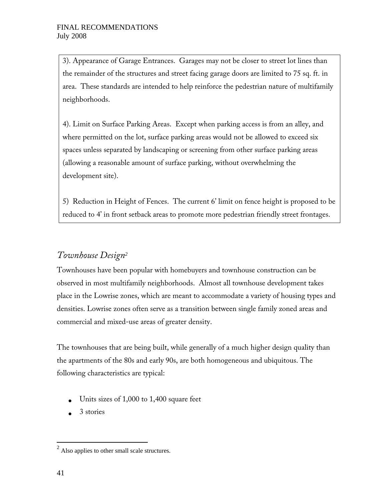3). Appearance of Garage Entrances. Garages may not be closer to street lot lines than the remainder of the structures and street facing garage doors are limited to 75 sq. ft. in area. These standards are intended to help reinforce the pedestrian nature of multifamily neighborhoods.

4). Limit on Surface Parking Areas. Except when parking access is from an alley, and where permitted on the lot, surface parking areas would not be allowed to exceed six spaces unless separated by landscaping or screening from other surface parking areas (allowing a reasonable amount of surface parking, without overwhelming the development site).

5) Reduction in Height of Fences. The current 6' limit on fence height is proposed to be reduced to 4' in front setback areas to promote more pedestrian friendly street frontages.

## *Townhouse Design<sup>2</sup>*

Townhouses have been popular with homebuyers and townhouse construction can be observed in most multifamily neighborhoods. Almost all townhouse development takes place in the Lowrise zones, which are meant to accommodate a variety of housing types and densities. Lowrise zones often serve as a transition between single family zoned areas and commercial and mixed-use areas of greater density.

The townhouses that are being built, while generally of a much higher design quality than the apartments of the 80s and early 90s, are both homogeneous and ubiquitous. The following characteristics are typical:

- Units sizes of 1,000 to 1,400 square feet
- $\bullet$  3 stories

<sup>&</sup>lt;sup>2</sup> Also applies to other small scale structures.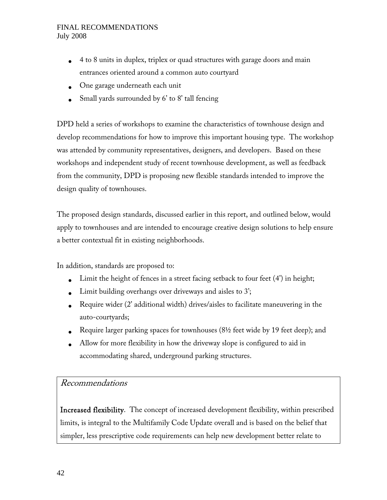- 4 to 8 units in duplex, triplex or quad structures with garage doors and main entrances oriented around a common auto courtyard
- One garage underneath each unit
- Small yards surrounded by 6' to 8' tall fencing

DPD held a series of workshops to examine the characteristics of townhouse design and develop recommendations for how to improve this important housing type. The workshop was attended by community representatives, designers, and developers. Based on these workshops and independent study of recent townhouse development, as well as feedback from the community, DPD is proposing new flexible standards intended to improve the design quality of townhouses.

The proposed design standards, discussed earlier in this report, and outlined below, would apply to townhouses and are intended to encourage creative design solutions to help ensure a better contextual fit in existing neighborhoods.

In addition, standards are proposed to:

- Limit the height of fences in a street facing setback to four feet  $(4')$  in height;
- Limit building overhangs over driveways and aisles to 3';
- Require wider (2' additional width) drives/aisles to facilitate maneuvering in the auto-courtyards;
- Require larger parking spaces for townhouses  $(8\frac{1}{2})$  feet wide by 19 feet deep); and
- Allow for more flexibility in how the driveway slope is configured to aid in accommodating shared, underground parking structures.

## Recommendations

Increased flexibility. The concept of increased development flexibility, within prescribed limits, is integral to the Multifamily Code Update overall and is based on the belief that simpler, less prescriptive code requirements can help new development better relate to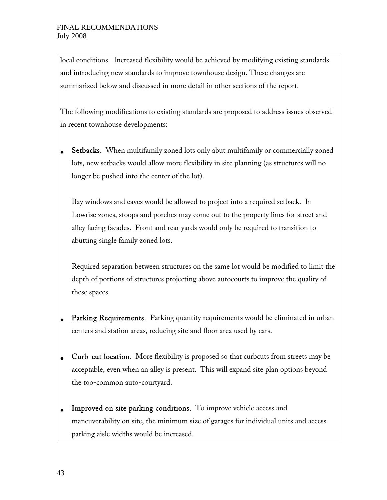local conditions. Increased flexibility would be achieved by modifying existing standards and introducing new standards to improve townhouse design. These changes are summarized below and discussed in more detail in other sections of the report.

The following modifications to existing standards are proposed to address issues observed in recent townhouse developments:

• Setbacks. When multifamily zoned lots only abut multifamily or commercially zoned lots, new setbacks would allow more flexibility in site planning (as structures will no longer be pushed into the center of the lot).

Bay windows and eaves would be allowed to project into a required setback. In Lowrise zones, stoops and porches may come out to the property lines for street and alley facing facades. Front and rear yards would only be required to transition to abutting single family zoned lots.

Required separation between structures on the same lot would be modified to limit the depth of portions of structures projecting above autocourts to improve the quality of these spaces.

- Parking Requirements. Parking quantity requirements would be eliminated in urban centers and station areas, reducing site and floor area used by cars.
- Curb-cut location. More flexibility is proposed so that curbcuts from streets may be acceptable, even when an alley is present. This will expand site plan options beyond the too-common auto-courtyard.
- Improved on site parking conditions. To improve vehicle access and maneuverability on site, the minimum size of garages for individual units and access parking aisle widths would be increased.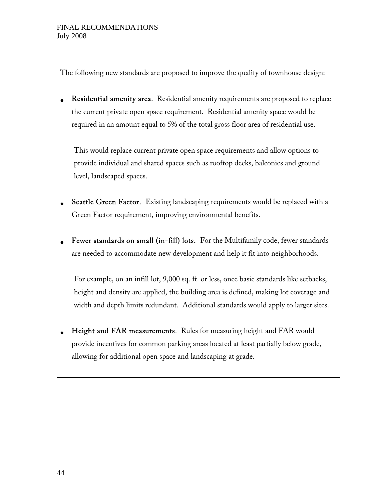The following new standards are proposed to improve the quality of townhouse design:

• Residential amenity area. Residential amenity requirements are proposed to replace the current private open space requirement. Residential amenity space would be required in an amount equal to 5% of the total gross floor area of residential use.

This would replace current private open space requirements and allow options to provide individual and shared spaces such as rooftop decks, balconies and ground level, landscaped spaces.

- Seattle Green Factor. Existing landscaping requirements would be replaced with a Green Factor requirement, improving environmental benefits.
- Fewer standards on small (in-fill) lots. For the Multifamily code, fewer standards are needed to accommodate new development and help it fit into neighborhoods.

For example, on an infill lot, 9,000 sq. ft. or less, once basic standards like setbacks, height and density are applied, the building area is defined, making lot coverage and width and depth limits redundant. Additional standards would apply to larger sites.

• Height and FAR measurements. Rules for measuring height and FAR would provide incentives for common parking areas located at least partially below grade, allowing for additional open space and landscaping at grade.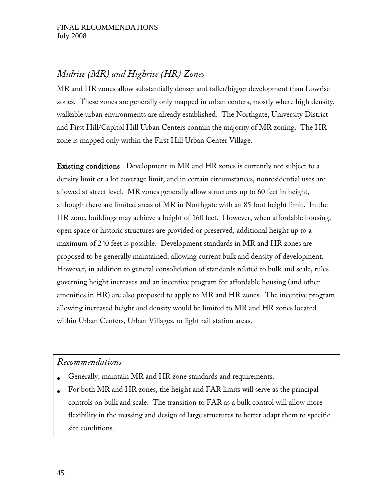# *Midrise (MR) and Highrise (HR) Zones*

MR and HR zones allow substantially denser and taller/bigger development than Lowrise zones. These zones are generally only mapped in urban centers, mostly where high density, walkable urban environments are already established. The Northgate, University District and First Hill/Capitol Hill Urban Centers contain the majority of MR zoning. The HR zone is mapped only within the First Hill Urban Center Village.

Existing conditions. Development in MR and HR zones is currently not subject to a density limit or a lot coverage limit, and in certain circumstances, nonresidential uses are allowed at street level. MR zones generally allow structures up to 60 feet in height, although there are limited areas of MR in Northgate with an 85 foot height limit. In the HR zone, buildings may achieve a height of 160 feet. However, when affordable housing, open space or historic structures are provided or preserved, additional height up to a maximum of 240 feet is possible. Development standards in MR and HR zones are proposed to be generally maintained, allowing current bulk and density of development. However, in addition to general consolidation of standards related to bulk and scale, rules governing height increases and an incentive program for affordable housing (and other amenities in HR) are also proposed to apply to MR and HR zones. The incentive program allowing increased height and density would be limited to MR and HR zones located within Urban Centers, Urban Villages, or light rail station areas.

## *Recommendations*

- Generally, maintain MR and HR zone standards and requirements.
- For both MR and HR zones, the height and FAR limits will serve as the principal controls on bulk and scale. The transition to FAR as a bulk control will allow more flexibility in the massing and design of large structures to better adapt them to specific site conditions.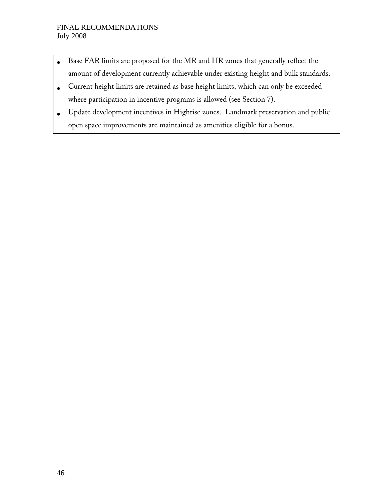- Base FAR limits are proposed for the MR and HR zones that generally reflect the amount of development currently achievable under existing height and bulk standards.
- Current height limits are retained as base height limits, which can only be exceeded where participation in incentive programs is allowed (see Section 7).
- Update development incentives in Highrise zones. Landmark preservation and public open space improvements are maintained as amenities eligible for a bonus.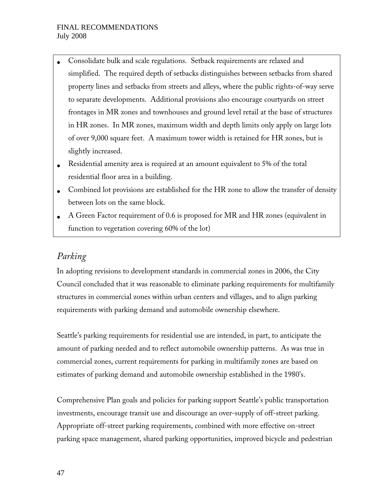- Consolidate bulk and scale regulations. Setback requirements are relaxed and simplified. The required depth of setbacks distinguishes between setbacks from shared property lines and setbacks from streets and alleys, where the public rights-of-way serve to separate developments. Additional provisions also encourage courtyards on street frontages in MR zones and townhouses and ground level retail at the base of structures in HR zones. In MR zones, maximum width and depth limits only apply on large lots of over 9,000 square feet. A maximum tower width is retained for HR zones, but is slightly increased.
- Residential amenity area is required at an amount equivalent to 5% of the total residential floor area in a building.
- Combined lot provisions are established for the HR zone to allow the transfer of density between lots on the same block.
- A Green Factor requirement of 0.6 is proposed for MR and HR zones (equivalent in function to vegetation covering 60% of the lot)

## *Parking*

In adopting revisions to development standards in commercial zones in 2006, the City Council concluded that it was reasonable to eliminate parking requirements for multifamily structures in commercial zones within urban centers and villages, and to align parking requirements with parking demand and automobile ownership elsewhere.

Seattle's parking requirements for residential use are intended, in part, to anticipate the amount of parking needed and to reflect automobile ownership patterns. As was true in commercial zones, current requirements for parking in multifamily zones are based on estimates of parking demand and automobile ownership established in the 1980's.

Comprehensive Plan goals and policies for parking support Seattle's public transportation investments, encourage transit use and discourage an over-supply of off-street parking. Appropriate off-street parking requirements, combined with more effective on-street parking space management, shared parking opportunities, improved bicycle and pedestrian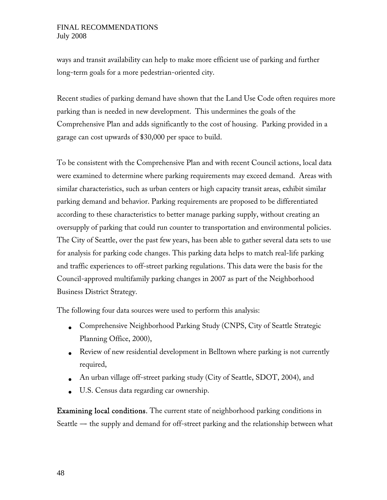ways and transit availability can help to make more efficient use of parking and further long-term goals for a more pedestrian-oriented city.

Recent studies of parking demand have shown that the Land Use Code often requires more parking than is needed in new development. This undermines the goals of the Comprehensive Plan and adds significantly to the cost of housing. Parking provided in a garage can cost upwards of \$30,000 per space to build.

To be consistent with the Comprehensive Plan and with recent Council actions, local data were examined to determine where parking requirements may exceed demand. Areas with similar characteristics, such as urban centers or high capacity transit areas, exhibit similar parking demand and behavior. Parking requirements are proposed to be differentiated according to these characteristics to better manage parking supply, without creating an oversupply of parking that could run counter to transportation and environmental policies. The City of Seattle, over the past few years, has been able to gather several data sets to use for analysis for parking code changes. This parking data helps to match real-life parking and traffic experiences to off-street parking regulations. This data were the basis for the Council-approved multifamily parking changes in 2007 as part of the Neighborhood Business District Strategy.

The following four data sources were used to perform this analysis:

- Comprehensive Neighborhood Parking Study (CNPS, City of Seattle Strategic Planning Office, 2000),
- Review of new residential development in Belltown where parking is not currently required,
- An urban village off-street parking study (City of Seattle, SDOT, 2004), and
- U.S. Census data regarding car ownership.

Examining local conditions. The current state of neighborhood parking conditions in Seattle  $-$  the supply and demand for off-street parking and the relationship between what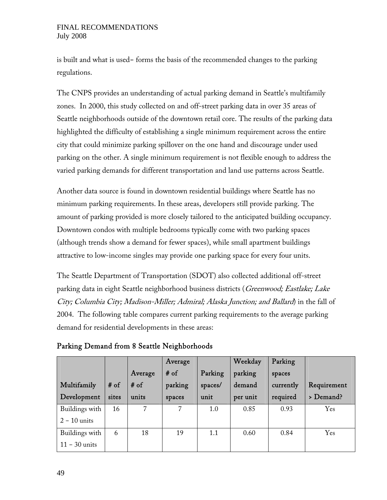is built and what is used-- forms the basis of the recommended changes to the parking regulations.

The CNPS provides an understanding of actual parking demand in Seattle's multifamily zones. In 2000, this study collected on and off-street parking data in over 35 areas of Seattle neighborhoods outside of the downtown retail core. The results of the parking data highlighted the difficulty of establishing a single minimum requirement across the entire city that could minimize parking spillover on the one hand and discourage under used parking on the other. A single minimum requirement is not flexible enough to address the varied parking demands for different transportation and land use patterns across Seattle.

Another data source is found in downtown residential buildings where Seattle has no minimum parking requirements. In these areas, developers still provide parking. The amount of parking provided is more closely tailored to the anticipated building occupancy. Downtown condos with multiple bedrooms typically come with two parking spaces (although trends show a demand for fewer spaces), while small apartment buildings attractive to low-income singles may provide one parking space for every four units.

The Seattle Department of Transportation (SDOT) also collected additional off-street parking data in eight Seattle neighborhood business districts (Greenwood; Eastlake; Lake City; Columbia City; Madison-Miller; Admiral; Alaska Junction; and Ballard) in the fall of 2004. The following table compares current parking requirements to the average parking demand for residential developments in these areas:

| Multifamily<br>Development        | $#$ of<br>sites | Average<br># of<br>units | Average<br>$#$ of<br>parking<br>spaces | Parking<br>spaces/<br>unit | Weekday<br>parking<br>demand<br>per unit | Parking<br>spaces<br>currently<br>required | Requirement<br>> Demand? |
|-----------------------------------|-----------------|--------------------------|----------------------------------------|----------------------------|------------------------------------------|--------------------------------------------|--------------------------|
| Buildings with<br>$2 - 10$ units  | 16              | 7                        | 7                                      | 1.0                        | 0.85                                     | 0.93                                       | Yes                      |
| Buildings with<br>$11 - 30$ units | 6               | 18                       | 19                                     | 1.1                        | 0.60                                     | 0.84                                       | <b>Yes</b>               |

Parking Demand from 8 Seattle Neighborhoods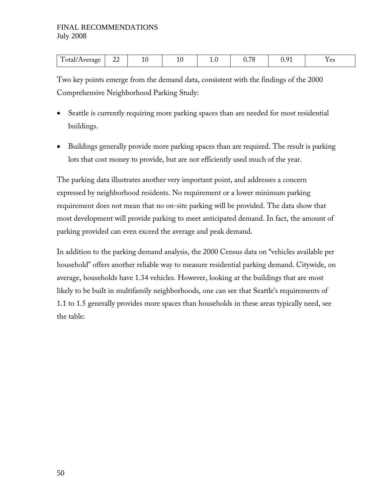| $\mathbf{r}$<br>$\sim$<br>Average<br>cav.<br>44<br>ᆂ<br><b><i><u>A</u></i> A</b> | ⊥∙∪<br>- - | $\overline{\phantom{a}}$<br>v. 1 c | $\mathbf{\hat{a}}$ | $\Omega$<br>1 C O |
|----------------------------------------------------------------------------------|------------|------------------------------------|--------------------|-------------------|
|----------------------------------------------------------------------------------|------------|------------------------------------|--------------------|-------------------|

Two key points emerge from the demand data, consistent with the findings of the 2000 Comprehensive Neighborhood Parking Study:

- Seattle is currently requiring more parking spaces than are needed for most residential buildings.
- Buildings generally provide more parking spaces than are required. The result is parking lots that cost money to provide, but are not efficiently used much of the year.

The parking data illustrates another very important point, and addresses a concern expressed by neighborhood residents. No requirement or a lower minimum parking requirement does not mean that no on-site parking will be provided. The data show that most development will provide parking to meet anticipated demand. In fact, the amount of parking provided can even exceed the average and peak demand.

In addition to the parking demand analysis, the 2000 Census data on ''vehicles available per household'' offers another reliable way to measure residential parking demand. Citywide, on average, households have 1.34 vehicles. However, looking at the buildings that are most likely to be built in multifamily neighborhoods, one can see that Seattle's requirements of 1.1 to 1.5 generally provides more spaces than households in these areas typically need, see the table: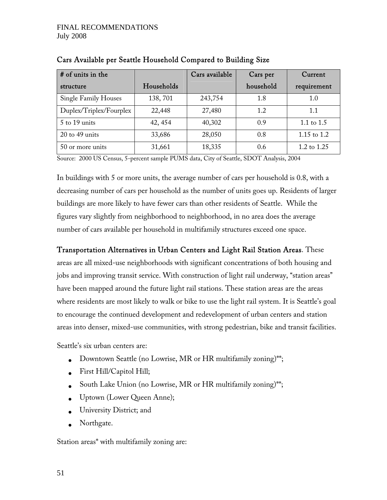| # of units in the           |            | Cars available | Cars per  | Current       |
|-----------------------------|------------|----------------|-----------|---------------|
| structure                   | Households |                | household | requirement   |
| <b>Single Family Houses</b> | 138,701    | 243,754        | 1.8       | 1.0           |
| Duplex/Triplex/Fourplex     | 22,448     | 27,480         | 1.2       | 1.1           |
| $5$ to 19 units             | 42, 454    | 40,302         | 0.9       | 1.1 to $1.5$  |
| $20$ to 49 units            | 33,686     | 28,050         | 0.8       | 1.15 to $1.2$ |
| 50 or more units            | 31,661     | 18,335         | 0.6       | 1.2 to $1.25$ |

Cars Available per Seattle Household Compared to Building Size

Source: 2000 US Census, 5-percent sample PUMS data, City of Seattle, SDOT Analysis, 2004

In buildings with 5 or more units, the average number of cars per household is 0.8, with a decreasing number of cars per household as the number of units goes up. Residents of larger buildings are more likely to have fewer cars than other residents of Seattle. While the figures vary slightly from neighborhood to neighborhood, in no area does the average number of cars available per household in multifamily structures exceed one space.

Transportation Alternatives in Urban Centers and Light Rail Station Areas. These areas are all mixed-use neighborhoods with significant concentrations of both housing and jobs and improving transit service. With construction of light rail underway, "station areas" have been mapped around the future light rail stations. These station areas are the areas where residents are most likely to walk or bike to use the light rail system. It is Seattle's goal to encourage the continued development and redevelopment of urban centers and station areas into denser, mixed-use communities, with strong pedestrian, bike and transit facilities.

Seattle's six urban centers are:

- Downtown Seattle (no Lowrise, MR or HR multifamily zoning)\*\*;
- First Hill/Capitol Hill;
- South Lake Union (no Lowrise, MR or HR multifamily zoning)\*\*;
- Uptown (Lower Queen Anne);
- University District; and
- Northgate.

Station areas\* with multifamily zoning are: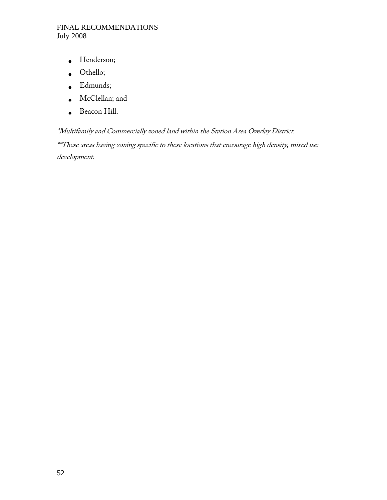- Henderson;
- Othello;
- Edmunds;
- McClellan; and
- Beacon Hill.

\*Multifamily and Commercially zoned land within the Station Area Overlay District. \*\*These areas having zoning specific to these locations that encourage high density, mixed use development.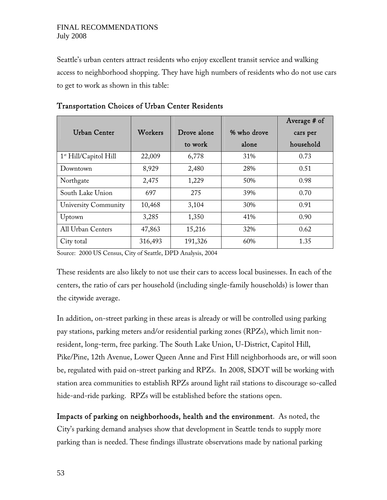Seattle's urban centers attract residents who enjoy excellent transit service and walking access to neighborhood shopping. They have high numbers of residents who do not use cars to get to work as shown in this table:

|                                   |         |             |             | Average # of |
|-----------------------------------|---------|-------------|-------------|--------------|
| Urban Center                      | Workers | Drove alone | % who drove | cars per     |
|                                   |         | to work     | alone       | household    |
| 1 <sup>st</sup> Hill/Capitol Hill | 22,009  | 6,778       | 31\%        | 0.73         |
| Downtown                          | 8,929   | 2,480       | 28%         | 0.51         |
| Northgate                         | 2,475   | 1,229       | 50%         | 0.98         |
| South Lake Union                  | 697     | 275         | 39%         | 0.70         |
| University Community              | 10,468  | 3,104       | 30%         | 0.91         |
| Uptown                            | 3,285   | 1,350       | 41\%        | 0.90         |
| All Urban Centers                 | 47,863  | 15,216      | 32%         | 0.62         |
| City total                        | 316,493 | 191,326     | 60%         | 1.35         |

#### Transportation Choices of Urban Center Residents

Source: 2000 US Census, City of Seattle, DPD Analysis, 2004

These residents are also likely to not use their cars to access local businesses. In each of the centers, the ratio of cars per household (including single-family households) is lower than the citywide average.

In addition, on-street parking in these areas is already or will be controlled using parking pay stations, parking meters and/or residential parking zones (RPZs), which limit nonresident, long-term, free parking. The South Lake Union, U-District, Capitol Hill, Pike/Pine, 12th Avenue, Lower Queen Anne and First Hill neighborhoods are, or will soon be, regulated with paid on-street parking and RPZs. In 2008, SDOT will be working with station area communities to establish RPZs around light rail stations to discourage so-called hide-and-ride parking. RPZs will be established before the stations open.

Impacts of parking on neighborhoods, health and the environment. As noted, the City's parking demand analyses show that development in Seattle tends to supply more parking than is needed. These findings illustrate observations made by national parking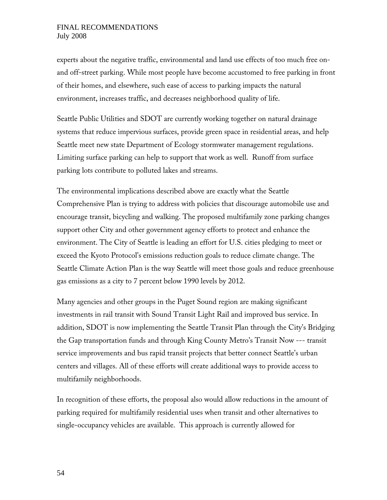experts about the negative traffic, environmental and land use effects of too much free onand off-street parking. While most people have become accustomed to free parking in front of their homes, and elsewhere, such ease of access to parking impacts the natural environment, increases traffic, and decreases neighborhood quality of life.

Seattle Public Utilities and SDOT are currently working together on natural drainage systems that reduce impervious surfaces, provide green space in residential areas, and help Seattle meet new state Department of Ecology stormwater management regulations. Limiting surface parking can help to support that work as well. Runoff from surface parking lots contribute to polluted lakes and streams.

The environmental implications described above are exactly what the Seattle Comprehensive Plan is trying to address with policies that discourage automobile use and encourage transit, bicycling and walking. The proposed multifamily zone parking changes support other City and other government agency efforts to protect and enhance the environment. The City of Seattle is leading an effort for U.S. cities pledging to meet or exceed the Kyoto Protocol's emissions reduction goals to reduce climate change. The Seattle Climate Action Plan is the way Seattle will meet those goals and reduce greenhouse gas emissions as a city to 7 percent below 1990 levels by 2012.

Many agencies and other groups in the Puget Sound region are making significant investments in rail transit with Sound Transit Light Rail and improved bus service. In addition, SDOT is now implementing the Seattle Transit Plan through the City's Bridging the Gap transportation funds and through King County Metro's Transit Now --- transit service improvements and bus rapid transit projects that better connect Seattle's urban centers and villages. All of these efforts will create additional ways to provide access to multifamily neighborhoods.

In recognition of these efforts, the proposal also would allow reductions in the amount of parking required for multifamily residential uses when transit and other alternatives to single-occupancy vehicles are available. This approach is currently allowed for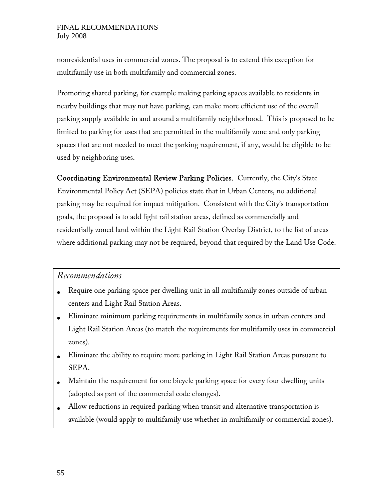nonresidential uses in commercial zones. The proposal is to extend this exception for multifamily use in both multifamily and commercial zones.

Promoting shared parking, for example making parking spaces available to residents in nearby buildings that may not have parking, can make more efficient use of the overall parking supply available in and around a multifamily neighborhood. This is proposed to be limited to parking for uses that are permitted in the multifamily zone and only parking spaces that are not needed to meet the parking requirement, if any, would be eligible to be used by neighboring uses.

Coordinating Environmental Review Parking Policies. Currently, the City's State Environmental Policy Act (SEPA) policies state that in Urban Centers, no additional parking may be required for impact mitigation. Consistent with the City's transportation goals, the proposal is to add light rail station areas, defined as commercially and residentially zoned land within the Light Rail Station Overlay District, to the list of areas where additional parking may not be required, beyond that required by the Land Use Code.

## *Recommendations*

- Require one parking space per dwelling unit in all multifamily zones outside of urban centers and Light Rail Station Areas.
- Eliminate minimum parking requirements in multifamily zones in urban centers and Light Rail Station Areas (to match the requirements for multifamily uses in commercial zones).
- Eliminate the ability to require more parking in Light Rail Station Areas pursuant to SEPA.
- Maintain the requirement for one bicycle parking space for every four dwelling units (adopted as part of the commercial code changes).
- Allow reductions in required parking when transit and alternative transportation is available (would apply to multifamily use whether in multifamily or commercial zones).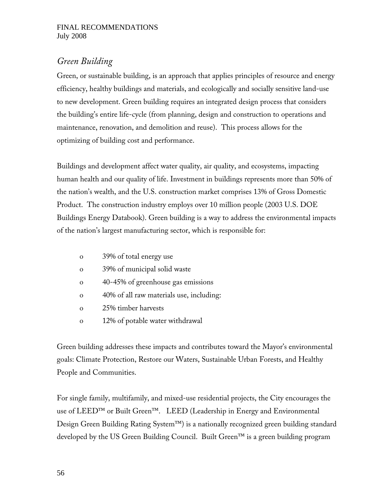## *Green Building*

Green, or sustainable building, is an approach that applies principles of resource and energy efficiency, healthy buildings and materials, and ecologically and socially sensitive land-use to new development. Green building requires an integrated design process that considers the building's entire life-cycle (from planning, design and construction to operations and maintenance, renovation, and demolition and reuse). This process allows for the optimizing of building cost and performance.

Buildings and development affect water quality, air quality, and ecosystems, impacting human health and our quality of life. Investment in buildings represents more than 50% of the nation's wealth, and the U.S. construction market comprises 13% of Gross Domestic Product. The construction industry employs over 10 million people (2003 U.S. DOE Buildings Energy Databook). Green building is a way to address the environmental impacts of the nation's largest manufacturing sector, which is responsible for:

- o 39% of total energy use
- o 39% of municipal solid waste
- o 40-45% of greenhouse gas emissions
- o 40% of all raw materials use, including:
- o 25% timber harvests
- o 12% of potable water withdrawal

Green building addresses these impacts and contributes toward the Mayor's environmental goals: Climate Protection, Restore our Waters, Sustainable Urban Forests, and Healthy People and Communities.

For single family, multifamily, and mixed-use residential projects, the City encourages the use of LEED™ or Built Green™. LEED (Leadership in Energy and Environmental Design Green Building Rating System™) is a nationally recognized green building standard developed by the US Green Building Council. Built Green™ is a green building program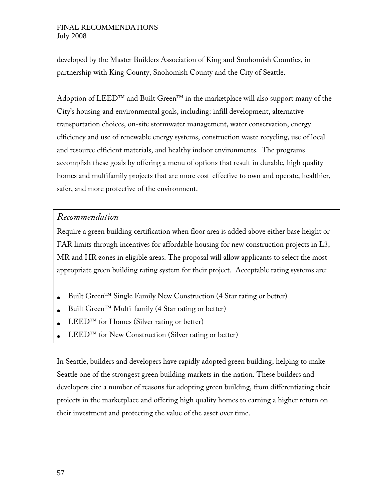developed by the Master Builders Association of King and Snohomish Counties, in partnership with King County, Snohomish County and the City of Seattle.

Adoption of LEED<sup>™</sup> and Built Green<sup>™</sup> in the marketplace will also support many of the City's housing and environmental goals, including: infill development, alternative transportation choices, on-site stormwater management, water conservation, energy efficiency and use of renewable energy systems, construction waste recycling, use of local and resource efficient materials, and healthy indoor environments. The programs accomplish these goals by offering a menu of options that result in durable, high quality homes and multifamily projects that are more cost-effective to own and operate, healthier, safer, and more protective of the environment.

### *Recommendation*

Require a green building certification when floor area is added above either base height or FAR limits through incentives for affordable housing for new construction projects in L3, MR and HR zones in eligible areas. The proposal will allow applicants to select the most appropriate green building rating system for their project. Acceptable rating systems are:

- Built Green™ Single Family New Construction (4 Star rating or better)
- Built Green™ Multi-family (4 Star rating or better)
- $LEED^{TM}$  for Homes (Silver rating or better)
- LEED<sup>™</sup> for New Construction (Silver rating or better)

In Seattle, builders and developers have rapidly adopted green building, helping to make Seattle one of the strongest green building markets in the nation. These builders and developers cite a number of reasons for adopting green building, from differentiating their projects in the marketplace and offering high quality homes to earning a higher return on their investment and protecting the value of the asset over time.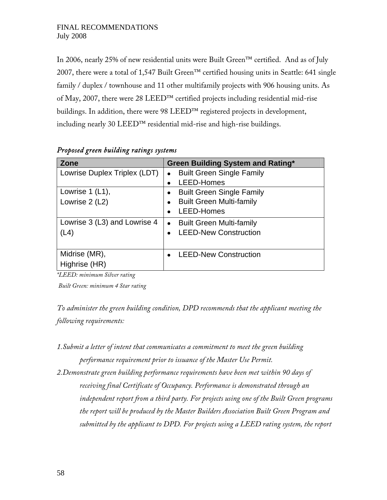In 2006, nearly 25% of new residential units were Built Green™ certified. And as of July 2007, there were a total of 1,547 Built Green™ certified housing units in Seattle: 641 single family / duplex / townhouse and 11 other multifamily projects with 906 housing units. As of May, 2007, there were 28 LEED™ certified projects including residential mid-rise buildings. In addition, there were 98 LEED™ registered projects in development, including nearly 30 LEED™ residential mid-rise and high-rise buildings.

| <b>Zone</b>                  | <b>Green Building System and Rating*</b> |
|------------------------------|------------------------------------------|
| Lowrise Duplex Triplex (LDT) | <b>Built Green Single Family</b>         |
|                              | LEED-Homes                               |
| Lowrise $1$ (L1),            | <b>Built Green Single Family</b>         |
| Lowrise 2 (L2)               | <b>Built Green Multi-family</b>          |
|                              | LEED-Homes                               |
| Lowrise 3 (L3) and Lowrise 4 | <b>Built Green Multi-family</b>          |
| (L4)                         | <b>LEED-New Construction</b>             |
|                              |                                          |
| Midrise (MR),                | <b>LEED-New Construction</b>             |
| Highrise (HR)                |                                          |

#### *Proposed green building ratings systems*

*\*LEED: minimum Silver rating* 

 *Built Green: minimum 4 Star rating* 

*To administer the green building condition, DPD recommends that the applicant meeting the following requirements:* 

- *1.Submit a letter of intent that communicates a commitment to meet the green building performance requirement prior to issuance of the Master Use Permit.*
- *2.Demonstrate green building performance requirements have been met within 90 days of receiving final Certificate of Occupancy. Performance is demonstrated through an independent report from a third party. For projects using one of the Built Green programs the report will be produced by the Master Builders Association Built Green Program and submitted by the applicant to DPD. For projects using a LEED rating system, the report*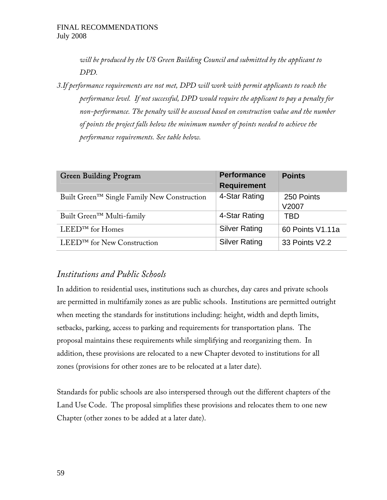*will be produced by the US Green Building Council and submitted by the applicant to DPD.* 

*3.If performance requirements are not met, DPD will work with permit applicants to reach the performance level. If not successful, DPD would require the applicant to pay a penalty for non-performance. The penalty will be assessed based on construction value and the number of points the project falls below the minimum number of points needed to achieve the performance requirements. See table below.* 

| Green Building Program                      | <b>Performance</b><br><b>Requirement</b> | <b>Points</b>       |
|---------------------------------------------|------------------------------------------|---------------------|
| Built Green™ Single Family New Construction | 4-Star Rating                            | 250 Points<br>V2007 |
| Built Green <sup>™</sup> Multi-family       | 4-Star Rating                            | TBD                 |
| $LEED^{TM}$ for Homes                       | <b>Silver Rating</b>                     | 60 Points V1.11a    |
| LEED <sup>™</sup> for New Construction      | <b>Silver Rating</b>                     | 33 Points V2.2      |

## *Institutions and Public Schools*

In addition to residential uses, institutions such as churches, day cares and private schools are permitted in multifamily zones as are public schools. Institutions are permitted outright when meeting the standards for institutions including: height, width and depth limits, setbacks, parking, access to parking and requirements for transportation plans. The proposal maintains these requirements while simplifying and reorganizing them. In addition, these provisions are relocated to a new Chapter devoted to institutions for all zones (provisions for other zones are to be relocated at a later date).

Standards for public schools are also interspersed through out the different chapters of the Land Use Code. The proposal simplifies these provisions and relocates them to one new Chapter (other zones to be added at a later date).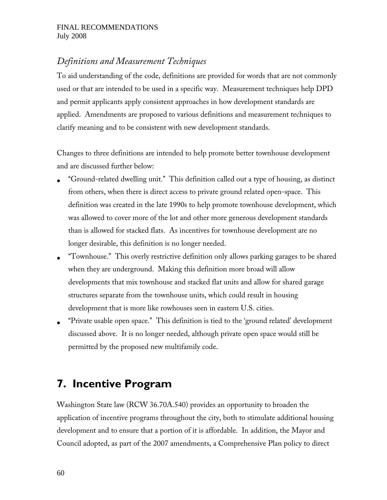## *Definitions and Measurement Techniques*

To aid understanding of the code, definitions are provided for words that are not commonly used or that are intended to be used in a specific way. Measurement techniques help DPD and permit applicants apply consistent approaches in how development standards are applied. Amendments are proposed to various definitions and measurement techniques to clarify meaning and to be consistent with new development standards.

Changes to three definitions are intended to help promote better townhouse development and are discussed further below:

- ''Ground-related dwelling unit.'' This definition called out a type of housing, as distinct from others, when there is direct access to private ground related open-space. This definition was created in the late 1990s to help promote townhouse development, which was allowed to cover more of the lot and other more generous development standards than is allowed for stacked flats. As incentives for townhouse development are no longer desirable, this definition is no longer needed.
- ''Townhouse.'' This overly restrictive definition only allows parking garages to be shared when they are underground. Making this definition more broad will allow developments that mix townhouse and stacked flat units and allow for shared garage structures separate from the townhouse units, which could result in housing development that is more like rowhouses seen in eastern U.S. cities.
- ''Private usable open space.'' This definition is tied to the 'ground related' development discussed above. It is no longer needed, although private open space would still be permitted by the proposed new multifamily code.

# **7. Incentive Program**

Washington State law (RCW 36.70A.540) provides an opportunity to broaden the application of incentive programs throughout the city, both to stimulate additional housing development and to ensure that a portion of it is affordable. In addition, the Mayor and Council adopted, as part of the 2007 amendments, a Comprehensive Plan policy to direct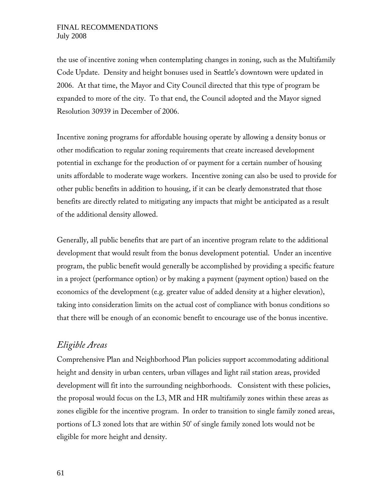the use of incentive zoning when contemplating changes in zoning, such as the Multifamily Code Update. Density and height bonuses used in Seattle's downtown were updated in 2006. At that time, the Mayor and City Council directed that this type of program be expanded to more of the city. To that end, the Council adopted and the Mayor signed Resolution 30939 in December of 2006.

Incentive zoning programs for affordable housing operate by allowing a density bonus or other modification to regular zoning requirements that create increased development potential in exchange for the production of or payment for a certain number of housing units affordable to moderate wage workers. Incentive zoning can also be used to provide for other public benefits in addition to housing, if it can be clearly demonstrated that those benefits are directly related to mitigating any impacts that might be anticipated as a result of the additional density allowed.

Generally, all public benefits that are part of an incentive program relate to the additional development that would result from the bonus development potential. Under an incentive program, the public benefit would generally be accomplished by providing a specific feature in a project (performance option) or by making a payment (payment option) based on the economics of the development (e.g. greater value of added density at a higher elevation), taking into consideration limits on the actual cost of compliance with bonus conditions so that there will be enough of an economic benefit to encourage use of the bonus incentive.

### *Eligible Areas*

Comprehensive Plan and Neighborhood Plan policies support accommodating additional height and density in urban centers, urban villages and light rail station areas, provided development will fit into the surrounding neighborhoods. Consistent with these policies, the proposal would focus on the L3, MR and HR multifamily zones within these areas as zones eligible for the incentive program. In order to transition to single family zoned areas, portions of L3 zoned lots that are within 50' of single family zoned lots would not be eligible for more height and density.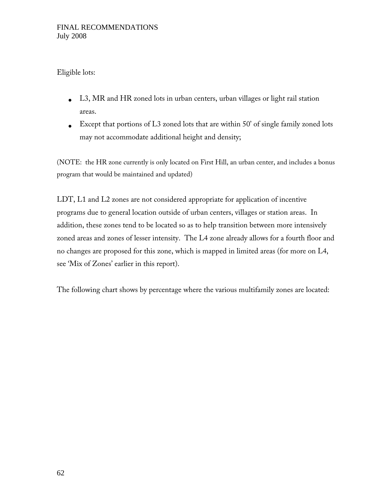### Eligible lots:

- L3, MR and HR zoned lots in urban centers, urban villages or light rail station areas.
- Except that portions of  $L3$  zoned lots that are within 50' of single family zoned lots may not accommodate additional height and density;

(NOTE: the HR zone currently is only located on First Hill, an urban center, and includes a bonus program that would be maintained and updated)

LDT, L1 and L2 zones are not considered appropriate for application of incentive programs due to general location outside of urban centers, villages or station areas. In addition, these zones tend to be located so as to help transition between more intensively zoned areas and zones of lesser intensity. The L4 zone already allows for a fourth floor and no changes are proposed for this zone, which is mapped in limited areas (for more on L4, see 'Mix of Zones' earlier in this report).

The following chart shows by percentage where the various multifamily zones are located: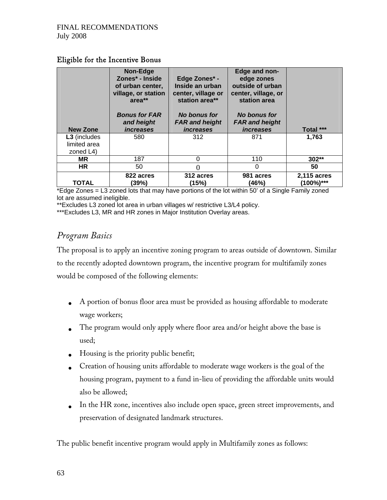### Eligible for the Incentive Bonus

| <b>New Zone</b>                           | Non-Edge<br>Zones* - Inside<br>of urban center,<br>village, or station<br>$area**$<br><b>Bonus for FAR</b><br>and height<br><i>increases</i> | Edge Zones* -<br>Inside an urban<br>center, village or<br>station area**<br><b>No bonus for</b><br><b>FAR and height</b><br><i>increases</i> | Edge and non-<br>edge zones<br>outside of urban<br>center, village, or<br>station area<br>No bonus for<br><b>FAR and height</b><br><i>increases</i> | Total ***                |
|-------------------------------------------|----------------------------------------------------------------------------------------------------------------------------------------------|----------------------------------------------------------------------------------------------------------------------------------------------|-----------------------------------------------------------------------------------------------------------------------------------------------------|--------------------------|
| L3 (includes<br>limited area<br>zoned L4) | 580                                                                                                                                          | 312                                                                                                                                          | 871                                                                                                                                                 | 1.763                    |
| ΜR                                        | 187                                                                                                                                          | 0                                                                                                                                            | 110                                                                                                                                                 | 302**                    |
| <b>HR</b>                                 | 50                                                                                                                                           |                                                                                                                                              | 0                                                                                                                                                   | 50                       |
| <b>TOTAL</b>                              | 822 acres<br>(39%)                                                                                                                           | 312 acres<br>(15%)                                                                                                                           | 981 acres<br>(46%)                                                                                                                                  | 2,115 acres<br>(100%)*** |

\*Edge Zones = L3 zoned lots that may have portions of the lot within 50' of a Single Family zoned lot are assumed ineligible.

\*\*Excludes L3 zoned lot area in urban villages w/ restrictive L3/L4 policy.

\*\*\*Excludes L3, MR and HR zones in Major Institution Overlay areas.

## *Program Basics*

The proposal is to apply an incentive zoning program to areas outside of downtown. Similar to the recently adopted downtown program, the incentive program for multifamily zones would be composed of the following elements:

- A portion of bonus floor area must be provided as housing affordable to moderate wage workers;
- The program would only apply where floor area and/or height above the base is used;
- Housing is the priority public benefit;
- Creation of housing units affordable to moderate wage workers is the goal of the housing program, payment to a fund in-lieu of providing the affordable units would also be allowed;
- In the HR zone, incentives also include open space, green street improvements, and preservation of designated landmark structures.

The public benefit incentive program would apply in Multifamily zones as follows: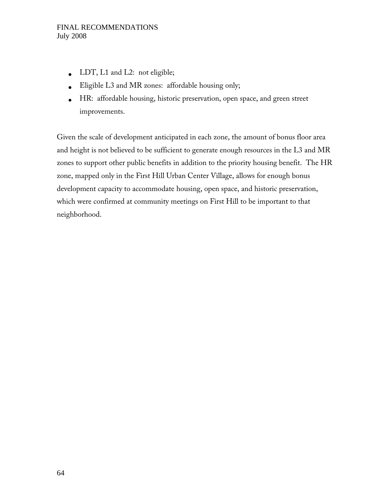- LDT, L1 and L2: not eligible;
- Eligible L3 and MR zones: affordable housing only;
- HR: affordable housing, historic preservation, open space, and green street improvements.

Given the scale of development anticipated in each zone, the amount of bonus floor area and height is not believed to be sufficient to generate enough resources in the L3 and MR zones to support other public benefits in addition to the priority housing benefit. The HR zone, mapped only in the First Hill Urban Center Village, allows for enough bonus development capacity to accommodate housing, open space, and historic preservation, which were confirmed at community meetings on First Hill to be important to that neighborhood.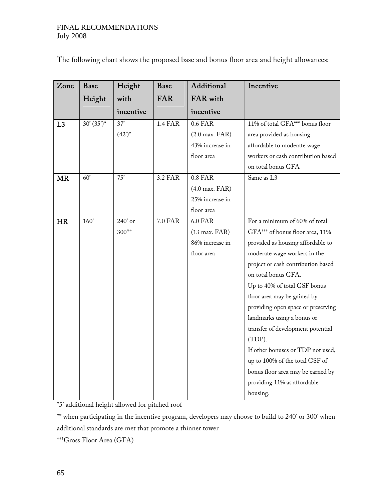|  |  |  |  | The following chart shows the proposed base and bonus floor area and height allowances: |
|--|--|--|--|-----------------------------------------------------------------------------------------|
|  |  |  |  |                                                                                         |

| Zone           | <b>Base</b>  | Height      | Base           | Additional                | Incentive                          |
|----------------|--------------|-------------|----------------|---------------------------|------------------------------------|
|                | Height       | with        | <b>FAR</b>     | FAR with                  |                                    |
|                |              | incentive   |                | incentive                 |                                    |
| L <sub>3</sub> | $30'(35")^*$ | $37'$       | <b>1.4 FAR</b> | 0.6 FAR                   | 11% of total GFA*** bonus floor    |
|                |              | $(42)^*$    |                | $(2.0 \text{ max. } FAR)$ | area provided as housing           |
|                |              |             |                | 43% increase in           | affordable to moderate wage        |
|                |              |             |                | floor area                | workers or cash contribution based |
|                |              |             |                |                           | on total bonus GFA                 |
| <b>MR</b>      | 60'          | 75'         | 3.2 FAR        | 0.8 FAR                   | Same as L3                         |
|                |              |             |                | $(4.0$ max. $FAR)$        |                                    |
|                |              |             |                | 25% increase in           |                                    |
|                |              |             |                | floor area                |                                    |
| <b>HR</b>      | 160'         | 240' or     | 7.0 FAR        | <b>6.0 FAR</b>            | For a minimum of 60% of total      |
|                |              | $300^{***}$ |                | $(13 \text{ max. } FAR)$  | GFA*** of bonus floor area, 11%    |
|                |              |             |                | 86% increase in           | provided as housing affordable to  |
|                |              |             |                | floor area                | moderate wage workers in the       |
|                |              |             |                |                           | project or cash contribution based |
|                |              |             |                |                           | on total bonus GFA.                |
|                |              |             |                |                           | Up to 40% of total GSF bonus       |
|                |              |             |                |                           | floor area may be gained by        |
|                |              |             |                |                           | providing open space or preserving |
|                |              |             |                |                           | landmarks using a bonus or         |
|                |              |             |                |                           | transfer of development potential  |
|                |              |             |                |                           | (TDP).                             |
|                |              |             |                |                           | If other bonuses or TDP not used,  |
|                |              |             |                |                           | up to 100% of the total GSF of     |
|                |              |             |                |                           | bonus floor area may be earned by  |
|                |              |             |                |                           | providing 11% as affordable        |
|                |              |             |                |                           | housing.                           |

\*5' additional height allowed for pitched roof

\*\* when participating in the incentive program, developers may choose to build to 240' or 300' when additional standards are met that promote a thinner tower

\*\*\*Gross Floor Area (GFA)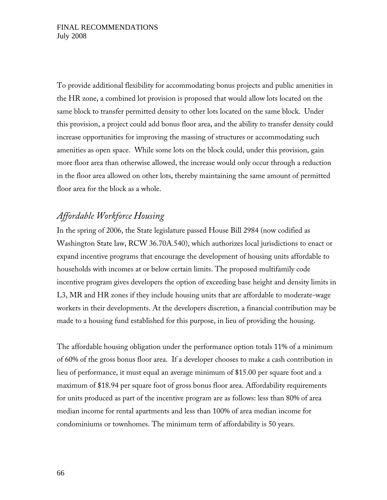To provide additional flexibility for accommodating bonus projects and public amenities in the HR zone, a combined lot provision is proposed that would allow lots located on the same block to transfer permitted density to other lots located on the same block. Under this provision, a project could add bonus floor area, and the ability to transfer density could increase opportunities for improving the massing of structures or accommodating such amenities as open space. While some lots on the block could, under this provision, gain more floor area than otherwise allowed, the increase would only occur through a reduction in the floor area allowed on other lots, thereby maintaining the same amount of permitted floor area for the block as a whole.

## *Affordable Workforce Housing*

In the spring of 2006, the State legislature passed House Bill 2984 (now codified as Washington State law, RCW 36.70A.540), which authorizes local jurisdictions to enact or expand incentive programs that encourage the development of housing units affordable to households with incomes at or below certain limits. The proposed multifamily code incentive program gives developers the option of exceeding base height and density limits in L3, MR and HR zones if they include housing units that are affordable to moderate-wage workers in their developments. At the developers discretion, a financial contribution may be made to a housing fund established for this purpose, in lieu of providing the housing.

The affordable housing obligation under the performance option totals 11% of a minimum of 60% of the gross bonus floor area. If a developer chooses to make a cash contribution in lieu of performance, it must equal an average minimum of \$15.00 per square foot and a maximum of \$18.94 per square foot of gross bonus floor area. Affordability requirements for units produced as part of the incentive program are as follows: less than 80% of area median income for rental apartments and less than 100% of area median income for condominiums or townhomes. The minimum term of affordability is 50 years.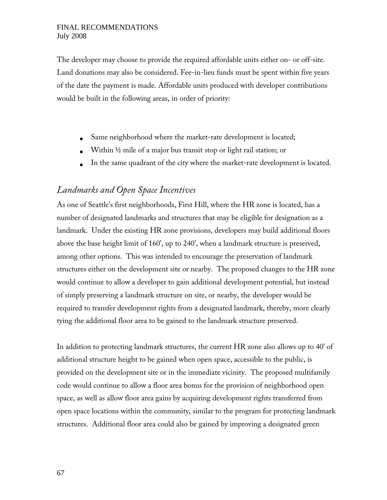The developer may choose to provide the required affordable units either on- or off-site. Land donations may also be considered. Fee-in-lieu funds must be spent within five years of the date the payment is made. Affordable units produced with developer contributions would be built in the following areas, in order of priority:

- Same neighborhood where the market-rate development is located;
- Within ½ mile of a major bus transit stop or light rail station; or
- In the same quadrant of the city where the market-rate development is located.

## *Landmarks and Open Space Incentives*

As one of Seattle's first neighborhoods, First Hill, where the HR zone is located, has a number of designated landmarks and structures that may be eligible for designation as a landmark. Under the existing HR zone provisions, developers may build additional floors above the base height limit of 160', up to 240', when a landmark structure is preserved, among other options. This was intended to encourage the preservation of landmark structures either on the development site or nearby. The proposed changes to the HR zone would continue to allow a developer to gain additional development potential, but instead of simply preserving a landmark structure on site, or nearby, the developer would be required to transfer development rights from a designated landmark, thereby, more clearly tying the additional floor area to be gained to the landmark structure preserved.

In addition to protecting landmark structures, the current HR zone also allows up to 40' of additional structure height to be gained when open space, accessible to the public, is provided on the development site or in the immediate vicinity. The proposed multifamily code would continue to allow a floor area bonus for the provision of neighborhood open space, as well as allow floor area gains by acquiring development rights transferred from open space locations within the community, similar to the program for protecting landmark structures. Additional floor area could also be gained by improving a designated green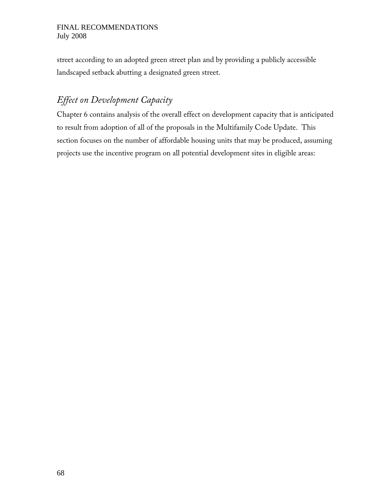street according to an adopted green street plan and by providing a publicly accessible landscaped setback abutting a designated green street.

## *Effect on Development Capacity*

Chapter 6 contains analysis of the overall effect on development capacity that is anticipated to result from adoption of all of the proposals in the Multifamily Code Update. This section focuses on the number of affordable housing units that may be produced, assuming projects use the incentive program on all potential development sites in eligible areas: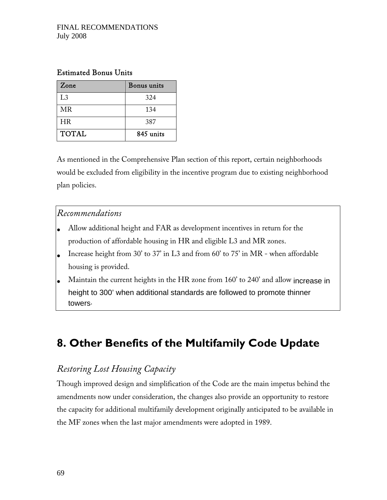### Estimated Bonus Units

| Zone           | <b>Bonus</b> units |
|----------------|--------------------|
| L <sub>3</sub> | 324                |
| <b>MR</b>      | 134                |
| HR             | 387                |
| <b>TOTAL</b>   | 845 units          |

As mentioned in the Comprehensive Plan section of this report, certain neighborhoods would be excluded from eligibility in the incentive program due to existing neighborhood plan policies.

## *Recommendations*

- Allow additional height and FAR as development incentives in return for the production of affordable housing in HR and eligible L3 and MR zones.
- Increase height from 30' to 37' in L3 and from 60' to 75' in MR when affordable housing is provided.
- Maintain the current heights in the HR zone from 160' to 240' and allow increase in height to 300' when additional standards are followed to promote thinner towers.

# **8. Other Benefits of the Multifamily Code Update**

## *Restoring Lost Housing Capacity*

Though improved design and simplification of the Code are the main impetus behind the amendments now under consideration, the changes also provide an opportunity to restore the capacity for additional multifamily development originally anticipated to be available in the MF zones when the last major amendments were adopted in 1989.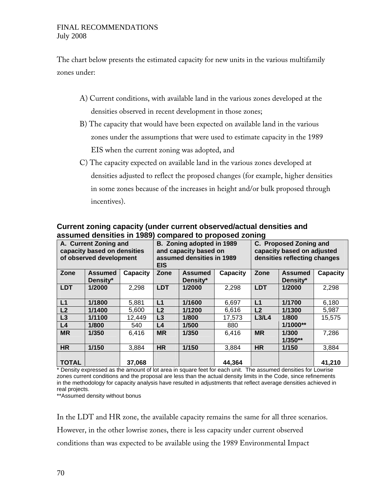The chart below presents the estimated capacity for new units in the various multifamily zones under:

- A) Current conditions, with available land in the various zones developed at the densities observed in recent development in those zones;
- B) The capacity that would have been expected on available land in the various zones under the assumptions that were used to estimate capacity in the 1989 EIS when the current zoning was adopted, and
- C) The capacity expected on available land in the various zones developed at densities adjusted to reflect the proposed changes (for example, higher densities in some zones because of the increases in height and/or bulk proposed through incentives).

| A. Current Zoning and<br>capacity based on densities<br>of observed development |                |          | B. Zoning adopted in 1989<br>and capacity based on<br>assumed densities in 1989 |                |          | C. Proposed Zoning and<br>capacity based on adjusted<br>densities reflecting changes |                |          |  |
|---------------------------------------------------------------------------------|----------------|----------|---------------------------------------------------------------------------------|----------------|----------|--------------------------------------------------------------------------------------|----------------|----------|--|
|                                                                                 |                |          | <b>EIS</b>                                                                      |                |          |                                                                                      |                |          |  |
| Zone                                                                            | <b>Assumed</b> | Capacity | Zone                                                                            | <b>Assumed</b> | Capacity | Zone                                                                                 | <b>Assumed</b> | Capacity |  |
|                                                                                 | Density*       |          |                                                                                 | Density*       |          |                                                                                      | Density*       |          |  |
| <b>LDT</b>                                                                      | 1/2000         | 2,298    | <b>LDT</b>                                                                      | 1/2000         | 2,298    | <b>LDT</b>                                                                           | 1/2000         | 2,298    |  |
|                                                                                 |                |          |                                                                                 |                |          |                                                                                      |                |          |  |
| L1                                                                              | 1/1800         | 5,881    | L1                                                                              | 1/1600         | 6,697    | L1                                                                                   | 1/1700         | 6,180    |  |
| L2                                                                              | 1/1400         | 5,600    | L2                                                                              | 1/1200         | 6,616    | L2                                                                                   | 1/1300         | 5,987    |  |
| L3                                                                              | 1/1100         | 12,449   | L3                                                                              | 1/800          | 17,573   | L3/L4                                                                                | 1/800          | 15,575   |  |
| L <sub>4</sub>                                                                  | 1/800          | 540      | L4                                                                              | 1/500          | 880      |                                                                                      | $1/1000**$     |          |  |
| <b>MR</b>                                                                       | 1/350          | 6.416    | <b>MR</b>                                                                       | 1/350          | 6.416    | <b>MR</b>                                                                            | 1/300          | 7,286    |  |
|                                                                                 |                |          |                                                                                 |                |          |                                                                                      | $1/350**$      |          |  |
| <b>HR</b>                                                                       | 1/150          | 3,884    | <b>HR</b>                                                                       | 1/150          | 3,884    | <b>HR</b>                                                                            | 1/150          | 3,884    |  |
| <b>TOTAL</b>                                                                    |                | 37,068   |                                                                                 |                | 44,364   |                                                                                      |                | 41,210   |  |

#### **Current zoning capacity (under current observed/actual densities and assumed densities in 1989) compared to proposed zoning**

\* Density expressed as the amount of lot area in square feet for each unit. The assumed densities for Lowrise zones current conditions and the proposal are less than the actual density limits in the Code, since refinements in the methodology for capacity analysis have resulted in adjustments that reflect average densities achieved in real projects.

\*\*Assumed density without bonus

In the LDT and HR zone, the available capacity remains the same for all three scenarios. However, in the other lowrise zones, there is less capacity under current observed conditions than was expected to be available using the 1989 Environmental Impact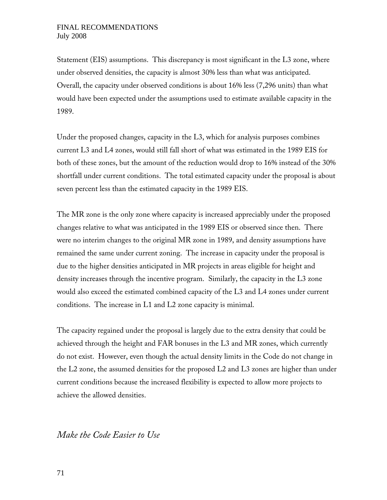Statement (EIS) assumptions. This discrepancy is most significant in the L3 zone, where under observed densities, the capacity is almost 30% less than what was anticipated. Overall, the capacity under observed conditions is about 16% less (7,296 units) than what would have been expected under the assumptions used to estimate available capacity in the 1989.

Under the proposed changes, capacity in the L3, which for analysis purposes combines current L3 and L4 zones, would still fall short of what was estimated in the 1989 EIS for both of these zones, but the amount of the reduction would drop to 16% instead of the 30% shortfall under current conditions. The total estimated capacity under the proposal is about seven percent less than the estimated capacity in the 1989 EIS.

The MR zone is the only zone where capacity is increased appreciably under the proposed changes relative to what was anticipated in the 1989 EIS or observed since then. There were no interim changes to the original MR zone in 1989, and density assumptions have remained the same under current zoning. The increase in capacity under the proposal is due to the higher densities anticipated in MR projects in areas eligible for height and density increases through the incentive program. Similarly, the capacity in the L3 zone would also exceed the estimated combined capacity of the L3 and L4 zones under current conditions. The increase in L1 and L2 zone capacity is minimal.

The capacity regained under the proposal is largely due to the extra density that could be achieved through the height and FAR bonuses in the L3 and MR zones, which currently do not exist. However, even though the actual density limits in the Code do not change in the L2 zone, the assumed densities for the proposed L2 and L3 zones are higher than under current conditions because the increased flexibility is expected to allow more projects to achieve the allowed densities.

### *Make the Code Easier to Use*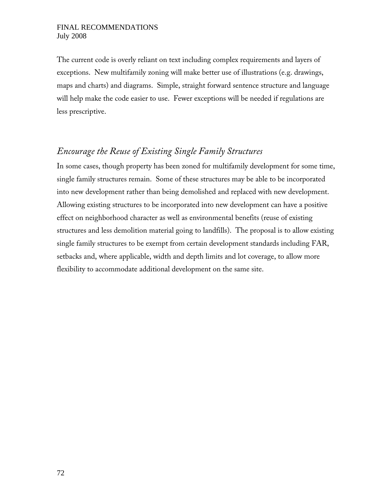The current code is overly reliant on text including complex requirements and layers of exceptions. New multifamily zoning will make better use of illustrations (e.g. drawings, maps and charts) and diagrams. Simple, straight forward sentence structure and language will help make the code easier to use. Fewer exceptions will be needed if regulations are less prescriptive.

## *Encourage the Reuse of Existing Single Family Structures*

In some cases, though property has been zoned for multifamily development for some time, single family structures remain. Some of these structures may be able to be incorporated into new development rather than being demolished and replaced with new development. Allowing existing structures to be incorporated into new development can have a positive effect on neighborhood character as well as environmental benefits (reuse of existing structures and less demolition material going to landfills). The proposal is to allow existing single family structures to be exempt from certain development standards including FAR, setbacks and, where applicable, width and depth limits and lot coverage, to allow more flexibility to accommodate additional development on the same site.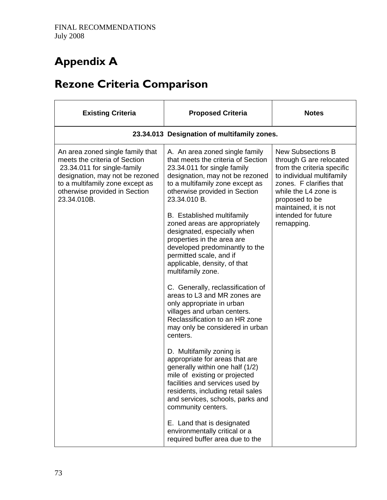# **Appendix A**

# **Rezone Criteria Comparison**

| <b>Existing Criteria</b>                                                                                                                                                                                               | <b>Proposed Criteria</b>                                                                                                                                                                                                                                                                                                                                                                                                                                                                                                                                                                                                                                                                                                                                                                                                                                                                                                                                              | <b>Notes</b>                                                                                                                                                                                                                                      |
|------------------------------------------------------------------------------------------------------------------------------------------------------------------------------------------------------------------------|-----------------------------------------------------------------------------------------------------------------------------------------------------------------------------------------------------------------------------------------------------------------------------------------------------------------------------------------------------------------------------------------------------------------------------------------------------------------------------------------------------------------------------------------------------------------------------------------------------------------------------------------------------------------------------------------------------------------------------------------------------------------------------------------------------------------------------------------------------------------------------------------------------------------------------------------------------------------------|---------------------------------------------------------------------------------------------------------------------------------------------------------------------------------------------------------------------------------------------------|
|                                                                                                                                                                                                                        | 23.34.013 Designation of multifamily zones.                                                                                                                                                                                                                                                                                                                                                                                                                                                                                                                                                                                                                                                                                                                                                                                                                                                                                                                           |                                                                                                                                                                                                                                                   |
| An area zoned single family that<br>meets the criteria of Section<br>23.34.011 for single-family<br>designation, may not be rezoned<br>to a multifamily zone except as<br>otherwise provided in Section<br>23.34.010B. | A. An area zoned single family<br>that meets the criteria of Section<br>23.34.011 for single family<br>designation, may not be rezoned<br>to a multifamily zone except as<br>otherwise provided in Section<br>23.34.010 B.<br><b>B.</b> Established multifamily<br>zoned areas are appropriately<br>designated, especially when<br>properties in the area are<br>developed predominantly to the<br>permitted scale, and if<br>applicable, density, of that<br>multifamily zone.<br>C. Generally, reclassification of<br>areas to L3 and MR zones are<br>only appropriate in urban<br>villages and urban centers.<br>Reclassification to an HR zone<br>may only be considered in urban<br>centers.<br>D. Multifamily zoning is<br>appropriate for areas that are<br>generally within one half (1/2)<br>mile of existing or projected<br>facilities and services used by<br>residents, including retail sales<br>and services, schools, parks and<br>community centers. | <b>New Subsections B</b><br>through G are relocated<br>from the criteria specific<br>to individual multifamily<br>zones. F clarifies that<br>while the L4 zone is<br>proposed to be<br>maintained, it is not<br>intended for future<br>remapping. |
|                                                                                                                                                                                                                        | E. Land that is designated<br>environmentally critical or a<br>required buffer area due to the                                                                                                                                                                                                                                                                                                                                                                                                                                                                                                                                                                                                                                                                                                                                                                                                                                                                        |                                                                                                                                                                                                                                                   |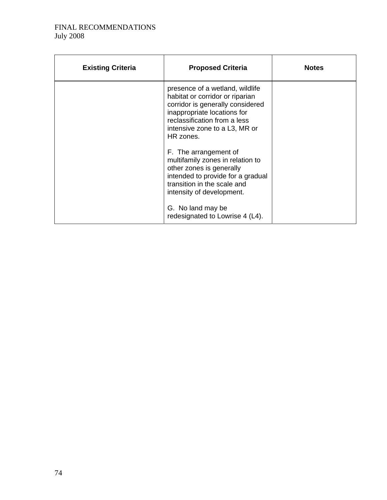| <b>Existing Criteria</b> | <b>Proposed Criteria</b>                                                                                                                                                                                            | <b>Notes</b> |
|--------------------------|---------------------------------------------------------------------------------------------------------------------------------------------------------------------------------------------------------------------|--------------|
|                          | presence of a wetland, wildlife<br>habitat or corridor or riparian<br>corridor is generally considered<br>inappropriate locations for<br>reclassification from a less<br>intensive zone to a L3, MR or<br>HR zones. |              |
|                          | F. The arrangement of<br>multifamily zones in relation to<br>other zones is generally<br>intended to provide for a gradual<br>transition in the scale and<br>intensity of development.                              |              |
|                          | G. No land may be<br>redesignated to Lowrise 4 (L4).                                                                                                                                                                |              |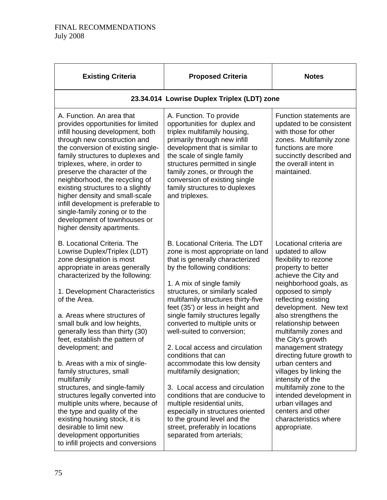| <b>Existing Criteria</b>                                                                                                                                                                                                                                                                                                                                                                                                                                                                                                                                                                                                                                                                                                          | <b>Proposed Criteria</b>                                                                                                                                                                                                                                                                                                                                                                                                                                                                                                                                                                                                                                                                                                                             | <b>Notes</b>                                                                                                                                                                                                                                                                                                                                                                                                                                                                                                                                                                       |
|-----------------------------------------------------------------------------------------------------------------------------------------------------------------------------------------------------------------------------------------------------------------------------------------------------------------------------------------------------------------------------------------------------------------------------------------------------------------------------------------------------------------------------------------------------------------------------------------------------------------------------------------------------------------------------------------------------------------------------------|------------------------------------------------------------------------------------------------------------------------------------------------------------------------------------------------------------------------------------------------------------------------------------------------------------------------------------------------------------------------------------------------------------------------------------------------------------------------------------------------------------------------------------------------------------------------------------------------------------------------------------------------------------------------------------------------------------------------------------------------------|------------------------------------------------------------------------------------------------------------------------------------------------------------------------------------------------------------------------------------------------------------------------------------------------------------------------------------------------------------------------------------------------------------------------------------------------------------------------------------------------------------------------------------------------------------------------------------|
|                                                                                                                                                                                                                                                                                                                                                                                                                                                                                                                                                                                                                                                                                                                                   | 23.34.014 Lowrise Duplex Triplex (LDT) zone                                                                                                                                                                                                                                                                                                                                                                                                                                                                                                                                                                                                                                                                                                          |                                                                                                                                                                                                                                                                                                                                                                                                                                                                                                                                                                                    |
| A. Function. An area that<br>provides opportunities for limited<br>infill housing development, both<br>through new construction and<br>the conversion of existing single-<br>family structures to duplexes and<br>triplexes, where, in order to<br>preserve the character of the<br>neighborhood, the recycling of<br>existing structures to a slightly<br>higher density and small-scale<br>infill development is preferable to<br>single-family zoning or to the<br>development of townhouses or<br>higher density apartments.                                                                                                                                                                                                  | A. Function. To provide<br>opportunities for duplex and<br>triplex multifamily housing,<br>primarily through new infill<br>development that is similar to<br>the scale of single family<br>structures permitted in single<br>family zones, or through the<br>conversion of existing single<br>family structures to duplexes<br>and triplexes.                                                                                                                                                                                                                                                                                                                                                                                                        | Function statements are<br>updated to be consistent<br>with those for other<br>zones. Multifamily zone<br>functions are more<br>succinctly described and<br>the overall intent in<br>maintained.                                                                                                                                                                                                                                                                                                                                                                                   |
| <b>B. Locational Criteria. The</b><br>Lowrise Duplex/Triplex (LDT)<br>zone designation is most<br>appropriate in areas generally<br>characterized by the following:<br>1. Development Characteristics<br>of the Area.<br>a. Areas where structures of<br>small bulk and low heights,<br>generally less than thirty (30)<br>feet, establish the pattern of<br>development; and<br>b. Areas with a mix of single-<br>family structures, small<br>multifamily<br>structures, and single-family<br>structures legally converted into<br>multiple units where, because of<br>the type and quality of the<br>existing housing stock, it is<br>desirable to limit new<br>development opportunities<br>to infill projects and conversions | B. Locational Criteria. The LDT<br>zone is most appropriate on land<br>that is generally characterized<br>by the following conditions:<br>1. A mix of single family<br>structures, or similarly scaled<br>multifamily structures thirty-five<br>feet (35') or less in height and<br>single family structures legally<br>converted to multiple units or<br>well-suited to conversion;<br>2. Local access and circulation<br>conditions that can<br>accommodate this low density<br>multifamily designation;<br>3. Local access and circulation<br>conditions that are conducive to<br>multiple residential units,<br>especially in structures oriented<br>to the ground level and the<br>street, preferably in locations<br>separated from arterials; | Locational criteria are<br>updated to allow<br>flexibility to rezone<br>property to better<br>achieve the City and<br>neighborhood goals, as<br>opposed to simply<br>reflecting existing<br>development. New text<br>also strengthens the<br>relationship between<br>multifamily zones and<br>the City's growth<br>management strategy<br>directing future growth to<br>urban centers and<br>villages by linking the<br>intensity of the<br>multifamily zone to the<br>intended development in<br>urban villages and<br>centers and other<br>characteristics where<br>appropriate. |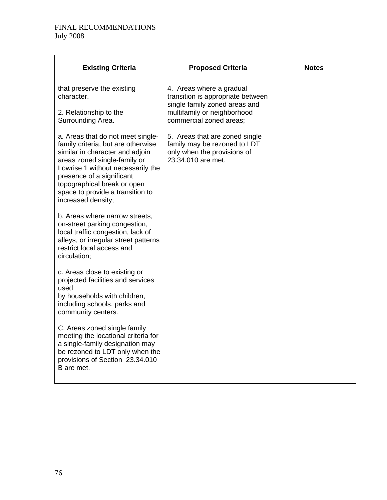| <b>Existing Criteria</b>                                                                                                                                                                                                                                                                              | <b>Proposed Criteria</b>                                                                                            | <b>Notes</b> |
|-------------------------------------------------------------------------------------------------------------------------------------------------------------------------------------------------------------------------------------------------------------------------------------------------------|---------------------------------------------------------------------------------------------------------------------|--------------|
| that preserve the existing<br>character.                                                                                                                                                                                                                                                              | 4. Areas where a gradual<br>transition is appropriate between<br>single family zoned areas and                      |              |
| 2. Relationship to the<br>Surrounding Area.                                                                                                                                                                                                                                                           | multifamily or neighborhood<br>commercial zoned areas;                                                              |              |
| a. Areas that do not meet single-<br>family criteria, but are otherwise<br>similar in character and adjoin<br>areas zoned single-family or<br>Lowrise 1 without necessarily the<br>presence of a significant<br>topographical break or open<br>space to provide a transition to<br>increased density; | 5. Areas that are zoned single<br>family may be rezoned to LDT<br>only when the provisions of<br>23.34.010 are met. |              |
| b. Areas where narrow streets,<br>on-street parking congestion,<br>local traffic congestion, lack of<br>alleys, or irregular street patterns<br>restrict local access and<br>circulation;                                                                                                             |                                                                                                                     |              |
| c. Areas close to existing or<br>projected facilities and services<br>used<br>by households with children,<br>including schools, parks and<br>community centers.                                                                                                                                      |                                                                                                                     |              |
| C. Areas zoned single family<br>meeting the locational criteria for<br>a single-family designation may<br>be rezoned to LDT only when the<br>provisions of Section 23.34.010<br>B are met.                                                                                                            |                                                                                                                     |              |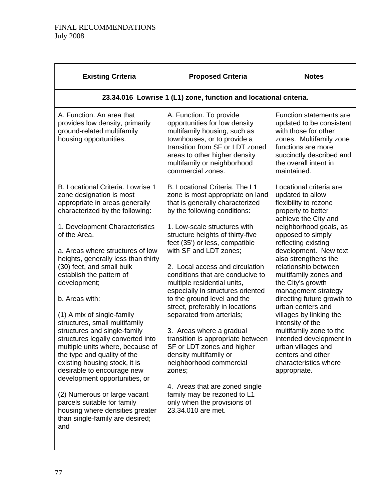| <b>Proposed Criteria</b>                                                                                                                                                                                                                                                                                                                                                                                                                                                                                                                                                                                                                                                                                                                                                                  | <b>Notes</b>                                                                                                                                                                                                                                                                                                                                                                                                                                                                                                                                                                       |
|-------------------------------------------------------------------------------------------------------------------------------------------------------------------------------------------------------------------------------------------------------------------------------------------------------------------------------------------------------------------------------------------------------------------------------------------------------------------------------------------------------------------------------------------------------------------------------------------------------------------------------------------------------------------------------------------------------------------------------------------------------------------------------------------|------------------------------------------------------------------------------------------------------------------------------------------------------------------------------------------------------------------------------------------------------------------------------------------------------------------------------------------------------------------------------------------------------------------------------------------------------------------------------------------------------------------------------------------------------------------------------------|
| 23.34.016 Lowrise 1 (L1) zone, function and locational criteria.                                                                                                                                                                                                                                                                                                                                                                                                                                                                                                                                                                                                                                                                                                                          |                                                                                                                                                                                                                                                                                                                                                                                                                                                                                                                                                                                    |
| A. Function. To provide<br>opportunities for low density<br>multifamily housing, such as<br>townhouses, or to provide a<br>transition from SF or LDT zoned<br>areas to other higher density<br>multifamily or neighborhood<br>commercial zones.                                                                                                                                                                                                                                                                                                                                                                                                                                                                                                                                           | Function statements are<br>updated to be consistent<br>with those for other<br>zones. Multifamily zone<br>functions are more<br>succinctly described and<br>the overall intent in<br>maintained.                                                                                                                                                                                                                                                                                                                                                                                   |
| B. Locational Criteria. The L1<br>zone is most appropriate on land<br>that is generally characterized<br>by the following conditions:<br>1. Low-scale structures with<br>structure heights of thirty-five<br>feet (35') or less, compatible<br>with SF and LDT zones;<br>2. Local access and circulation<br>conditions that are conducive to<br>multiple residential units,<br>especially in structures oriented<br>to the ground level and the<br>street, preferably in locations<br>separated from arterials;<br>3. Areas where a gradual<br>transition is appropriate between<br>SF or LDT zones and higher<br>density multifamily or<br>neighborhood commercial<br>4. Areas that are zoned single<br>family may be rezoned to L1<br>only when the provisions of<br>23.34.010 are met. | Locational criteria are<br>updated to allow<br>flexibility to rezone<br>property to better<br>achieve the City and<br>neighborhood goals, as<br>opposed to simply<br>reflecting existing<br>development. New text<br>also strengthens the<br>relationship between<br>multifamily zones and<br>the City's growth<br>management strategy<br>directing future growth to<br>urban centers and<br>villages by linking the<br>intensity of the<br>multifamily zone to the<br>intended development in<br>urban villages and<br>centers and other<br>characteristics where<br>appropriate. |
|                                                                                                                                                                                                                                                                                                                                                                                                                                                                                                                                                                                                                                                                                                                                                                                           |                                                                                                                                                                                                                                                                                                                                                                                                                                                                                                                                                                                    |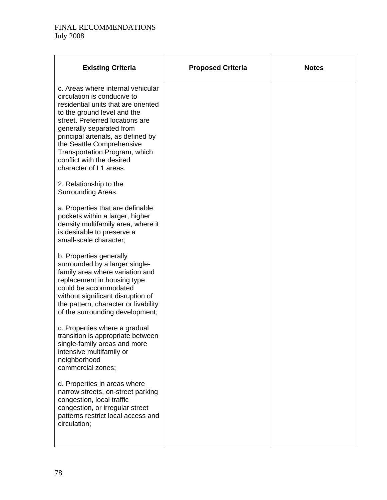| <b>Existing Criteria</b>                                                                                                                                                                                                                                                                                                                                         | <b>Proposed Criteria</b> | <b>Notes</b> |
|------------------------------------------------------------------------------------------------------------------------------------------------------------------------------------------------------------------------------------------------------------------------------------------------------------------------------------------------------------------|--------------------------|--------------|
| c. Areas where internal vehicular<br>circulation is conducive to<br>residential units that are oriented<br>to the ground level and the<br>street. Preferred locations are<br>generally separated from<br>principal arterials, as defined by<br>the Seattle Comprehensive<br>Transportation Program, which<br>conflict with the desired<br>character of L1 areas. |                          |              |
| 2. Relationship to the<br>Surrounding Areas.                                                                                                                                                                                                                                                                                                                     |                          |              |
| a. Properties that are definable<br>pockets within a larger, higher<br>density multifamily area, where it<br>is desirable to preserve a<br>small-scale character;                                                                                                                                                                                                |                          |              |
| b. Properties generally<br>surrounded by a larger single-<br>family area where variation and<br>replacement in housing type<br>could be accommodated<br>without significant disruption of<br>the pattern, character or livability<br>of the surrounding development;                                                                                             |                          |              |
| c. Properties where a gradual<br>transition is appropriate between<br>single-family areas and more<br>intensive multifamily or<br>neighborhood<br>commercial zones;                                                                                                                                                                                              |                          |              |
| d. Properties in areas where<br>narrow streets, on-street parking<br>congestion, local traffic<br>congestion, or irregular street<br>patterns restrict local access and<br>circulation;                                                                                                                                                                          |                          |              |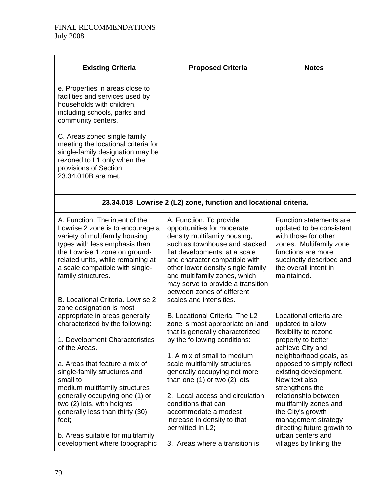| <b>Existing Criteria</b>                                                                                                                                                                                                                                                                                                                        | <b>Proposed Criteria</b>                                                                                                                                                                                                                                                                                                                                    | <b>Notes</b>                                                                                                                                                                                                                                                                                             |
|-------------------------------------------------------------------------------------------------------------------------------------------------------------------------------------------------------------------------------------------------------------------------------------------------------------------------------------------------|-------------------------------------------------------------------------------------------------------------------------------------------------------------------------------------------------------------------------------------------------------------------------------------------------------------------------------------------------------------|----------------------------------------------------------------------------------------------------------------------------------------------------------------------------------------------------------------------------------------------------------------------------------------------------------|
| e. Properties in areas close to<br>facilities and services used by<br>households with children,<br>including schools, parks and<br>community centers.<br>C. Areas zoned single family<br>meeting the locational criteria for<br>single-family designation may be<br>rezoned to L1 only when the<br>provisions of Section<br>23.34.010B are met. |                                                                                                                                                                                                                                                                                                                                                             |                                                                                                                                                                                                                                                                                                          |
|                                                                                                                                                                                                                                                                                                                                                 | 23.34.018 Lowrise 2 (L2) zone, function and locational criteria.                                                                                                                                                                                                                                                                                            |                                                                                                                                                                                                                                                                                                          |
| A. Function. The intent of the<br>Lowrise 2 zone is to encourage a<br>variety of multifamily housing<br>types with less emphasis than<br>the Lowrise 1 zone on ground-<br>related units, while remaining at<br>a scale compatible with single-<br>family structures.<br>B. Locational Criteria. Lowrise 2<br>zone designation is most           | A. Function. To provide<br>opportunities for moderate<br>density multifamily housing,<br>such as townhouse and stacked<br>flat developments, at a scale<br>and character compatible with<br>other lower density single family<br>and multifamily zones, which<br>may serve to provide a transition<br>between zones of different<br>scales and intensities. | Function statements are<br>updated to be consistent<br>with those for other<br>zones. Multifamily zone<br>functions are more<br>succinctly described and<br>the overall intent in<br>maintained.                                                                                                         |
| appropriate in areas generally<br>characterized by the following:<br>1. Development Characteristics<br>of the Areas.<br>a. Areas that feature a mix of<br>single-family structures and<br>small to<br>medium multifamily structures<br>generally occupying one (1) or<br>two (2) lots, with heights<br>generally less than thirty (30)          | B. Locational Criteria. The L2<br>zone is most appropriate on land<br>that is generally characterized<br>by the following conditions:<br>1. A mix of small to medium<br>scale multifamily structures<br>generally occupying not more<br>than one $(1)$ or two $(2)$ lots;<br>2. Local access and circulation<br>conditions that can<br>accommodate a modest | Locational criteria are<br>updated to allow<br>flexibility to rezone<br>property to better<br>achieve City and<br>neighborhood goals, as<br>opposed to simply reflect<br>existing development.<br>New text also<br>strengthens the<br>relationship between<br>multifamily zones and<br>the City's growth |
| feet;<br>b. Areas suitable for multifamily<br>development where topographic                                                                                                                                                                                                                                                                     | increase in density to that<br>permitted in L2;<br>3. Areas where a transition is                                                                                                                                                                                                                                                                           | management strategy<br>directing future growth to<br>urban centers and<br>villages by linking the                                                                                                                                                                                                        |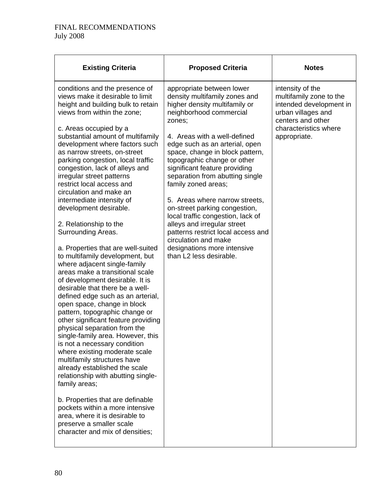| <b>Existing Criteria</b>                                                                                                                                                                                                                                                                                                                                                                                                                                                                                                                                                                                                                                                                                                                                                                                                                                                                                                                                                                                                                                                                                                                                                                                                                                                                                                                        | <b>Proposed Criteria</b>                                                                                                                                                                                                                                                                                                                                                                                                                                                                                                                                                                                                       | <b>Notes</b>                                                                                                                                               |
|-------------------------------------------------------------------------------------------------------------------------------------------------------------------------------------------------------------------------------------------------------------------------------------------------------------------------------------------------------------------------------------------------------------------------------------------------------------------------------------------------------------------------------------------------------------------------------------------------------------------------------------------------------------------------------------------------------------------------------------------------------------------------------------------------------------------------------------------------------------------------------------------------------------------------------------------------------------------------------------------------------------------------------------------------------------------------------------------------------------------------------------------------------------------------------------------------------------------------------------------------------------------------------------------------------------------------------------------------|--------------------------------------------------------------------------------------------------------------------------------------------------------------------------------------------------------------------------------------------------------------------------------------------------------------------------------------------------------------------------------------------------------------------------------------------------------------------------------------------------------------------------------------------------------------------------------------------------------------------------------|------------------------------------------------------------------------------------------------------------------------------------------------------------|
| conditions and the presence of<br>views make it desirable to limit<br>height and building bulk to retain<br>views from within the zone;<br>c. Areas occupied by a<br>substantial amount of multifamily<br>development where factors such<br>as narrow streets, on-street<br>parking congestion, local traffic<br>congestion, lack of alleys and<br>irregular street patterns<br>restrict local access and<br>circulation and make an<br>intermediate intensity of<br>development desirable.<br>2. Relationship to the<br>Surrounding Areas.<br>a. Properties that are well-suited<br>to multifamily development, but<br>where adjacent single-family<br>areas make a transitional scale<br>of development desirable. It is<br>desirable that there be a well-<br>defined edge such as an arterial,<br>open space, change in block<br>pattern, topographic change or<br>other significant feature providing<br>physical separation from the<br>single-family area. However, this<br>is not a necessary condition<br>where existing moderate scale<br>multifamily structures have<br>already established the scale<br>relationship with abutting single-<br>family areas;<br>b. Properties that are definable<br>pockets within a more intensive<br>area, where it is desirable to<br>preserve a smaller scale<br>character and mix of densities; | appropriate between lower<br>density multifamily zones and<br>higher density multifamily or<br>neighborhood commercial<br>zones;<br>4. Areas with a well-defined<br>edge such as an arterial, open<br>space, change in block pattern,<br>topographic change or other<br>significant feature providing<br>separation from abutting single<br>family zoned areas;<br>5. Areas where narrow streets,<br>on-street parking congestion,<br>local traffic congestion, lack of<br>alleys and irregular street<br>patterns restrict local access and<br>circulation and make<br>designations more intensive<br>than L2 less desirable. | intensity of the<br>multifamily zone to the<br>intended development in<br>urban villages and<br>centers and other<br>characteristics where<br>appropriate. |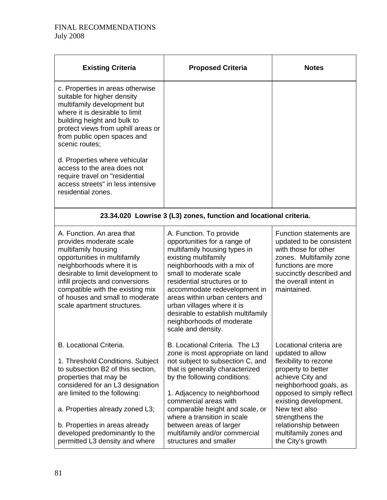| <b>Existing Criteria</b>                                                                                                                                                                                                                                                                                                                        | <b>Proposed Criteria</b>                                                                                                                                                                                                                                                                                                                                                                           | <b>Notes</b>                                                                                                                                                                                                                                                                                             |
|-------------------------------------------------------------------------------------------------------------------------------------------------------------------------------------------------------------------------------------------------------------------------------------------------------------------------------------------------|----------------------------------------------------------------------------------------------------------------------------------------------------------------------------------------------------------------------------------------------------------------------------------------------------------------------------------------------------------------------------------------------------|----------------------------------------------------------------------------------------------------------------------------------------------------------------------------------------------------------------------------------------------------------------------------------------------------------|
| c. Properties in areas otherwise<br>suitable for higher density<br>multifamily development but<br>where it is desirable to limit<br>building height and bulk to<br>protect views from uphill areas or<br>from public open spaces and<br>scenic routes;                                                                                          |                                                                                                                                                                                                                                                                                                                                                                                                    |                                                                                                                                                                                                                                                                                                          |
| d. Properties where vehicular<br>access to the area does not<br>require travel on "residential<br>access streets" in less intensive<br>residential zones.                                                                                                                                                                                       |                                                                                                                                                                                                                                                                                                                                                                                                    |                                                                                                                                                                                                                                                                                                          |
|                                                                                                                                                                                                                                                                                                                                                 | 23.34.020 Lowrise 3 (L3) zones, function and locational criteria.                                                                                                                                                                                                                                                                                                                                  |                                                                                                                                                                                                                                                                                                          |
| A. Function. An area that<br>provides moderate scale<br>multifamily housing<br>opportunities in multifamily<br>neighborhoods where it is<br>desirable to limit development to<br>infill projects and conversions<br>compatible with the existing mix<br>of houses and small to moderate<br>scale apartment structures.                          | A. Function. To provide<br>opportunities for a range of<br>multifamily housing types in<br>existing multifamily<br>neighborhoods with a mix of<br>small to moderate scale<br>residential structures or to<br>accommodate redevelopment in<br>areas within urban centers and<br>urban villages where it is<br>desirable to establish multifamily<br>neighborhoods of moderate<br>scale and density. | <b>Function statements are</b><br>updated to be consistent<br>with those for other<br>zones. Multifamily zone<br>functions are more<br>succinctly described and<br>the overall intent in<br>maintained.                                                                                                  |
| <b>B.</b> Locational Criteria.<br>1. Threshold Conditions. Subject<br>to subsection B2 of this section,<br>properties that may be<br>considered for an L3 designation<br>are limited to the following:<br>a. Properties already zoned L3;<br>b. Properties in areas already<br>developed predominantly to the<br>permitted L3 density and where | B. Locational Criteria. The L3<br>zone is most appropriate on land<br>not subject to subsection C, and<br>that is generally characterized<br>by the following conditions:<br>1. Adjacency to neighborhood<br>commercial areas with<br>comparable height and scale, or<br>where a transition in scale<br>between areas of larger<br>multifamily and/or commercial<br>structures and smaller         | Locational criteria are<br>updated to allow<br>flexibility to rezone<br>property to better<br>achieve City and<br>neighborhood goals, as<br>opposed to simply reflect<br>existing development.<br>New text also<br>strengthens the<br>relationship between<br>multifamily zones and<br>the City's growth |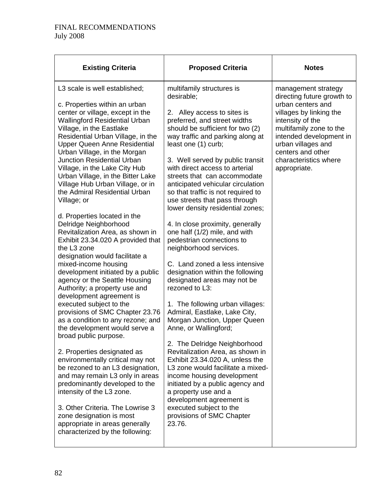| <b>Existing Criteria</b>                                                                                                                                                                                                                                                                                                                                                                                                                                                                                                                                                                                                                                                                                                                                                                                                                                                                                                                                                                                                                                                                                                                                                                                                           | <b>Proposed Criteria</b>                                                                                                                                                                                                                                                                                                                                                                                                                                                                                                                                                                                                                                                                                                                                                                                                                                                                                                                                                                                                                                                                                                                     | <b>Notes</b>                                                                                                                                                                                                                                                    |
|------------------------------------------------------------------------------------------------------------------------------------------------------------------------------------------------------------------------------------------------------------------------------------------------------------------------------------------------------------------------------------------------------------------------------------------------------------------------------------------------------------------------------------------------------------------------------------------------------------------------------------------------------------------------------------------------------------------------------------------------------------------------------------------------------------------------------------------------------------------------------------------------------------------------------------------------------------------------------------------------------------------------------------------------------------------------------------------------------------------------------------------------------------------------------------------------------------------------------------|----------------------------------------------------------------------------------------------------------------------------------------------------------------------------------------------------------------------------------------------------------------------------------------------------------------------------------------------------------------------------------------------------------------------------------------------------------------------------------------------------------------------------------------------------------------------------------------------------------------------------------------------------------------------------------------------------------------------------------------------------------------------------------------------------------------------------------------------------------------------------------------------------------------------------------------------------------------------------------------------------------------------------------------------------------------------------------------------------------------------------------------------|-----------------------------------------------------------------------------------------------------------------------------------------------------------------------------------------------------------------------------------------------------------------|
| L3 scale is well established;<br>c. Properties within an urban<br>center or village, except in the<br><b>Wallingford Residential Urban</b><br>Village, in the Eastlake<br>Residential Urban Village, in the<br>Upper Queen Anne Residential<br>Urban Village, in the Morgan<br><b>Junction Residential Urban</b><br>Village, in the Lake City Hub<br>Urban Village, in the Bitter Lake<br>Village Hub Urban Village, or in<br>the Admiral Residential Urban<br>Village; or<br>d. Properties located in the<br>Delridge Neighborhood<br>Revitalization Area, as shown in<br>Exhibit 23.34.020 A provided that<br>the L3 zone<br>designation would facilitate a<br>mixed-income housing<br>development initiated by a public<br>agency or the Seattle Housing<br>Authority; a property use and<br>development agreement is<br>executed subject to the<br>provisions of SMC Chapter 23.76<br>as a condition to any rezone; and<br>the development would serve a<br>broad public purpose.<br>2. Properties designated as<br>environmentally critical may not<br>be rezoned to an L3 designation,<br>and may remain L3 only in areas<br>predominantly developed to the<br>intensity of the L3 zone.<br>3. Other Criteria. The Lowrise 3 | multifamily structures is<br>desirable;<br>Alley access to sites is<br>2.<br>preferred, and street widths<br>should be sufficient for two (2)<br>way traffic and parking along at<br>least one (1) curb;<br>3. Well served by public transit<br>with direct access to arterial<br>streets that can accommodate<br>anticipated vehicular circulation<br>so that traffic is not required to<br>use streets that pass through<br>lower density residential zones;<br>4. In close proximity, generally<br>one half (1/2) mile, and with<br>pedestrian connections to<br>neighborhood services.<br>C. Land zoned a less intensive<br>designation within the following<br>designated areas may not be<br>rezoned to L3:<br>1. The following urban villages:<br>Admiral, Eastlake, Lake City,<br>Morgan Junction, Upper Queen<br>Anne, or Wallingford;<br>2. The Delridge Neighborhood<br>Revitalization Area, as shown in<br>Exhibit 23.34.020 A, unless the<br>L3 zone would facilitate a mixed-<br>income housing development<br>initiated by a public agency and<br>a property use and a<br>development agreement is<br>executed subject to the | management strategy<br>directing future growth to<br>urban centers and<br>villages by linking the<br>intensity of the<br>multifamily zone to the<br>intended development in<br>urban villages and<br>centers and other<br>characteristics where<br>appropriate. |
| zone designation is most<br>appropriate in areas generally<br>characterized by the following:                                                                                                                                                                                                                                                                                                                                                                                                                                                                                                                                                                                                                                                                                                                                                                                                                                                                                                                                                                                                                                                                                                                                      | provisions of SMC Chapter<br>23.76.                                                                                                                                                                                                                                                                                                                                                                                                                                                                                                                                                                                                                                                                                                                                                                                                                                                                                                                                                                                                                                                                                                          |                                                                                                                                                                                                                                                                 |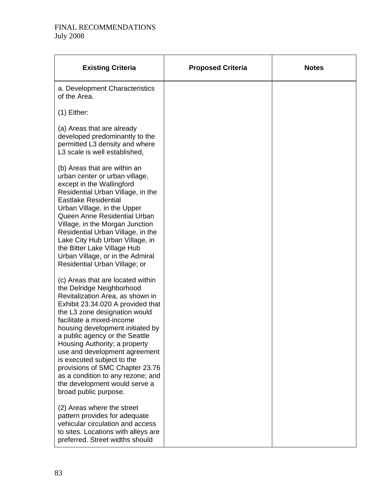| <b>Existing Criteria</b>                                                                                                                                                                                                                                                                                                                                                                                                                                                                                      | <b>Proposed Criteria</b> | <b>Notes</b> |
|---------------------------------------------------------------------------------------------------------------------------------------------------------------------------------------------------------------------------------------------------------------------------------------------------------------------------------------------------------------------------------------------------------------------------------------------------------------------------------------------------------------|--------------------------|--------------|
| a. Development Characteristics<br>of the Area.                                                                                                                                                                                                                                                                                                                                                                                                                                                                |                          |              |
| $(1)$ Either:                                                                                                                                                                                                                                                                                                                                                                                                                                                                                                 |                          |              |
| (a) Areas that are already<br>developed predominantly to the<br>permitted L3 density and where<br>L3 scale is well established,                                                                                                                                                                                                                                                                                                                                                                               |                          |              |
| (b) Areas that are within an<br>urban center or urban village,<br>except in the Wallingford<br>Residential Urban Village, in the<br><b>Eastlake Residential</b><br>Urban Village, in the Upper<br>Queen Anne Residential Urban<br>Village, in the Morgan Junction<br>Residential Urban Village, in the<br>Lake City Hub Urban Village, in<br>the Bitter Lake Village Hub<br>Urban Village, or in the Admiral<br>Residential Urban Village; or                                                                 |                          |              |
| (c) Areas that are located within<br>the Delridge Neighborhood<br>Revitalization Area, as shown in<br>Exhibit 23.34.020 A provided that<br>the L3 zone designation would<br>facilitate a mixed-income<br>housing development initiated by<br>a public agency or the Seattle<br>Housing Authority; a property<br>use and development agreement<br>is executed subject to the<br>provisions of SMC Chapter 23.76<br>as a condition to any rezone; and<br>the development would serve a<br>broad public purpose. |                          |              |
| (2) Areas where the street<br>pattern provides for adequate<br>vehicular circulation and access<br>to sites. Locations with alleys are<br>preferred. Street widths should                                                                                                                                                                                                                                                                                                                                     |                          |              |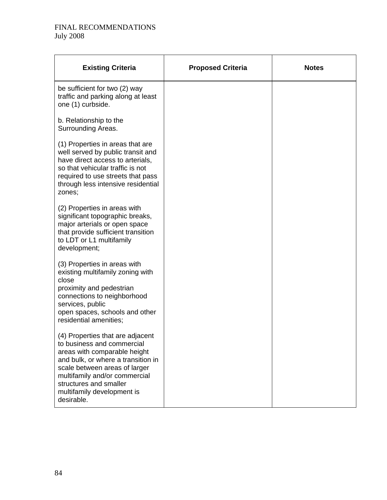| <b>Existing Criteria</b>                                                                                                                                                                                                                                                     | <b>Proposed Criteria</b> | <b>Notes</b> |
|------------------------------------------------------------------------------------------------------------------------------------------------------------------------------------------------------------------------------------------------------------------------------|--------------------------|--------------|
| be sufficient for two (2) way<br>traffic and parking along at least<br>one (1) curbside.                                                                                                                                                                                     |                          |              |
| b. Relationship to the<br>Surrounding Areas.                                                                                                                                                                                                                                 |                          |              |
| (1) Properties in areas that are<br>well served by public transit and<br>have direct access to arterials,<br>so that vehicular traffic is not<br>required to use streets that pass<br>through less intensive residential<br>zones;                                           |                          |              |
| (2) Properties in areas with<br>significant topographic breaks,<br>major arterials or open space<br>that provide sufficient transition<br>to LDT or L1 multifamily<br>development;                                                                                           |                          |              |
| (3) Properties in areas with<br>existing multifamily zoning with<br>close<br>proximity and pedestrian<br>connections to neighborhood<br>services, public<br>open spaces, schools and other<br>residential amenities;                                                         |                          |              |
| (4) Properties that are adjacent<br>to business and commercial<br>areas with comparable height<br>and bulk, or where a transition in<br>scale between areas of larger<br>multifamily and/or commercial<br>structures and smaller<br>multifamily development is<br>desirable. |                          |              |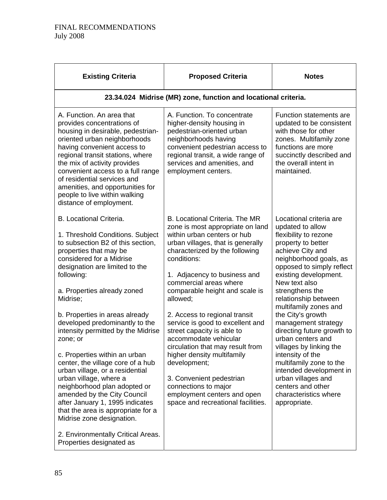| 23.34.024 Midrise (MR) zone, function and locational criteria.                                                                                                                                                                                                                                                                                                                                                                                                                                                                                                                                                                         |                                                                                                                                                                                                                                                                                                                                                                                                                                                                                                                                                                             |  |  |  |  |  |  |
|----------------------------------------------------------------------------------------------------------------------------------------------------------------------------------------------------------------------------------------------------------------------------------------------------------------------------------------------------------------------------------------------------------------------------------------------------------------------------------------------------------------------------------------------------------------------------------------------------------------------------------------|-----------------------------------------------------------------------------------------------------------------------------------------------------------------------------------------------------------------------------------------------------------------------------------------------------------------------------------------------------------------------------------------------------------------------------------------------------------------------------------------------------------------------------------------------------------------------------|--|--|--|--|--|--|
| A. Function. To concentrate<br>higher-density housing in<br>pedestrian-oriented urban<br>neighborhoods having<br>convenient pedestrian access to<br>regional transit, a wide range of<br>services and amenities, and<br>employment centers.                                                                                                                                                                                                                                                                                                                                                                                            | Function statements are<br>updated to be consistent<br>with those for other<br>zones. Multifamily zone<br>functions are more<br>succinctly described and<br>the overall intent in<br>maintained.                                                                                                                                                                                                                                                                                                                                                                            |  |  |  |  |  |  |
| B. Locational Criteria. The MR<br>zone is most appropriate on land<br>within urban centers or hub<br>urban villages, that is generally<br>characterized by the following<br>conditions:<br>1. Adjacency to business and<br>commercial areas where<br>comparable height and scale is<br>allowed;<br>2. Access to regional transit<br>service is good to excellent and<br>street capacity is able to<br>accommodate vehicular<br>circulation that may result from<br>higher density multifamily<br>development;<br>3. Convenient pedestrian<br>connections to major<br>employment centers and open<br>space and recreational facilities. | Locational criteria are<br>updated to allow<br>flexibility to rezone<br>property to better<br>achieve City and<br>neighborhood goals, as<br>opposed to simply reflect<br>existing development.<br>New text also<br>strengthens the<br>relationship between<br>multifamily zones and<br>the City's growth<br>management strategy<br>directing future growth to<br>urban centers and<br>villages by linking the<br>intensity of the<br>multifamily zone to the<br>intended development in<br>urban villages and<br>centers and other<br>characteristics where<br>appropriate. |  |  |  |  |  |  |
|                                                                                                                                                                                                                                                                                                                                                                                                                                                                                                                                                                                                                                        |                                                                                                                                                                                                                                                                                                                                                                                                                                                                                                                                                                             |  |  |  |  |  |  |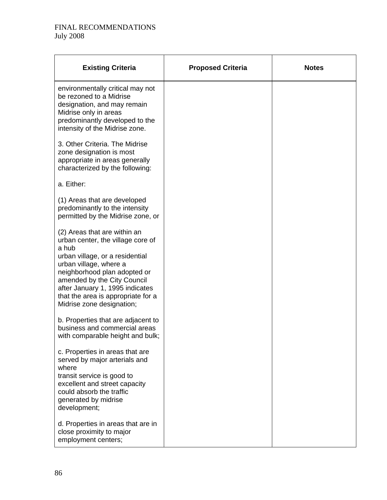| <b>Existing Criteria</b>                                                                                                                                                                                                                                                                                     | <b>Proposed Criteria</b> | <b>Notes</b> |
|--------------------------------------------------------------------------------------------------------------------------------------------------------------------------------------------------------------------------------------------------------------------------------------------------------------|--------------------------|--------------|
| environmentally critical may not<br>be rezoned to a Midrise<br>designation, and may remain<br>Midrise only in areas<br>predominantly developed to the<br>intensity of the Midrise zone.                                                                                                                      |                          |              |
| 3. Other Criteria. The Midrise<br>zone designation is most<br>appropriate in areas generally<br>characterized by the following:                                                                                                                                                                              |                          |              |
| a. Either:                                                                                                                                                                                                                                                                                                   |                          |              |
| (1) Areas that are developed<br>predominantly to the intensity<br>permitted by the Midrise zone, or                                                                                                                                                                                                          |                          |              |
| (2) Areas that are within an<br>urban center, the village core of<br>a hub<br>urban village, or a residential<br>urban village, where a<br>neighborhood plan adopted or<br>amended by the City Council<br>after January 1, 1995 indicates<br>that the area is appropriate for a<br>Midrise zone designation; |                          |              |
| b. Properties that are adjacent to<br>business and commercial areas<br>with comparable height and bulk;                                                                                                                                                                                                      |                          |              |
| c. Properties in areas that are<br>served by major arterials and<br>where<br>transit service is good to<br>excellent and street capacity<br>could absorb the traffic<br>generated by midrise<br>development;                                                                                                 |                          |              |
| d. Properties in areas that are in<br>close proximity to major<br>employment centers;                                                                                                                                                                                                                        |                          |              |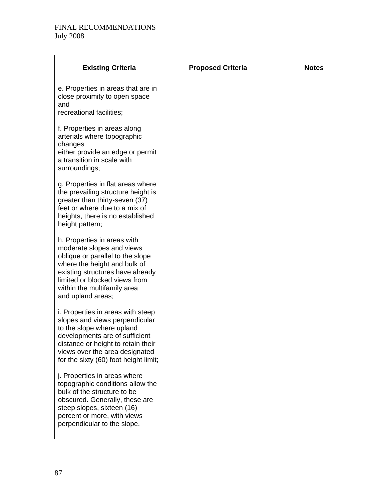| <b>Existing Criteria</b>                                                                                                                                                                                                                              | <b>Proposed Criteria</b> | <b>Notes</b> |
|-------------------------------------------------------------------------------------------------------------------------------------------------------------------------------------------------------------------------------------------------------|--------------------------|--------------|
| e. Properties in areas that are in<br>close proximity to open space<br>and<br>recreational facilities;                                                                                                                                                |                          |              |
| f. Properties in areas along<br>arterials where topographic<br>changes<br>either provide an edge or permit<br>a transition in scale with<br>surroundings;                                                                                             |                          |              |
| g. Properties in flat areas where<br>the prevailing structure height is<br>greater than thirty-seven (37)<br>feet or where due to a mix of<br>heights, there is no established<br>height pattern;                                                     |                          |              |
| h. Properties in areas with<br>moderate slopes and views<br>oblique or parallel to the slope<br>where the height and bulk of<br>existing structures have already<br>limited or blocked views from<br>within the multifamily area<br>and upland areas; |                          |              |
| i. Properties in areas with steep<br>slopes and views perpendicular<br>to the slope where upland<br>developments are of sufficient<br>distance or height to retain their<br>views over the area designated<br>for the sixty (60) foot height limit;   |                          |              |
| j. Properties in areas where<br>topographic conditions allow the<br>bulk of the structure to be<br>obscured. Generally, these are<br>steep slopes, sixteen (16)<br>percent or more, with views<br>perpendicular to the slope.                         |                          |              |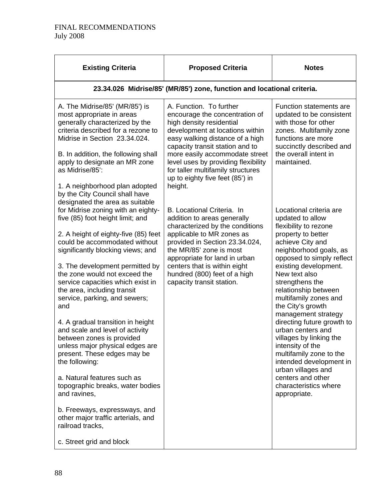| <b>Existing Criteria</b>                                                                                                                                                                                                                                                                                                                                               | <b>Proposed Criteria</b>                                                                                                                                                                                                                                                                                                                                   | <b>Notes</b>                                                                                                                                                                                     |  |  |  |
|------------------------------------------------------------------------------------------------------------------------------------------------------------------------------------------------------------------------------------------------------------------------------------------------------------------------------------------------------------------------|------------------------------------------------------------------------------------------------------------------------------------------------------------------------------------------------------------------------------------------------------------------------------------------------------------------------------------------------------------|--------------------------------------------------------------------------------------------------------------------------------------------------------------------------------------------------|--|--|--|
|                                                                                                                                                                                                                                                                                                                                                                        | 23.34.026 Midrise/85' (MR/85') zone, function and locational criteria.                                                                                                                                                                                                                                                                                     |                                                                                                                                                                                                  |  |  |  |
| A. The Midrise/85' (MR/85') is<br>most appropriate in areas<br>generally characterized by the<br>criteria described for a rezone to<br>Midrise in Section 23.34.024.<br>B. In addition, the following shall<br>apply to designate an MR zone<br>as Midrise/85':<br>1. A neighborhood plan adopted<br>by the City Council shall have<br>designated the area as suitable | A. Function. To further<br>encourage the concentration of<br>high density residential<br>development at locations within<br>easy walking distance of a high<br>capacity transit station and to<br>more easily accommodate street<br>level uses by providing flexibility<br>for taller multifamily structures<br>up to eighty five feet (85') in<br>height. | Function statements are<br>updated to be consistent<br>with those for other<br>zones. Multifamily zone<br>functions are more<br>succinctly described and<br>the overall intent in<br>maintained. |  |  |  |
| for Midrise zoning with an eighty-<br>five (85) foot height limit; and<br>2. A height of eighty-five (85) feet                                                                                                                                                                                                                                                         | B. Locational Criteria. In<br>addition to areas generally<br>characterized by the conditions<br>applicable to MR zones as                                                                                                                                                                                                                                  | Locational criteria are<br>updated to allow<br>flexibility to rezone<br>property to better                                                                                                       |  |  |  |
| could be accommodated without<br>significantly blocking views; and                                                                                                                                                                                                                                                                                                     | provided in Section 23.34.024,<br>the MR/85' zone is most<br>appropriate for land in urban                                                                                                                                                                                                                                                                 | achieve City and<br>neighborhood goals, as<br>opposed to simply reflect                                                                                                                          |  |  |  |
| 3. The development permitted by<br>the zone would not exceed the<br>service capacities which exist in<br>the area, including transit<br>service, parking, and sewers;<br>and                                                                                                                                                                                           | centers that is within eight<br>hundred (800) feet of a high<br>capacity transit station.                                                                                                                                                                                                                                                                  | existing development.<br>New text also<br>strengthens the<br>relationship between<br>multifamily zones and<br>the City's growth<br>management strategy                                           |  |  |  |
| 4. A gradual transition in height<br>and scale and level of activity<br>between zones is provided<br>unless major physical edges are<br>present. These edges may be<br>the following:                                                                                                                                                                                  |                                                                                                                                                                                                                                                                                                                                                            | directing future growth to<br>urban centers and<br>villages by linking the<br>intensity of the<br>multifamily zone to the<br>intended development in<br>urban villages and                       |  |  |  |
| a. Natural features such as<br>topographic breaks, water bodies<br>and ravines,                                                                                                                                                                                                                                                                                        |                                                                                                                                                                                                                                                                                                                                                            | centers and other<br>characteristics where<br>appropriate.                                                                                                                                       |  |  |  |
| b. Freeways, expressways, and<br>other major traffic arterials, and<br>railroad tracks,                                                                                                                                                                                                                                                                                |                                                                                                                                                                                                                                                                                                                                                            |                                                                                                                                                                                                  |  |  |  |
| c. Street grid and block                                                                                                                                                                                                                                                                                                                                               |                                                                                                                                                                                                                                                                                                                                                            |                                                                                                                                                                                                  |  |  |  |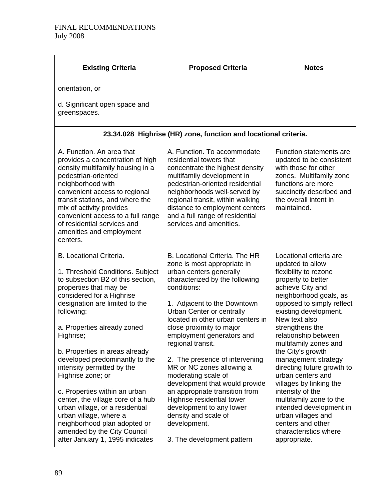| <b>Existing Criteria</b>                                                                                                                                                                                                                                                                                                                                                                                                                                                                                                                                                                                               | <b>Proposed Criteria</b>                                                                                                                                                                                                                                                                                                                                                                                                                                                                                                                                                                                           | <b>Notes</b>                                                                                                                                                                                                                                                                                                                                                                                                                                                                                                                                                                |
|------------------------------------------------------------------------------------------------------------------------------------------------------------------------------------------------------------------------------------------------------------------------------------------------------------------------------------------------------------------------------------------------------------------------------------------------------------------------------------------------------------------------------------------------------------------------------------------------------------------------|--------------------------------------------------------------------------------------------------------------------------------------------------------------------------------------------------------------------------------------------------------------------------------------------------------------------------------------------------------------------------------------------------------------------------------------------------------------------------------------------------------------------------------------------------------------------------------------------------------------------|-----------------------------------------------------------------------------------------------------------------------------------------------------------------------------------------------------------------------------------------------------------------------------------------------------------------------------------------------------------------------------------------------------------------------------------------------------------------------------------------------------------------------------------------------------------------------------|
| orientation, or                                                                                                                                                                                                                                                                                                                                                                                                                                                                                                                                                                                                        |                                                                                                                                                                                                                                                                                                                                                                                                                                                                                                                                                                                                                    |                                                                                                                                                                                                                                                                                                                                                                                                                                                                                                                                                                             |
| d. Significant open space and<br>greenspaces.                                                                                                                                                                                                                                                                                                                                                                                                                                                                                                                                                                          |                                                                                                                                                                                                                                                                                                                                                                                                                                                                                                                                                                                                                    |                                                                                                                                                                                                                                                                                                                                                                                                                                                                                                                                                                             |
|                                                                                                                                                                                                                                                                                                                                                                                                                                                                                                                                                                                                                        | 23.34.028 Highrise (HR) zone, function and locational criteria.                                                                                                                                                                                                                                                                                                                                                                                                                                                                                                                                                    |                                                                                                                                                                                                                                                                                                                                                                                                                                                                                                                                                                             |
| A. Function. An area that<br>provides a concentration of high<br>density multifamily housing in a<br>pedestrian-oriented<br>neighborhood with<br>convenient access to regional<br>transit stations, and where the<br>mix of activity provides<br>convenient access to a full range<br>of residential services and<br>amenities and employment<br>centers.                                                                                                                                                                                                                                                              | A. Function. To accommodate<br>residential towers that<br>concentrate the highest density<br>multifamily development in<br>pedestrian-oriented residential<br>neighborhoods well-served by<br>regional transit, within walking<br>distance to employment centers<br>and a full range of residential<br>services and amenities.                                                                                                                                                                                                                                                                                     | Function statements are<br>updated to be consistent<br>with those for other<br>zones. Multifamily zone<br>functions are more<br>succinctly described and<br>the overall intent in<br>maintained.                                                                                                                                                                                                                                                                                                                                                                            |
| <b>B.</b> Locational Criteria.<br>1. Threshold Conditions. Subject<br>to subsection B2 of this section,<br>properties that may be<br>considered for a Highrise<br>designation are limited to the<br>following:<br>a. Properties already zoned<br>Highrise;<br>b. Properties in areas already<br>developed predominantly to the<br>intensity permitted by the<br>Highrise zone; or<br>c. Properties within an urban<br>center, the village core of a hub<br>urban village, or a residential<br>urban village, where a<br>neighborhood plan adopted or<br>amended by the City Council<br>after January 1, 1995 indicates | B. Locational Criteria. The HR<br>zone is most appropriate in<br>urban centers generally<br>characterized by the following<br>conditions:<br>1. Adjacent to the Downtown<br>Urban Center or centrally<br>located in other urban centers in<br>close proximity to major<br>employment generators and<br>regional transit.<br>2. The presence of intervening<br>MR or NC zones allowing a<br>moderating scale of<br>development that would provide<br>an appropriate transition from<br>Highrise residential tower<br>development to any lower<br>density and scale of<br>development.<br>3. The development pattern | Locational criteria are<br>updated to allow<br>flexibility to rezone<br>property to better<br>achieve City and<br>neighborhood goals, as<br>opposed to simply reflect<br>existing development.<br>New text also<br>strengthens the<br>relationship between<br>multifamily zones and<br>the City's growth<br>management strategy<br>directing future growth to<br>urban centers and<br>villages by linking the<br>intensity of the<br>multifamily zone to the<br>intended development in<br>urban villages and<br>centers and other<br>characteristics where<br>appropriate. |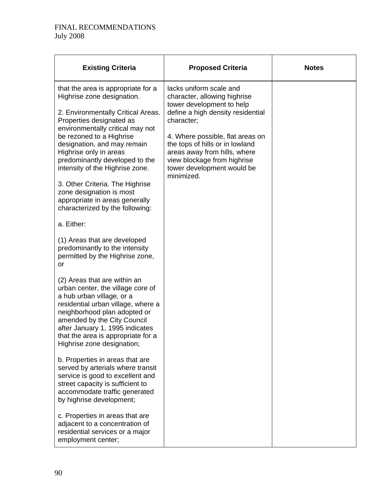| <b>Existing Criteria</b>                                                                                                                                                                                                                                                                                                                                                                                                                                             | <b>Proposed Criteria</b>                                                                                                                                                                                                                                                                                                  | <b>Notes</b> |
|----------------------------------------------------------------------------------------------------------------------------------------------------------------------------------------------------------------------------------------------------------------------------------------------------------------------------------------------------------------------------------------------------------------------------------------------------------------------|---------------------------------------------------------------------------------------------------------------------------------------------------------------------------------------------------------------------------------------------------------------------------------------------------------------------------|--------------|
| that the area is appropriate for a<br>Highrise zone designation.<br>2. Environmentally Critical Areas.<br>Properties designated as<br>environmentally critical may not<br>be rezoned to a Highrise<br>designation, and may remain<br>Highrise only in areas<br>predominantly developed to the<br>intensity of the Highrise zone.<br>3. Other Criteria. The Highrise<br>zone designation is most<br>appropriate in areas generally<br>characterized by the following: | lacks uniform scale and<br>character, allowing highrise<br>tower development to help<br>define a high density residential<br>character;<br>4. Where possible, flat areas on<br>the tops of hills or in lowland<br>areas away from hills, where<br>view blockage from highrise<br>tower development would be<br>minimized. |              |
| a. Either:                                                                                                                                                                                                                                                                                                                                                                                                                                                           |                                                                                                                                                                                                                                                                                                                           |              |
| (1) Areas that are developed<br>predominantly to the intensity<br>permitted by the Highrise zone,<br>or                                                                                                                                                                                                                                                                                                                                                              |                                                                                                                                                                                                                                                                                                                           |              |
| (2) Areas that are within an<br>urban center, the village core of<br>a hub urban village, or a<br>residential urban village, where a<br>neighborhood plan adopted or<br>amended by the City Council<br>after January 1, 1995 indicates<br>that the area is appropriate for a<br>Highrise zone designation;                                                                                                                                                           |                                                                                                                                                                                                                                                                                                                           |              |
| b. Properties in areas that are<br>served by arterials where transit<br>service is good to excellent and<br>street capacity is sufficient to<br>accommodate traffic generated<br>by highrise development;                                                                                                                                                                                                                                                            |                                                                                                                                                                                                                                                                                                                           |              |
| c. Properties in areas that are<br>adjacent to a concentration of<br>residential services or a major<br>employment center;                                                                                                                                                                                                                                                                                                                                           |                                                                                                                                                                                                                                                                                                                           |              |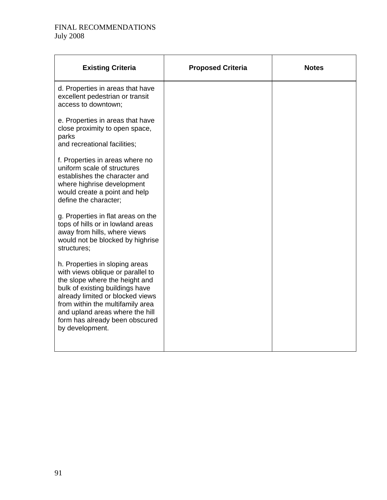| <b>Existing Criteria</b>                                                                                                                                                                                                                                                                                 | <b>Proposed Criteria</b> | <b>Notes</b> |
|----------------------------------------------------------------------------------------------------------------------------------------------------------------------------------------------------------------------------------------------------------------------------------------------------------|--------------------------|--------------|
| d. Properties in areas that have<br>excellent pedestrian or transit<br>access to downtown;                                                                                                                                                                                                               |                          |              |
| e. Properties in areas that have<br>close proximity to open space,<br>parks<br>and recreational facilities;                                                                                                                                                                                              |                          |              |
| f. Properties in areas where no<br>uniform scale of structures<br>establishes the character and<br>where highrise development<br>would create a point and help<br>define the character;                                                                                                                  |                          |              |
| g. Properties in flat areas on the<br>tops of hills or in lowland areas<br>away from hills, where views<br>would not be blocked by highrise<br>structures;                                                                                                                                               |                          |              |
| h. Properties in sloping areas<br>with views oblique or parallel to<br>the slope where the height and<br>bulk of existing buildings have<br>already limited or blocked views<br>from within the multifamily area<br>and upland areas where the hill<br>form has already been obscured<br>by development. |                          |              |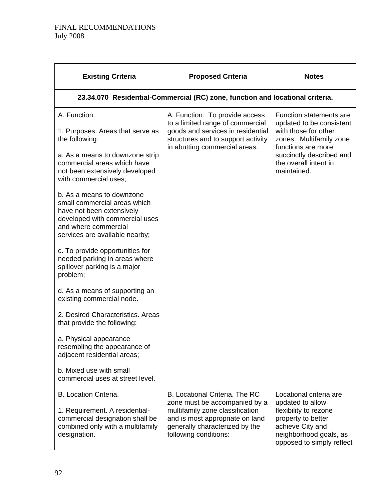| <b>Existing Criteria</b>                                                                                                                                                                                                                                                                                                                                                                                                                                                                                                                                                                                                                                                                                                          | <b>Proposed Criteria</b>                                                                                                                                                                         | <b>Notes</b>                                                                                                                                                                                     |
|-----------------------------------------------------------------------------------------------------------------------------------------------------------------------------------------------------------------------------------------------------------------------------------------------------------------------------------------------------------------------------------------------------------------------------------------------------------------------------------------------------------------------------------------------------------------------------------------------------------------------------------------------------------------------------------------------------------------------------------|--------------------------------------------------------------------------------------------------------------------------------------------------------------------------------------------------|--------------------------------------------------------------------------------------------------------------------------------------------------------------------------------------------------|
|                                                                                                                                                                                                                                                                                                                                                                                                                                                                                                                                                                                                                                                                                                                                   | 23.34.070 Residential-Commercial (RC) zone, function and locational criteria.                                                                                                                    |                                                                                                                                                                                                  |
| A. Function.<br>1. Purposes. Areas that serve as<br>the following:<br>a. As a means to downzone strip<br>commercial areas which have<br>not been extensively developed<br>with commercial uses;<br>b. As a means to downzone<br>small commercial areas which<br>have not been extensively<br>developed with commercial uses<br>and where commercial<br>services are available nearby;<br>c. To provide opportunities for<br>needed parking in areas where<br>spillover parking is a major<br>problem;<br>d. As a means of supporting an<br>existing commercial node.<br>2. Desired Characteristics. Areas<br>that provide the following:<br>a. Physical appearance<br>resembling the appearance of<br>adjacent residential areas; | A. Function. To provide access<br>to a limited range of commercial<br>goods and services in residential<br>structures and to support activity<br>in abutting commercial areas.                   | Function statements are<br>updated to be consistent<br>with those for other<br>zones. Multifamily zone<br>functions are more<br>succinctly described and<br>the overall intent in<br>maintained. |
| b. Mixed use with small<br>commercial uses at street level.                                                                                                                                                                                                                                                                                                                                                                                                                                                                                                                                                                                                                                                                       |                                                                                                                                                                                                  |                                                                                                                                                                                                  |
| <b>B. Location Criteria.</b><br>1. Requirement. A residential-<br>commercial designation shall be<br>combined only with a multifamily<br>designation.                                                                                                                                                                                                                                                                                                                                                                                                                                                                                                                                                                             | B. Locational Criteria. The RC<br>zone must be accompanied by a<br>multifamily zone classification<br>and is most appropriate on land<br>generally characterized by the<br>following conditions: | Locational criteria are<br>updated to allow<br>flexibility to rezone<br>property to better<br>achieve City and<br>neighborhood goals, as<br>opposed to simply reflect                            |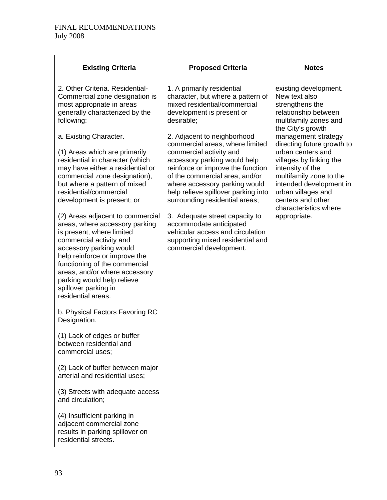| <b>Existing Criteria</b>                                                                                                                                                                                                                                                                         | <b>Proposed Criteria</b>                                                                                                                                                                                                                                                                                   | <b>Notes</b>                                                                                                                                                                                                                                                    |
|--------------------------------------------------------------------------------------------------------------------------------------------------------------------------------------------------------------------------------------------------------------------------------------------------|------------------------------------------------------------------------------------------------------------------------------------------------------------------------------------------------------------------------------------------------------------------------------------------------------------|-----------------------------------------------------------------------------------------------------------------------------------------------------------------------------------------------------------------------------------------------------------------|
| 2. Other Criteria, Residential-<br>Commercial zone designation is<br>most appropriate in areas<br>generally characterized by the<br>following:                                                                                                                                                   | 1. A primarily residential<br>character, but where a pattern of<br>mixed residential/commercial<br>development is present or<br>desirable;                                                                                                                                                                 | existing development.<br>New text also<br>strengthens the<br>relationship between<br>multifamily zones and<br>the City's growth                                                                                                                                 |
| a. Existing Character.<br>(1) Areas which are primarily<br>residential in character (which<br>may have either a residential or<br>commercial zone designation),<br>but where a pattern of mixed<br>residential/commercial<br>development is present; or<br>(2) Areas adjacent to commercial      | 2. Adjacent to neighborhood<br>commercial areas, where limited<br>commercial activity and<br>accessory parking would help<br>reinforce or improve the function<br>of the commercial area, and/or<br>where accessory parking would<br>help relieve spillover parking into<br>surrounding residential areas; | management strategy<br>directing future growth to<br>urban centers and<br>villages by linking the<br>intensity of the<br>multifamily zone to the<br>intended development in<br>urban villages and<br>centers and other<br>characteristics where<br>appropriate. |
| areas, where accessory parking<br>is present, where limited<br>commercial activity and<br>accessory parking would<br>help reinforce or improve the<br>functioning of the commercial<br>areas, and/or where accessory<br>parking would help relieve<br>spillover parking in<br>residential areas. | 3. Adequate street capacity to<br>accommodate anticipated<br>vehicular access and circulation<br>supporting mixed residential and<br>commercial development.                                                                                                                                               |                                                                                                                                                                                                                                                                 |
| b. Physical Factors Favoring RC<br>Designation.                                                                                                                                                                                                                                                  |                                                                                                                                                                                                                                                                                                            |                                                                                                                                                                                                                                                                 |
| (1) Lack of edges or buffer<br>between residential and<br>commercial uses;                                                                                                                                                                                                                       |                                                                                                                                                                                                                                                                                                            |                                                                                                                                                                                                                                                                 |
| (2) Lack of buffer between major<br>arterial and residential uses;                                                                                                                                                                                                                               |                                                                                                                                                                                                                                                                                                            |                                                                                                                                                                                                                                                                 |
| (3) Streets with adequate access<br>and circulation;                                                                                                                                                                                                                                             |                                                                                                                                                                                                                                                                                                            |                                                                                                                                                                                                                                                                 |
| (4) Insufficient parking in<br>adjacent commercial zone<br>results in parking spillover on<br>residential streets.                                                                                                                                                                               |                                                                                                                                                                                                                                                                                                            |                                                                                                                                                                                                                                                                 |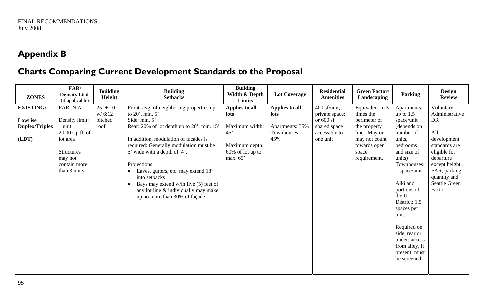# **Appendix B**

# **Charts Comparing Current Development Standards to the Proposal**

| <b>ZONES</b>          | FAR/<br><b>Density Limit</b><br>(if applicable) | <b>Building</b><br>Height | <b>Building</b><br><b>Setbacks</b>               | <b>Building</b><br>Width & Depth<br>Limits | <b>Lot Coverage</b> | <b>Residential</b><br><b>Amenities</b> | <b>Green Factor/</b><br>Landscaping | Parking        | <b>Design</b><br><b>Review</b> |
|-----------------------|-------------------------------------------------|---------------------------|--------------------------------------------------|--------------------------------------------|---------------------|----------------------------------------|-------------------------------------|----------------|--------------------------------|
| <b>EXISTING:</b>      | FAR: N.A.                                       | $25' + 10'$               | Front: avg. of neighboring properties up         | Applies to all                             | Applies to all      | $400$ sf/unit,                         | Equivalent to 3                     | Apartments:    | Voluntary:                     |
|                       |                                                 | w/6:12                    | to 20', min. 5'                                  | <b>lots</b>                                | lots                | private space;                         | times the                           | up to $1.5$    | Administrative                 |
| Lowrise               | Density limit:                                  | pitched                   | Side: min. 5'                                    |                                            |                     | or $600$ sf                            | perimeter of                        | space/unit     | DR                             |
| <b>Duplex/Triplex</b> | 1 unit                                          | roof                      | Rear: 20% of lot depth up to 20', min. 15'       | Maximum width:                             | Apartments: 35%     | shared space                           | the property                        | (depends on    |                                |
|                       | $2,000$ sq. ft. of                              |                           |                                                  | 45'                                        | Townhouses:         | accessible to                          | line. May or                        | number of      | All                            |
| (LDT)                 | lot area                                        |                           | In addition, modulation of facades is            |                                            | 45%                 | one unit                               | may not count                       | units,         | development                    |
|                       |                                                 |                           | required: Generally modulation must be           | Maximum depth:                             |                     |                                        | towards open                        | bedrooms       | standards are                  |
|                       | <b>Structures</b>                               |                           | 5' wide with a depth of 4'.                      | $60\%$ of lot up to                        |                     |                                        | space                               | and size of    | eligible for                   |
|                       | may not                                         |                           |                                                  | max. 65'                                   |                     |                                        | requirement.                        | units)         | departure                      |
|                       | contain more                                    |                           | Projections:                                     |                                            |                     |                                        |                                     | Townhouses:    | except height,                 |
|                       | than 3 units                                    |                           | Eaves, gutters, etc. may extend 18"<br>$\bullet$ |                                            |                     |                                        |                                     | 1 space/unit   | FAR, parking                   |
|                       |                                                 |                           | into setbacks                                    |                                            |                     |                                        |                                     |                | quantity and                   |
|                       |                                                 |                           | Bays may extend w/in five (5) feet of            |                                            |                     |                                        |                                     | Alki and       | <b>Seattle Green</b>           |
|                       |                                                 |                           | any lot line & individually may make             |                                            |                     |                                        |                                     | portions of    | Factor.                        |
|                       |                                                 |                           | up no more than 30% of façade                    |                                            |                     |                                        |                                     | the U.         |                                |
|                       |                                                 |                           |                                                  |                                            |                     |                                        |                                     | District: 1.5  |                                |
|                       |                                                 |                           |                                                  |                                            |                     |                                        |                                     | spaces per     |                                |
|                       |                                                 |                           |                                                  |                                            |                     |                                        |                                     | unit.          |                                |
|                       |                                                 |                           |                                                  |                                            |                     |                                        |                                     | Required on    |                                |
|                       |                                                 |                           |                                                  |                                            |                     |                                        |                                     | side, rear or  |                                |
|                       |                                                 |                           |                                                  |                                            |                     |                                        |                                     | under; access  |                                |
|                       |                                                 |                           |                                                  |                                            |                     |                                        |                                     | from alley, if |                                |
|                       |                                                 |                           |                                                  |                                            |                     |                                        |                                     | present; must  |                                |
|                       |                                                 |                           |                                                  |                                            |                     |                                        |                                     | be screened    |                                |
|                       |                                                 |                           |                                                  |                                            |                     |                                        |                                     |                |                                |
|                       |                                                 |                           |                                                  |                                            |                     |                                        |                                     |                |                                |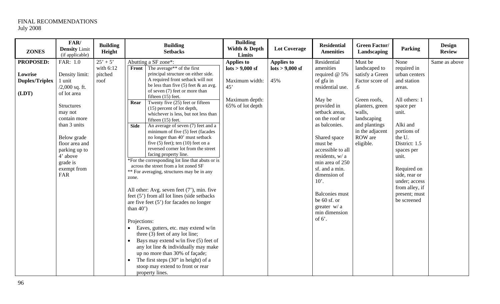| <b>ZONES</b>                              | FAR/<br><b>Density Limit</b><br>(if applicable)                                                                                                                                                                             | <b>Building</b><br>Height    | <b>Building</b><br><b>Setbacks</b>                                                                                                                                                                                                                                                                                                                                                                                                                                                                                                                                                                                                                                                                                                                                                                                                                                                                                                                                                                                                                                                                                                                                                                                       | <b>Building</b><br>Width & Depth<br><b>Limits</b>                                            | <b>Lot Coverage</b>                                         | <b>Residential</b><br><b>Amenities</b>                                                                                                                                                                                                                                                                                                                                            | <b>Green Factor/</b><br>Landscaping                                                                                                                                               | <b>Parking</b>                                                                                                                                                                                                                                                               | <b>Design</b><br><b>Review</b> |
|-------------------------------------------|-----------------------------------------------------------------------------------------------------------------------------------------------------------------------------------------------------------------------------|------------------------------|--------------------------------------------------------------------------------------------------------------------------------------------------------------------------------------------------------------------------------------------------------------------------------------------------------------------------------------------------------------------------------------------------------------------------------------------------------------------------------------------------------------------------------------------------------------------------------------------------------------------------------------------------------------------------------------------------------------------------------------------------------------------------------------------------------------------------------------------------------------------------------------------------------------------------------------------------------------------------------------------------------------------------------------------------------------------------------------------------------------------------------------------------------------------------------------------------------------------------|----------------------------------------------------------------------------------------------|-------------------------------------------------------------|-----------------------------------------------------------------------------------------------------------------------------------------------------------------------------------------------------------------------------------------------------------------------------------------------------------------------------------------------------------------------------------|-----------------------------------------------------------------------------------------------------------------------------------------------------------------------------------|------------------------------------------------------------------------------------------------------------------------------------------------------------------------------------------------------------------------------------------------------------------------------|--------------------------------|
| <b>PROPOSED:</b>                          | FAR: 1.0                                                                                                                                                                                                                    | $25' + 5'$                   | Abutting a SF zone*:                                                                                                                                                                                                                                                                                                                                                                                                                                                                                                                                                                                                                                                                                                                                                                                                                                                                                                                                                                                                                                                                                                                                                                                                     | <b>Applies to</b>                                                                            | <b>Applies to</b>                                           | Residential                                                                                                                                                                                                                                                                                                                                                                       | Must be                                                                                                                                                                           | None                                                                                                                                                                                                                                                                         | Same as above                  |
| Lowrise<br><b>Duplex/Triplex</b><br>(LDT) | Density limit:<br>1 unit<br>$/2,000$ sq. ft.<br>of lot area<br><b>Structures</b><br>may not<br>contain more<br>than 3 units<br>Below grade<br>floor area and<br>parking up to<br>4' above<br>grade is<br>exempt from<br>FAR | with 6:12<br>pitched<br>roof | The average** of the first<br>Front<br>principal structure on either side.<br>A required front setback will not<br>be less than five $(5)$ feet & an avg.<br>of seven (7) feet or more than<br>fifteen (15) feet.<br>Twenty five (25) feet or fifteen<br>Rear<br>(15) percent of lot depth,<br>whichever is less, but not less than<br>fifteen (15) feet.<br>An average of seven (7) feet and a<br>Side<br>minimum of five (5) feet (facades<br>no longer than 40' must setback<br>five $(5)$ feet); ten $(10)$ feet on a<br>reversed corner lot from the street<br>facing property line.<br>*For the corresponding lot line that abuts or is<br>across the street from a lot zoned SF<br>** For averaging, structures may be in any<br>zone.<br>All other: Avg. seven feet $(7)$ , min. five<br>feet (5') from all lot lines (side setbacks<br>are five feet $(5')$ for facades no longer<br>than $40'$ )<br>Projections:<br>Eaves, gutters, etc. may extend w/in<br>three (3) feet of any lot line;<br>Bays may extend w/in five (5) feet of<br>any lot line & individually may make<br>up no more than 30% of façade;<br>The first steps (30" in height) of a<br>stoop may extend to front or rear<br>property lines. | $\frac{\text{lots}}{9000}$ sf<br>Maximum width:<br>45'<br>Maximum depth:<br>65% of lot depth | $\frac{\text{dots}}{\text{dots}} > 9,000 \text{ sf}$<br>45% | amenities<br>required $@$ 5%<br>of gfa in<br>residential use.<br>May be<br>provided in<br>setback areas,<br>on the roof or<br>as balconies.<br>Shared space<br>must be<br>accessible to all<br>residents, w/ a<br>min area of 250<br>sf. and a min.<br>dimension of<br>$10^\circ$ .<br><b>Balconies</b> must<br>be 60 sf. or<br>greater $w/a$<br>min dimension<br>of $6^\prime$ . | landscaped to<br>satisfy a Green<br>Factor score of<br>.6<br>Green roofs,<br>planters, green<br>walls.<br>landscaping<br>and plantings<br>in the adjacent<br>ROW are<br>eligible. | required in<br>urban centers<br>and station<br>areas.<br>All others: 1<br>space per<br>unit.<br>Alki and<br>portions of<br>the U.<br>District: 1.5<br>spaces per<br>unit.<br>Required on<br>side, rear or<br>under; access<br>from alley, if<br>present; must<br>be screened |                                |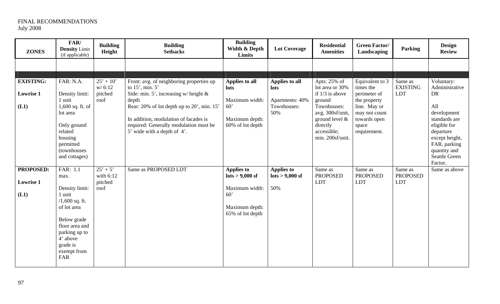| <b>ZONES</b>                                 | FAR/<br><b>Density Limit</b><br>(if applicable)                                                                                                                                 | <b>Building</b><br>Height                    | <b>Building</b><br><b>Setbacks</b>                                                                                                                                                                                                                                                | <b>Building</b><br>Width & Depth<br>Limits                                                                                              | <b>Lot Coverage</b>                                                       | <b>Residential</b><br><b>Amenities</b>                                                                                                                               | <b>Green Factor/</b><br>Landscaping                                                                                                    | <b>Parking</b>                           | <b>Design</b><br><b>Review</b>                                                                                                                                                              |
|----------------------------------------------|---------------------------------------------------------------------------------------------------------------------------------------------------------------------------------|----------------------------------------------|-----------------------------------------------------------------------------------------------------------------------------------------------------------------------------------------------------------------------------------------------------------------------------------|-----------------------------------------------------------------------------------------------------------------------------------------|---------------------------------------------------------------------------|----------------------------------------------------------------------------------------------------------------------------------------------------------------------|----------------------------------------------------------------------------------------------------------------------------------------|------------------------------------------|---------------------------------------------------------------------------------------------------------------------------------------------------------------------------------------------|
|                                              |                                                                                                                                                                                 |                                              |                                                                                                                                                                                                                                                                                   |                                                                                                                                         |                                                                           |                                                                                                                                                                      |                                                                                                                                        |                                          |                                                                                                                                                                                             |
| <b>EXISTING:</b><br><b>Lowrise 1</b><br>(L1) | FAR: N.A.<br>Density limit:<br>1 unit<br>$1,600$ sq. ft. of<br>lot area<br>Only ground<br>related<br>housing<br>permitted<br>(townhouses<br>and cottages)                       | $25' + 10'$<br>w/6:12<br>pitched<br>roof     | Front: avg. of neighboring properties up<br>to 15', min. 5'<br>Side: min. 5', increasing $w$ height $\&$<br>depth<br>Rear: 20% of lot depth up to 20', min. 15'<br>In addition, modulation of facades is<br>required: Generally modulation must be<br>5' wide with a depth of 4'. | Applies to all<br>lots<br>Maximum width:<br>60'<br>Maximum depth:<br>60% of lot depth                                                   | Applies to all<br>lots<br>Apartments: 40%<br>Townhouses:<br>50%           | Apts: 25% of<br>lot area or 30%<br>if $1/3$ is above<br>ground<br>Townhouses:<br>avg. 300sf/unit,<br>ground level $&$<br>directly<br>accessible;<br>min. 200sf/unit. | Equivalent to 3<br>times the<br>perimeter of<br>the property<br>line. May or<br>may not count<br>towards open<br>space<br>requirement. | Same as<br><b>EXISTING</b><br><b>LDT</b> | Voluntary:<br>Administrative<br><b>DR</b><br>All<br>development<br>standards are<br>eligible for<br>departure<br>except height,<br>FAR, parking<br>quantity and<br>Seattle Green<br>Factor. |
| PROPOSED:<br><b>Lowrise 1</b><br>(L1)        | FAR: 1.1<br>max.<br>Density limit:<br>1 unit<br>$/1,600$ sq. ft.<br>of lot area<br>Below grade<br>floor area and<br>parking up to<br>4' above<br>grade is<br>exempt from<br>FAR | $25' + 5'$<br>with $6:12$<br>pitched<br>roof | Same as PROPOSED LDT                                                                                                                                                                                                                                                              | <b>Applies to</b><br>$\frac{\text{dots}}{\text{dots}} > 9,000 \text{ s}$<br>Maximum width:<br>60'<br>Maximum depth:<br>65% of lot depth | <b>Applies to</b><br>$\frac{\text{lots}}{9000} > 9.000 \text{ sf}$<br>50% | Same as<br><b>PROPOSED</b><br><b>LDT</b>                                                                                                                             | Same as<br><b>PROPOSED</b><br><b>LDT</b>                                                                                               | Same as<br><b>PROPOSED</b><br><b>LDT</b> | Same as above                                                                                                                                                                               |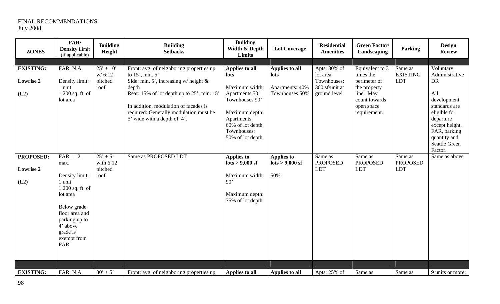| <b>ZONES</b>                                 | FAR/<br><b>Density Limit</b><br>(if applicable)                                                                                                                              | <b>Building</b><br>Height                    | <b>Building</b><br><b>Setbacks</b>                                                                                                                                                                                                                                              | <b>Building</b><br>Width & Depth<br>Limits                                                                                                                           | <b>Lot Coverage</b>                                         | <b>Residential</b><br><b>Amenities</b>                                    | <b>Green Factor/</b><br>Landscaping                                                                                      | <b>Parking</b>                           | <b>Design</b><br><b>Review</b>                                                                                                                                                                     |
|----------------------------------------------|------------------------------------------------------------------------------------------------------------------------------------------------------------------------------|----------------------------------------------|---------------------------------------------------------------------------------------------------------------------------------------------------------------------------------------------------------------------------------------------------------------------------------|----------------------------------------------------------------------------------------------------------------------------------------------------------------------|-------------------------------------------------------------|---------------------------------------------------------------------------|--------------------------------------------------------------------------------------------------------------------------|------------------------------------------|----------------------------------------------------------------------------------------------------------------------------------------------------------------------------------------------------|
|                                              |                                                                                                                                                                              |                                              |                                                                                                                                                                                                                                                                                 |                                                                                                                                                                      |                                                             |                                                                           |                                                                                                                          |                                          |                                                                                                                                                                                                    |
| <b>EXISTING:</b><br><b>Lowrise 2</b><br>(L2) | FAR: N.A.<br>Density limit:<br>1 unit<br>1,200 sq. ft. of<br>lot area                                                                                                        | $25' + 10'$<br>w/6:12<br>pitched<br>roof     | Front: avg. of neighboring properties up<br>to 15', min. 5'<br>Side: min. 5', increasing w/height $\&$<br>depth<br>Rear: 15% of lot depth up to 25', min. 15'<br>In addition, modulation of facades is<br>required: Generally modulation must be<br>5' wide with a depth of 4'. | Applies to all<br>lots<br>Maximum width:<br>Apartments 50'<br>Townhouses 90'<br>Maximum depth:<br>Apartments:<br>60% of lot depth<br>Townhouses:<br>50% of lot depth | Applies to all<br>lots<br>Apartments: 40%<br>Townhouses 50% | Apts: 30% of<br>lot area<br>Townhouses:<br>300 sf/unit at<br>ground level | Equivalent to 3<br>times the<br>perimeter of<br>the property<br>line. May<br>count towards<br>open space<br>requirement. | Same as<br><b>EXISTING</b><br><b>LDT</b> | Voluntary:<br>Administrative<br><b>DR</b><br>All<br>development<br>standards are<br>eligible for<br>departure<br>except height,<br>FAR, parking<br>quantity and<br><b>Seattle Green</b><br>Factor. |
| <b>PROPOSED:</b><br><b>Lowrise 2</b><br>(L2) | FAR: 1.2<br>max.<br>Density limit:<br>1 unit<br>1,200 sq. ft. of<br>lot area<br>Below grade<br>floor area and<br>parking up to<br>4' above<br>grade is<br>exempt from<br>FAR | $25' + 5'$<br>with $6:12$<br>pitched<br>roof | Same as PROPOSED LDT                                                                                                                                                                                                                                                            | <b>Applies to</b><br>$\frac{\text{dots}}{\text{dots}} > 9,000 \text{ s}$<br>Maximum width:<br>90'<br>Maximum depth:<br>75% of lot depth                              | <b>Applies to</b><br>$\frac{1}{10}$ lots > 9,000 sf<br>50%  | Same as<br><b>PROPOSED</b><br><b>LDT</b>                                  | Same as<br><b>PROPOSED</b><br><b>LDT</b>                                                                                 | Same as<br><b>PROPOSED</b><br><b>LDT</b> | Same as above                                                                                                                                                                                      |
| <b>EXISTING:</b>                             | FAR: N.A.                                                                                                                                                                    | $30' + 5'$                                   | Front: avg. of neighboring properties up                                                                                                                                                                                                                                        | Applies to all                                                                                                                                                       | Applies to all                                              | Apts: 25% of                                                              | Same as                                                                                                                  | Same as                                  | 9 units or more:                                                                                                                                                                                   |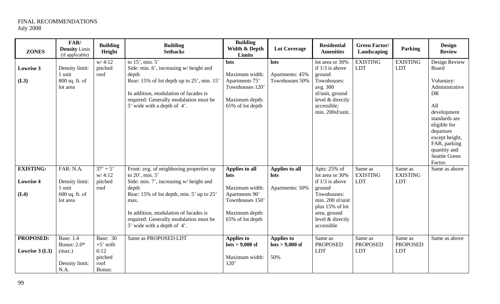| <b>ZONES</b>                                 | FAR/<br><b>Density Limit</b><br>(if applicable)                            | <b>Building</b><br>Height                                   | <b>Building</b><br><b>Setbacks</b>                                                                                                                                                                                                                                                     | <b>Building</b><br>Width & Depth<br>Limits                                                                                 | <b>Lot Coverage</b>                                        | <b>Residential</b><br><b>Amenities</b>                                                                                                                                 | <b>Green Factor/</b><br>Landscaping      | <b>Parking</b>                           | <b>Design</b><br><b>Review</b>                                                                                                                                                                                               |
|----------------------------------------------|----------------------------------------------------------------------------|-------------------------------------------------------------|----------------------------------------------------------------------------------------------------------------------------------------------------------------------------------------------------------------------------------------------------------------------------------------|----------------------------------------------------------------------------------------------------------------------------|------------------------------------------------------------|------------------------------------------------------------------------------------------------------------------------------------------------------------------------|------------------------------------------|------------------------------------------|------------------------------------------------------------------------------------------------------------------------------------------------------------------------------------------------------------------------------|
| <b>Lowrise 3</b><br>(L3)                     | Density limit:<br>1 unit<br>800 sq. ft. of<br>lot area                     | w/4:12<br>pitched<br>roof                                   | to 15', min. 5'<br>Side: min. 6', increasing w/ height and<br>depth<br>Rear: 15% of lot depth up to 25', min. 15'<br>In addition, modulation of facades is<br>required: Generally modulation must be<br>5' wide with a depth of 4'.                                                    | lots<br>Maximum width:<br>Apartments 75'<br>Townhouses 120'<br>Maximum depth:<br>65% of lot depth                          | lots<br>Apartments: 45%<br>Townhouses 50%                  | lot area or 30%<br>if $1/3$ is above<br>ground<br>Townhouses:<br>avg. 300<br>sf/unit, ground<br>level & directly<br>accessible;<br>min. 200sf/unit.                    | <b>EXISTING</b><br><b>LDT</b>            | <b>EXISTING</b><br><b>LDT</b>            | Design Review<br><b>Board</b><br>Voluntary:<br>Administrative<br><b>DR</b><br>All<br>development<br>standards are<br>eligible for<br>departure<br>except height,<br>FAR, parking<br>quantity and<br>Seattle Green<br>Factor. |
| <b>EXISTING:</b><br><b>Lowrise 4</b><br>(L4) | FAR: N.A.<br>Density limit:<br>1 unit<br>$600$ sq. ft. of<br>lot area      | $37' + 5'$<br>w/4:12<br>pitched<br>roof                     | Front: avg. of neighboring properties up<br>to 20', min. 5'<br>Side: min. 7', increasing w/ height and<br>depth<br>Rear: 15% of lot depth, min. 5' up to 25'<br>max.<br>In addition, modulation of facades is<br>required: Generally modulation must be<br>5' wide with a depth of 4'. | <b>Applies to all</b><br>lots<br>Maximum width:<br>Apartments 90'<br>Townhouses 150'<br>Maximum depth:<br>65% of lot depth | Applies to all<br>lots<br>Apartments: 50%                  | Apts: 25% of<br>lot area or 30%<br>if $1/3$ is above<br>ground<br>Townhouses:<br>min. 200 sf/unit<br>plus 15% of lot<br>area, ground<br>level & directly<br>accessible | Same as<br><b>EXISTING</b><br><b>LDT</b> | Same as<br><b>EXISTING</b><br><b>LDT</b> | Same as above                                                                                                                                                                                                                |
| PROPOSED:<br>Lowrise $3$ (L3)                | <b>Base: 1.4</b><br><b>Bonus: 2.0*</b><br>(max.)<br>Density limit:<br>N.A. | Base: 30<br>$+5'$ with<br>6:12<br>pitched<br>roof<br>Bonus: | Same as PROPOSED LDT                                                                                                                                                                                                                                                                   | <b>Applies to</b><br>$\frac{\text{lots}}{9000} > 9.000 \text{ sf}$<br>Maximum width:<br>120'                               | <b>Applies to</b><br>$\frac{1}{10}$ lots > 9,000 sf<br>50% | Same as<br><b>PROPOSED</b><br><b>LDT</b>                                                                                                                               | Same as<br><b>PROPOSED</b><br><b>LDT</b> | Same as<br><b>PROPOSED</b><br><b>LDT</b> | Same as above                                                                                                                                                                                                                |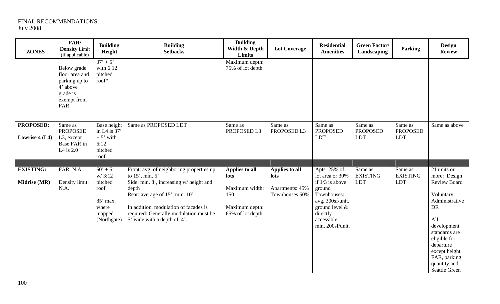| <b>ZONES</b>                     | FAR/<br><b>Density Limit</b><br>(if applicable)                                              | <b>Building</b><br>Height                                                             | <b>Building</b><br><b>Setbacks</b>                                                                                                                                                                                                                                       | <b>Building</b><br>Width & Depth<br>Limits                                             | <b>Lot Coverage</b>                                         | <b>Residential</b><br><b>Amenities</b>                                                                                                                                | <b>Green Factor/</b><br>Landscaping      | <b>Parking</b>                           | <b>Design</b><br><b>Review</b>                                                                                                                                                                                                  |
|----------------------------------|----------------------------------------------------------------------------------------------|---------------------------------------------------------------------------------------|--------------------------------------------------------------------------------------------------------------------------------------------------------------------------------------------------------------------------------------------------------------------------|----------------------------------------------------------------------------------------|-------------------------------------------------------------|-----------------------------------------------------------------------------------------------------------------------------------------------------------------------|------------------------------------------|------------------------------------------|---------------------------------------------------------------------------------------------------------------------------------------------------------------------------------------------------------------------------------|
|                                  | Below grade<br>floor area and<br>parking up to<br>4' above<br>grade is<br>exempt from<br>FAR | $37' + 5'$<br>with 6:12<br>pitched<br>$\text{roof}^*$                                 |                                                                                                                                                                                                                                                                          | Maximum depth:<br>75% of lot depth                                                     |                                                             |                                                                                                                                                                       |                                          |                                          |                                                                                                                                                                                                                                 |
| PROPOSED:<br>Lowrise 4 (L4)      | Same as<br><b>PROPOSED</b><br>L <sub>3</sub> , except<br>Base FAR in<br>L4 is $2.0$          | <b>Base</b> height<br>in L4 is $37'$<br>$+5'$ with<br>6:12<br>pitched<br>roof.        | Same as PROPOSED LDT                                                                                                                                                                                                                                                     | Same as<br>PROPOSED L3                                                                 | Same as<br>PROPOSED L3                                      | Same as<br><b>PROPOSED</b><br><b>LDT</b>                                                                                                                              | Same as<br><b>PROPOSED</b><br><b>LDT</b> | Same as<br><b>PROPOSED</b><br>LDT        | Same as above                                                                                                                                                                                                                   |
| <b>EXISTING:</b><br>Midrise (MR) | FAR: N.A.<br>Density limit:<br>N.A.                                                          | $60' + 5'$<br>w/3:12<br>pitched<br>roof<br>85' max.<br>where<br>mapped<br>(Northgate) | Front: avg. of neighboring properties up<br>to $15'$ , min. $5'$<br>Side: min. 8', increasing w/ height and<br>depth<br>Rear: average of 15', min. 10'<br>In addition, modulation of facades is<br>required: Generally modulation must be<br>5' wide with a depth of 4'. | Applies to all<br>lots<br>Maximum width:<br>150'<br>Maximum depth:<br>65% of lot depth | Applies to all<br>lots<br>Apartments: 45%<br>Townhouses 50% | Apts: 25% of<br>lot area or 30%<br>if $1/3$ is above<br>ground<br>Townhouses:<br>avg. 300sf/unit,<br>ground level $\&$<br>directly<br>accessible;<br>min. 200sf/unit. | Same as<br><b>EXISTING</b><br><b>LDT</b> | Same as<br><b>EXISTING</b><br><b>LDT</b> | 21 units or<br>more: Design<br>Review Board<br>Voluntary:<br>Administrative<br><b>DR</b><br>All<br>development<br>standards are<br>eligible for<br>departure<br>except height,<br>FAR, parking<br>quantity and<br>Seattle Green |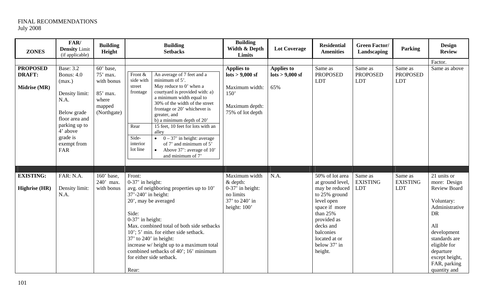| <b>ZONES</b>                                     | FAR/<br><b>Density Limit</b><br>(if applicable)                                                                                                                                  | <b>Building</b><br>Height                                                                     | <b>Building</b><br><b>Setbacks</b>                                                                                                                                                                                                                                                                                                                                                                                                                                                                                  | <b>Building</b><br>Width & Depth<br>Limits                                                                          | <b>Lot Coverage</b>                                        | <b>Residential</b><br><b>Amenities</b>                                                                                                                                                                 | <b>Green Factor/</b><br>Landscaping      | <b>Parking</b>                           | <b>Design</b><br><b>Review</b>                                                                                                                                                                                        |
|--------------------------------------------------|----------------------------------------------------------------------------------------------------------------------------------------------------------------------------------|-----------------------------------------------------------------------------------------------|---------------------------------------------------------------------------------------------------------------------------------------------------------------------------------------------------------------------------------------------------------------------------------------------------------------------------------------------------------------------------------------------------------------------------------------------------------------------------------------------------------------------|---------------------------------------------------------------------------------------------------------------------|------------------------------------------------------------|--------------------------------------------------------------------------------------------------------------------------------------------------------------------------------------------------------|------------------------------------------|------------------------------------------|-----------------------------------------------------------------------------------------------------------------------------------------------------------------------------------------------------------------------|
|                                                  |                                                                                                                                                                                  |                                                                                               |                                                                                                                                                                                                                                                                                                                                                                                                                                                                                                                     |                                                                                                                     |                                                            |                                                                                                                                                                                                        |                                          |                                          | Factor.                                                                                                                                                                                                               |
| <b>PROPOSED</b><br><b>DRAFT:</b><br>Midrise (MR) | <b>Base: 3.2</b><br><b>Bonus: 4.0</b><br>(max.)<br>Density limit:<br>N.A.<br>Below grade<br>floor area and<br>parking up to<br>4' above<br>grade is<br>exempt from<br><b>FAR</b> | $\overline{60}$ base,<br>75' max.<br>with bonus<br>85' max.<br>where<br>mapped<br>(Northgate) | An average of 7 feet and a<br>Front &<br>minimum of 5'.<br>side with<br>May reduce to 0' when a<br>street<br>courtyard is provided with: a)<br>frontage<br>a minimum width equal to<br>30% of the width of the street<br>frontage or 20' whichever is<br>greater, and<br>b) a minimum depth of 20'<br>15 feet, 10 feet for lots with an<br>Rear<br>alley<br>Side-<br>$0 - 37'$ in height: average<br>interior<br>of 7' and minimum of 5'<br>lot line<br>Above 37': average of 10'<br>$\bullet$<br>and minimum of 7' | <b>Applies to</b><br>$\frac{1}{10}$ lots > 9,000 sf<br>Maximum width:<br>150'<br>Maximum depth:<br>75% of lot depth | <b>Applies to</b><br>$\frac{\text{lots}}{9,000}$ sf<br>65% | Same as<br><b>PROPOSED</b><br><b>LDT</b>                                                                                                                                                               | Same as<br><b>PROPOSED</b><br><b>LDT</b> | Same as<br><b>PROPOSED</b><br><b>LDT</b> | Same as above                                                                                                                                                                                                         |
|                                                  |                                                                                                                                                                                  |                                                                                               |                                                                                                                                                                                                                                                                                                                                                                                                                                                                                                                     |                                                                                                                     |                                                            |                                                                                                                                                                                                        |                                          |                                          |                                                                                                                                                                                                                       |
| <b>EXISTING:</b><br><b>Highrise</b> (HR)         | FAR: N.A.<br>Density limit:<br>N.A.                                                                                                                                              | $160'$ base,<br>240' max.<br>with bonus                                                       | Front:<br>$0-37'$ in height:<br>avg. of neighboring properties up to 10'<br>37'-240' in height:<br>20', may be averaged<br>Side:<br>$0-37'$ in height:<br>Max. combined total of both side setbacks<br>10'; 5' min. for either side setback.<br>$37'$ to $240'$ in height:<br>increase w/ height up to a maximum total<br>combined setbacks of 40'; 16' minimum<br>for either side setback.<br>Rear:                                                                                                                | Maximum width<br>$&$ depth:<br>$0-37'$ in height:<br>no limits<br>37' to 240' in<br>height: 100'                    | N.A.                                                       | 50% of lot area<br>at ground level,<br>may be reduced<br>to 25% ground<br>level open<br>space if more<br>than 25%<br>provided as<br>decks and<br>balconies<br>located at or<br>below 37' in<br>height. | Same as<br><b>EXISTING</b><br>LDT        | Same as<br><b>EXISTING</b><br><b>LDT</b> | 21 units or<br>more: Design<br><b>Review Board</b><br>Voluntary:<br>Administrative<br><b>DR</b><br>All<br>development<br>standards are<br>eligible for<br>departure<br>except height,<br>FAR, parking<br>quantity and |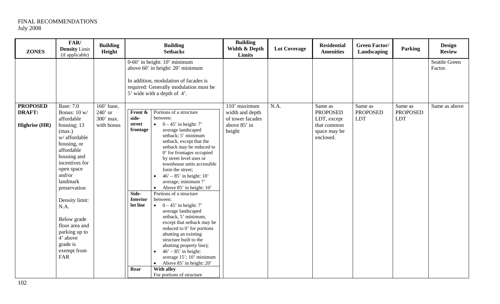| <b>ZONES</b>                                             | FAR/<br><b>Density</b> Limit<br>(if applicable)                                                                                                                                                                                                                                                                                      | <b>Building</b><br>Height                          |                                                                                                                                                                                        | <b>Building</b><br><b>Setbacks</b>                                                                                                                                                                                                                                                                                                                                                                                                                                                                                                                                                                                                                                                        |                                                                               | <b>Lot Coverage</b> | <b>Residential</b><br><b>Amenities</b>                                                | <b>Green Factor/</b><br>Landscaping      | Parking                                  | <b>Design</b><br><b>Review</b>  |
|----------------------------------------------------------|--------------------------------------------------------------------------------------------------------------------------------------------------------------------------------------------------------------------------------------------------------------------------------------------------------------------------------------|----------------------------------------------------|----------------------------------------------------------------------------------------------------------------------------------------------------------------------------------------|-------------------------------------------------------------------------------------------------------------------------------------------------------------------------------------------------------------------------------------------------------------------------------------------------------------------------------------------------------------------------------------------------------------------------------------------------------------------------------------------------------------------------------------------------------------------------------------------------------------------------------------------------------------------------------------------|-------------------------------------------------------------------------------|---------------------|---------------------------------------------------------------------------------------|------------------------------------------|------------------------------------------|---------------------------------|
|                                                          |                                                                                                                                                                                                                                                                                                                                      |                                                    | $0-60'$ in height: $10'$ minimum<br>above 60' in height: 20' minimum<br>In addition, modulation of facades is<br>required: Generally modulation must be<br>5' wide with a depth of 4'. |                                                                                                                                                                                                                                                                                                                                                                                                                                                                                                                                                                                                                                                                                           |                                                                               |                     |                                                                                       |                                          |                                          | <b>Seattle Green</b><br>Factor. |
| <b>PROPOSED</b><br><b>DRAFT:</b><br><b>Highrise</b> (HR) | <b>Base: 7.0</b><br>Bonus: 10 w/<br>affordable<br>housing; 13<br>(max.)<br>w/ affordable<br>housing, or<br>affordable<br>housing and<br>incentives for<br>open space<br>and/or<br>landmark<br>preservation<br>Density limit:<br>N.A.<br>Below grade<br>floor area and<br>parking up to<br>4' above<br>grade is<br>exempt from<br>FAR | 160' base,<br>$240'$ or<br>300' max.<br>with bonus | Front &<br>between:<br>side-<br>street<br>$\bullet$<br>frontage<br>$\bullet$<br>Side-<br><b>Interior</b><br>between:<br>lot line<br>$\bullet$<br>With alley<br>Rear                    | Portions of a structure<br>$0 - 45'$ in height: 7'<br>average landscaped<br>setback; 5' minimum<br>setback, except that the<br>setback may be reduced to<br>0' for frontages occupied<br>by street level uses or<br>townhouse units accessible<br>form the street;<br>$46' - 85'$ in height: 10'<br>average; minimum 7'<br>Above 85' in height: 10'<br>Portions of a structure<br>$0 - 45'$ in height: 7'<br>average landscaped<br>setback, 5' minimum,<br>except that setback may be<br>reduced to 0' for portions<br>abutting an existing<br>structure built to the<br>abutting property line);<br>$46' - 85'$ in height:<br>average 15'; 10' minimum<br>• Above $85'$ in height: $20'$ | 110' maximum<br>width and depth<br>of tower facades<br>above 85' in<br>height | N.A.                | Same as<br><b>PROPOSED</b><br>LDT, except<br>that common<br>space may be<br>enclosed. | Same as<br><b>PROPOSED</b><br><b>LDT</b> | Same as<br><b>PROPOSED</b><br><b>LDT</b> | Same as above                   |
|                                                          |                                                                                                                                                                                                                                                                                                                                      |                                                    |                                                                                                                                                                                        | For portions of structure                                                                                                                                                                                                                                                                                                                                                                                                                                                                                                                                                                                                                                                                 |                                                                               |                     |                                                                                       |                                          |                                          |                                 |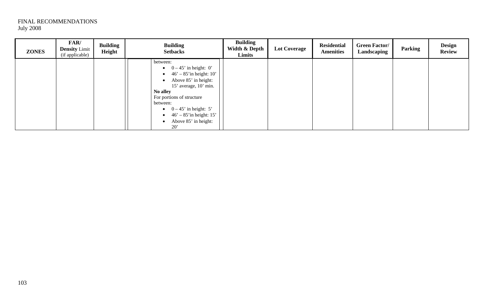| <b>ZONES</b> | FAR/<br><b>Density Limit</b><br>(if applicable) | <b>Building</b><br>Height | <b>Building</b><br><b>Setbacks</b>                                                                                                                                                                                                                                                                                                  | <b>Building</b><br>Width & Depth<br>Limits | <b>Lot Coverage</b> | <b>Residential</b><br><b>Amenities</b> | <b>Green Factor/</b><br>Landscaping | Parking | <b>Design</b><br><b>Review</b> |
|--------------|-------------------------------------------------|---------------------------|-------------------------------------------------------------------------------------------------------------------------------------------------------------------------------------------------------------------------------------------------------------------------------------------------------------------------------------|--------------------------------------------|---------------------|----------------------------------------|-------------------------------------|---------|--------------------------------|
|              |                                                 |                           | between:<br>$\bullet$ 0 – 45' in height: 0'<br>$46' - 85'$ in height: 10'<br>$\bullet$<br>Above 85' in height:<br>$\bullet$<br>15' average, 10' min.<br>No alley<br>For portions of structure<br>between:<br>$\bullet$ 0 – 45' in height: 5'<br>$46' - 85'$ in height: 15'<br>$\bullet$<br>Above 85' in height:<br>$\bullet$<br>20' |                                            |                     |                                        |                                     |         |                                |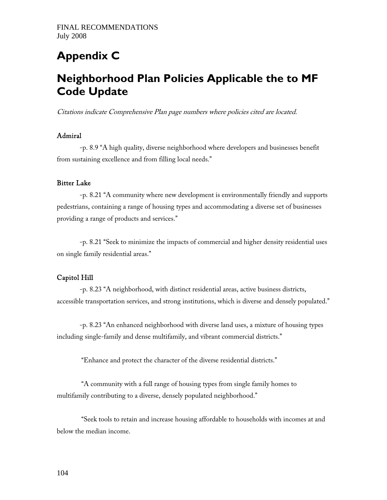## **Appendix C**

## **Neighborhood Plan Policies Applicable the to MF Code Update**

Citations indicate Comprehensive Plan page numbers where policies cited are located.

### Admiral

 -p. 8.9 ''A high quality, diverse neighborhood where developers and businesses benefit from sustaining excellence and from filling local needs.''

#### Bitter Lake

 -p. 8.21 ''A community where new development is environmentally friendly and supports pedestrians, containing a range of housing types and accommodating a diverse set of businesses providing a range of products and services.''

 -p. 8.21 ''Seek to minimize the impacts of commercial and higher density residential uses on single family residential areas.''

### Capitol Hill

 -p. 8.23 ''A neighborhood, with distinct residential areas, active business districts, accessible transportation services, and strong institutions, which is diverse and densely populated.''

 -p. 8.23 ''An enhanced neighborhood with diverse land uses, a mixture of housing types including single-family and dense multifamily, and vibrant commercial districts.''

''Enhance and protect the character of the diverse residential districts.''

 ''A community with a full range of housing types from single family homes to multifamily contributing to a diverse, densely populated neighborhood.''

 ''Seek tools to retain and increase housing affordable to households with incomes at and below the median income.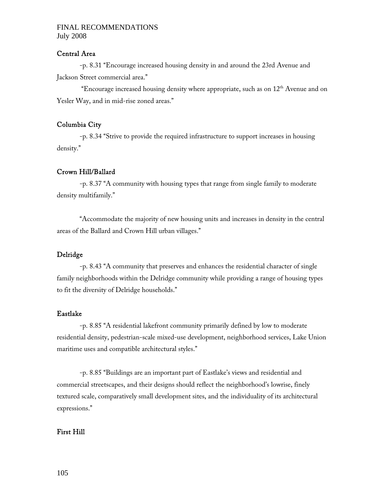### Central Area

 -p. 8.31 ''Encourage increased housing density in and around the 23rd Avenue and Jackson Street commercial area.''

 ''Encourage increased housing density where appropriate, such as on 12th Avenue and on Yesler Way, and in mid-rise zoned areas."

### Columbia City

 -p. 8.34 ''Strive to provide the required infrastructure to support increases in housing density.''

### Crown Hill/Ballard

 -p. 8.37 ''A community with housing types that range from single family to moderate density multifamily.''

 ''Accommodate the majority of new housing units and increases in density in the central areas of the Ballard and Crown Hill urban villages.''

### Delridge

 -p. 8.43 ''A community that preserves and enhances the residential character of single family neighborhoods within the Delridge community while providing a range of housing types to fit the diversity of Delridge households.''

### Eastlake

 -p. 8.85 ''A residential lakefront community primarily defined by low to moderate residential density, pedestrian-scale mixed-use development, neighborhood services, Lake Union maritime uses and compatible architectural styles.''

-p. 8.85 ''Buildings are an important part of Eastlake's views and residential and commercial streetscapes, and their designs should reflect the neighborhood's lowrise, finely textured scale, comparatively small development sites, and the individuality of its architectural expressions.''

### First Hill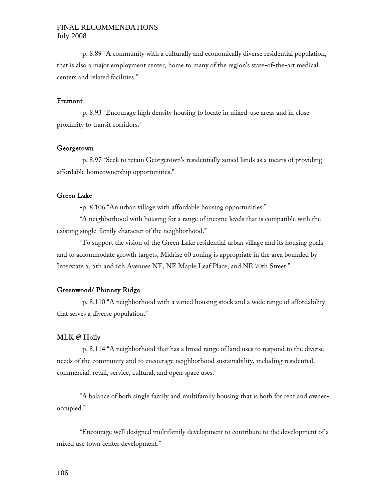-p. 8.89 ''A community with a culturally and economically diverse residential population, that is also a major employment center, home to many of the region's state-of-the-art medical centers and related facilities.''

### Fremont

 -p. 8.93 ''Encourage high density housing to locate in mixed-use areas and in close proximity to transit corridors.''

#### Georgetown

 -p. 8.97 ''Seek to retain Georgetown's residentially zoned lands as a means of providing affordable homeownership opportunities.''

### Green Lake

-p. 8.106 ''An urban village with affordable housing opportunities.''

 ''A neighborhood with housing for a range of income levels that is compatible with the existing single-family character of the neighborhood.''

''To support the vision of the Green Lake residential urban village and its housing goals and to accommodate growth targets, Midrise 60 zoning is appropriate in the area bounded by Interstate 5, 5th and 6th Avenues NE, NE Maple Leaf Place, and NE 70th Street.''

### Greenwood/ Phinney Ridge

-p. 8.110 ''A neighborhood with a varied housing stock and a wide range of affordability that serves a diverse population.''

### MLK @ Holly

 -p. 8.114 ''A neighborhood that has a broad range of land uses to respond to the diverse needs of the community and to encourage neighborhood sustainability, including residential, commercial, retail, service, cultural, and open space uses.''

 ''A balance of both single family and multifamily housing that is both for rent and owneroccupied.''

 ''Encourage well designed multifamily development to contribute to the development of a mixed use town center development.''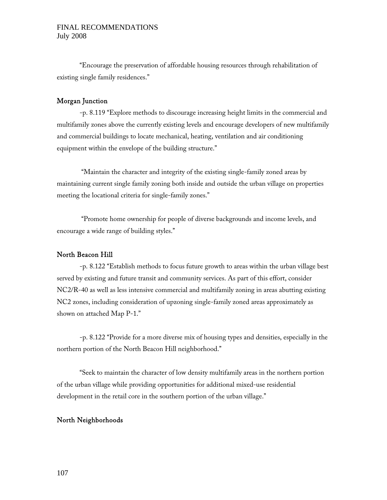''Encourage the preservation of affordable housing resources through rehabilitation of existing single family residences.''

### Morgan Junction

 -p. 8.119 ''Explore methods to discourage increasing height limits in the commercial and multifamily zones above the currently existing levels and encourage developers of new multifamily and commercial buildings to locate mechanical, heating, ventilation and air conditioning equipment within the envelope of the building structure.''

 ''Maintain the character and integrity of the existing single-family zoned areas by maintaining current single family zoning both inside and outside the urban village on properties meeting the locational criteria for single-family zones.''

 ''Promote home ownership for people of diverse backgrounds and income levels, and encourage a wide range of building styles.''

### North Beacon Hill

 -p. 8.122 ''Establish methods to focus future growth to areas within the urban village best served by existing and future transit and community services. As part of this effort, consider NC2/R-40 as well as less intensive commercial and multifamily zoning in areas abutting existing NC2 zones, including consideration of upzoning single-family zoned areas approximately as shown on attached Map P-1.''

-p. 8.122 ''Provide for a more diverse mix of housing types and densities, especially in the northern portion of the North Beacon Hill neighborhood.''

 ''Seek to maintain the character of low density multifamily areas in the northern portion of the urban village while providing opportunities for additional mixed-use residential development in the retail core in the southern portion of the urban village.''

### North Neighborhoods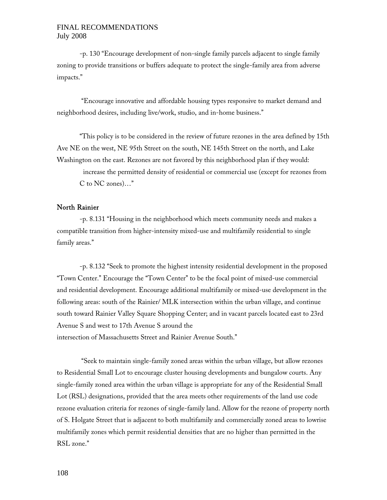-p. 130 ''Encourage development of non-single family parcels adjacent to single family zoning to provide transitions or buffers adequate to protect the single-family area from adverse impacts.''

 ''Encourage innovative and affordable housing types responsive to market demand and neighborhood desires, including live/work, studio, and in-home business.''

 ''This policy is to be considered in the review of future rezones in the area defined by 15th Ave NE on the west, NE 95th Street on the south, NE 145th Street on the north, and Lake Washington on the east. Rezones are not favored by this neighborhood plan if they would:

 increase the permitted density of residential or commercial use (except for rezones from C to NC zones)…''

### North Rainier

 -p. 8.131 ''Housing in the neighborhood which meets community needs and makes a compatible transition from higher-intensity mixed-use and multifamily residential to single family areas.''

 -p. 8.132 ''Seek to promote the highest intensity residential development in the proposed "Town Center." Encourage the "Town Center" to be the focal point of mixed-use commercial and residential development. Encourage additional multifamily or mixed-use development in the following areas: south of the Rainier/ MLK intersection within the urban village, and continue south toward Rainier Valley Square Shopping Center; and in vacant parcels located east to 23rd Avenue S and west to 17th Avenue S around the intersection of Massachusetts Street and Rainier Avenue South.''

 ''Seek to maintain single-family zoned areas within the urban village, but allow rezones to Residential Small Lot to encourage cluster housing developments and bungalow courts. Any single-family zoned area within the urban village is appropriate for any of the Residential Small Lot (RSL) designations, provided that the area meets other requirements of the land use code rezone evaluation criteria for rezones of single-family land. Allow for the rezone of property north of S. Holgate Street that is adjacent to both multifamily and commercially zoned areas to lowrise multifamily zones which permit residential densities that are no higher than permitted in the RSL zone.''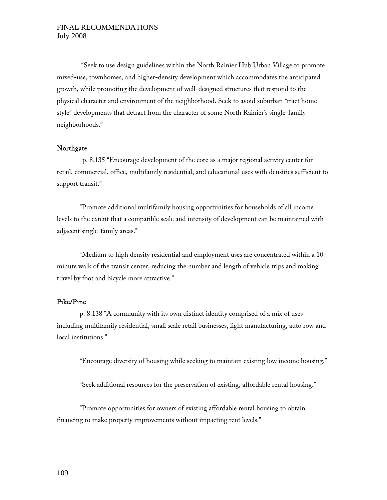''Seek to use design guidelines within the North Rainier Hub Urban Village to promote mixed-use, townhomes, and higher-density development which accommodates the anticipated growth, while promoting the development of well-designed structures that respond to the physical character and environment of the neighborhood. Seek to avoid suburban ''tract home style'' developments that detract from the character of some North Rainier's single-family neighborhoods.''

### Northgate

 -p. 8.135 ''Encourage development of the core as a major regional activity center for retail, commercial, office, multifamily residential, and educational uses with densities sufficient to support transit."

 ''Promote additional multifamily housing opportunities for households of all income levels to the extent that a compatible scale and intensity of development can be maintained with adjacent single-family areas.''

''Medium to high density residential and employment uses are concentrated within a 10 minute walk of the transit center, reducing the number and length of vehicle trips and making travel by foot and bicycle more attractive.''

# Pike/Pine

 p. 8.138 ''A community with its own distinct identity comprised of a mix of uses including multifamily residential, small scale retail businesses, light manufacturing, auto row and local institutions.''

''Encourage diversity of housing while seeking to maintain existing low income housing.''

''Seek additional resources for the preservation of existing, affordable rental housing.''

 ''Promote opportunities for owners of existing affordable rental housing to obtain financing to make property improvements without impacting rent levels.''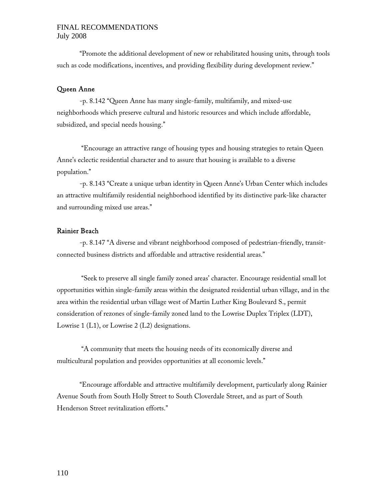# FINAL RECOMMENDATIONS July 2008

 ''Promote the additional development of new or rehabilitated housing units, through tools such as code modifications, incentives, and providing flexibility during development review.''

# Queen Anne

 -p. 8.142 ''Queen Anne has many single-family, multifamily, and mixed-use neighborhoods which preserve cultural and historic resources and which include affordable, subsidized, and special needs housing.''

 ''Encourage an attractive range of housing types and housing strategies to retain Queen Anne's eclectic residential character and to assure that housing is available to a diverse population.''

-p. 8.143 ''Create a unique urban identity in Queen Anne's Urban Center which includes an attractive multifamily residential neighborhood identified by its distinctive park-like character and surrounding mixed use areas.''

# Rainier Beach

 -p. 8.147 ''A diverse and vibrant neighborhood composed of pedestrian-friendly, transitconnected business districts and affordable and attractive residential areas.''

 ''Seek to preserve all single family zoned areas' character. Encourage residential small lot opportunities within single-family areas within the designated residential urban village, and in the area within the residential urban village west of Martin Luther King Boulevard S., permit consideration of rezones of single-family zoned land to the Lowrise Duplex Triplex (LDT), Lowrise 1 (L1), or Lowrise 2 (L2) designations.

 ''A community that meets the housing needs of its economically diverse and multicultural population and provides opportunities at all economic levels.''

 ''Encourage affordable and attractive multifamily development, particularly along Rainier Avenue South from South Holly Street to South Cloverdale Street, and as part of South Henderson Street revitalization efforts.''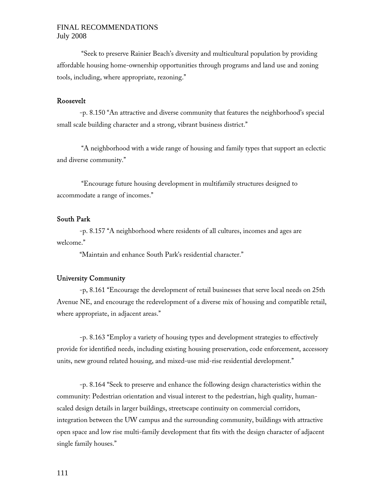# FINAL RECOMMENDATIONS July 2008

 ''Seek to preserve Rainier Beach's diversity and multicultural population by providing affordable housing home-ownership opportunities through programs and land use and zoning tools, including, where appropriate, rezoning.''

### Roosevelt

 -p. 8.150 ''An attractive and diverse community that features the neighborhood's special small scale building character and a strong, vibrant business district."

 ''A neighborhood with a wide range of housing and family types that support an eclectic and diverse community.''

 ''Encourage future housing development in multifamily structures designed to accommodate a range of incomes.''

# South Park

 -p. 8.157 ''A neighborhood where residents of all cultures, incomes and ages are welcome.''

''Maintain and enhance South Park's residential character.''

### University Community

 -p, 8.161 ''Encourage the development of retail businesses that serve local needs on 25th Avenue NE, and encourage the redevelopment of a diverse mix of housing and compatible retail, where appropriate, in adjacent areas."

 -p. 8.163 ''Employ a variety of housing types and development strategies to effectively provide for identified needs, including existing housing preservation, code enforcement, accessory units, new ground related housing, and mixed-use mid-rise residential development.''

 -p. 8.164 ''Seek to preserve and enhance the following design characteristics within the community: Pedestrian orientation and visual interest to the pedestrian, high quality, humanscaled design details in larger buildings, streetscape continuity on commercial corridors, integration between the UW campus and the surrounding community, buildings with attractive open space and low rise multi-family development that fits with the design character of adjacent single family houses.''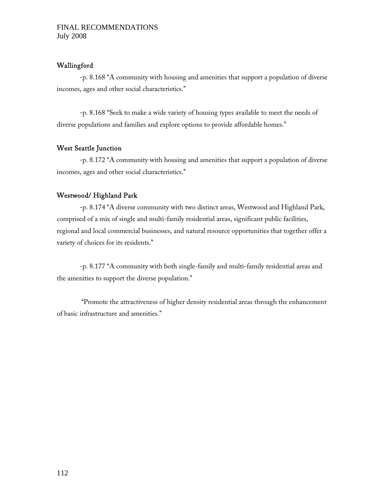### Wallingford

 -p. 8.168 ''A community with housing and amenities that support a population of diverse incomes, ages and other social characteristics.''

 -p. 8.168 ''Seek to make a wide variety of housing types available to meet the needs of diverse populations and families and explore options to provide affordable homes.''

# West Seattle Junction

-p. 8.172 "A community with housing and amenities that support a population of diverse incomes, ages and other social characteristics.''

### Westwood/ Highland Park

 -p. 8.174 ''A diverse community with two distinct areas, Westwood and Highland Park, comprised of a mix of single and multi-family residential areas, significant public facilities, regional and local commercial businesses, and natural resource opportunities that together offer a variety of choices for its residents.''

 -p. 8.177 ''A community with both single-family and multi-family residential areas and the amenities to support the diverse population.''

 ''Promote the attractiveness of higher density residential areas through the enhancement of basic infrastructure and amenities.''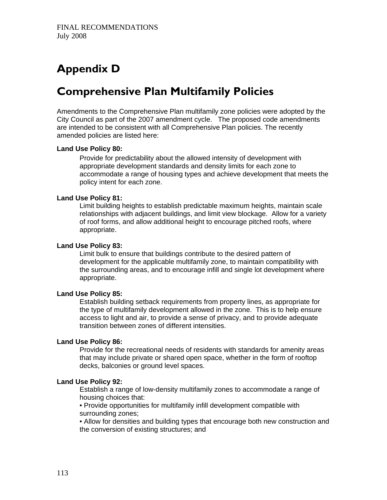# **Appendix D**

# **Comprehensive Plan Multifamily Policies**

Amendments to the Comprehensive Plan multifamily zone policies were adopted by the City Council as part of the 2007 amendment cycle. The proposed code amendments are intended to be consistent with all Comprehensive Plan policies. The recently amended policies are listed here:

### **Land Use Policy 80:**

Provide for predictability about the allowed intensity of development with appropriate development standards and density limits for each zone to accommodate a range of housing types and achieve development that meets the policy intent for each zone.

# **Land Use Policy 81:**

Limit building heights to establish predictable maximum heights, maintain scale relationships with adjacent buildings, and limit view blockage. Allow for a variety of roof forms, and allow additional height to encourage pitched roofs, where appropriate.

### **Land Use Policy 83:**

Limit bulk to ensure that buildings contribute to the desired pattern of development for the applicable multifamily zone, to maintain compatibility with the surrounding areas, and to encourage infill and single lot development where appropriate.

# **Land Use Policy 85:**

Establish building setback requirements from property lines, as appropriate for the type of multifamily development allowed in the zone. This is to help ensure access to light and air, to provide a sense of privacy, and to provide adequate transition between zones of different intensities.

# **Land Use Policy 86:**

Provide for the recreational needs of residents with standards for amenity areas that may include private or shared open space, whether in the form of rooftop decks, balconies or ground level spaces.

### **Land Use Policy 92:**

Establish a range of low-density multifamily zones to accommodate a range of housing choices that:

• Provide opportunities for multifamily infill development compatible with surrounding zones;

• Allow for densities and building types that encourage both new construction and the conversion of existing structures; and